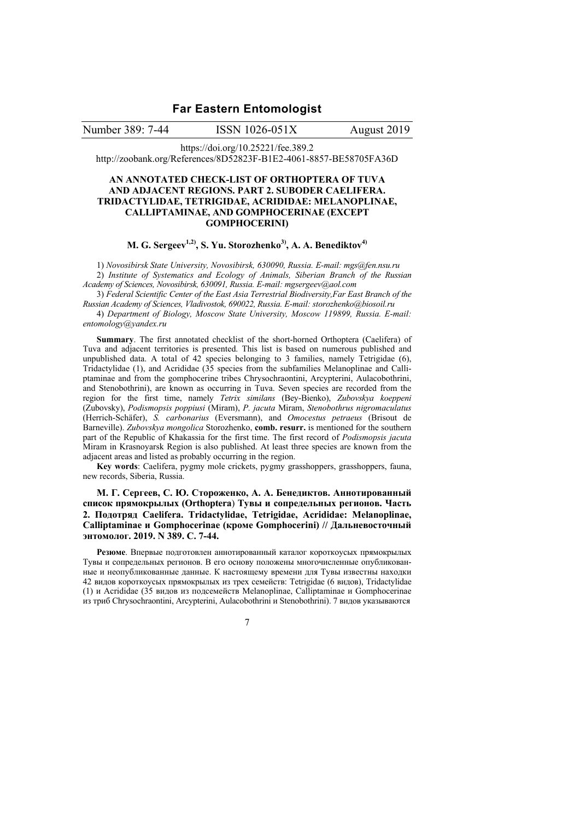# **Far Eastern Entomologist**

Number 389: 7-44 ISSN 1026-051X August 2019

https://doi.org/10.25221/fee.389.2 http://zoobank.org/References/8D52823F-B1E2-4061-8857-BE58705FA36D

# **AN ANNOTATED CHECK-LIST OF ORTHOPTERA OF TUVA AND ADJACENT REGIONS. PART 2. SUBODER CAELIFERA. TRIDACTYLIDAE, TETRIGIDAE, ACRIDIDAE: MELANOPLINAE, CALLIPTAMINAE, AND GOMPHOCERINAE (EXCEPT GOMPHOCERINI)**

# **M. G. Sergeev<sup>1,2)</sup>, S. Yu. Storozhenko<sup>3)</sup>, A. A. Benediktov<sup>4)</sup>**

1) *Novosibirsk State University, Novosibirsk, 630090, Russia. E-mail: mgs@fen.nsu.ru* 2) *Institute of Systematics and Ecology of Animals, Siberian Branch of the Russian Academy of Sciences, Novosibirsk, 630091, Russia. E-mail: mgsergeev@aol.com*

3) *Federal Scientific Center of the East Asia Terrestrial Biodiversity,Far East Branch of the Russian Academy of Sciences, Vladivostok, 690022, Russia. E-mail: storozhenko@biosoil.ru* 

4) *Department of Biology, Moscow State University, Moscow 119899, Russia. E-mail: entomology@yandex.ru*

**Summary**. The first annotated checklist of the short-horned Orthoptera (Caelifera) of Tuva and adjacent territories is presented. This list is based on numerous published and unpublished data. A total of  $42$  species belonging to 3 families, namely Tetrigidae (6), Tridactylidae (1), and Acrididae (35 species from the subfamilies Melanoplinae and Calliptaminae and from the gomphocerine tribes Chrysochraontini, Arcypterini, Aulacobothrini, and Stenobothrini), are known as occurring in Tuva. Seven species are recorded from the region for the first time, namely *Tetrix similans* (Bey-Bienko), *Zubovskya koeppeni* (Zubovsky), *Podismopsis poppiusi* (Miram), *P. jacuta* Miram, *Stenobothrus nigromaculatus* (Herrich-Schäfer), *S. carbonarius* (Eversmann), and *Omocestus petraeus* (Brisout de Barneville). *Zubovskya mongolica* Storozhenko, **comb. resurr.** is mentioned for the southern part of the Republic of Khakassia for the first time. The first record of *Podismopsis jacuta* Miram in Krasnoyarsk Region is also published. At least three species are known from the adjacent areas and listed as probably occurring in the region.

**Key words**: Caelifera, pygmy mole crickets, pygmy grasshoppers, grasshoppers, fauna, new records, Siberia, Russia.

**М. Г. Сергеев, С. Ю. Стороженко, А. А. Бенедиктов. Аннотированный список прямокрылых (Orthoptera**) **Тувы и сопредельных регионов. Часть 2. Подотряд Caelifera. Tridactylidae, Tetrigidae, Acrididae: Melanoplinae, Calliptaminae и Gomphocerinae (кроме Gomphocerini) // Дальневосточный энтомолог. 2019. N 389. С. 7-44.** 

**Резюме**. Впервые подготовлен аннотированный каталог короткоусых прямокрылых Тувы и сопредельных регионов. В его основу положены многочисленные опубликованные и неопубликованные данные. К настоящему времени для Тувы известны находки 42 видов короткоусых прямокрылых из трех семейств: Tetrigidae (6 видов), Tridactylidae (1) и Acrididae (35 видов из подсемейств Melanoplinae, Calliptaminae и Gomphocerinae из триб Chrysochraontini, Arcypterini, Aulacobothrini и Stenobothrini). 7 видов указываются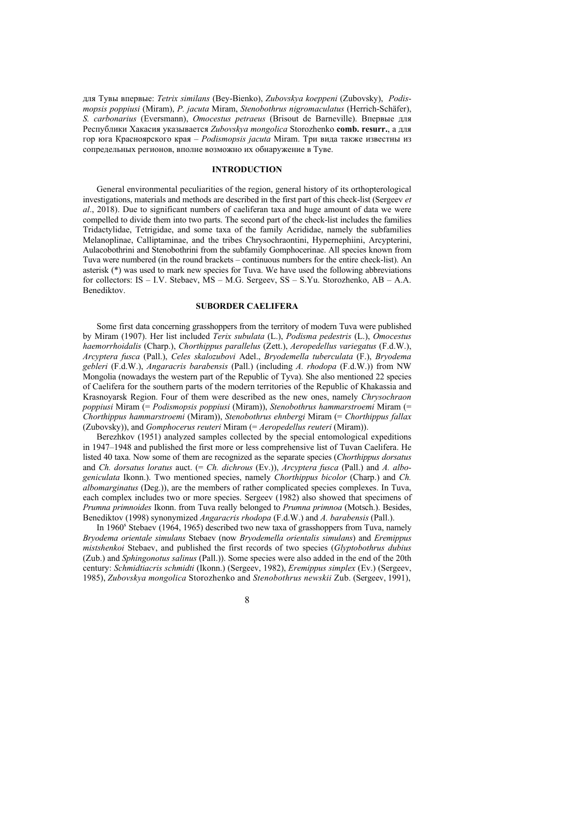для Тувы впервые: *Tetrix similans* (Bey-Bienko), *Zubovskya koeppeni* (Zubovsky), *Podismopsis poppiusi* (Miram), *P. jacuta* Miram, *Stenobothrus nigromaculatus* (Herrich-Schäfer), *S. carbonarius* (Eversmann), *Omocestus petraeus* (Brisout de Barneville). Впервые для Республики Хакасия указывается *Zubovskya mongolica* Storozhenko **comb. resurr.**, а для гор юга Красноярского края – *Podismopsis jacuta* Miram. Три вида также известны из сопредельных регионов, вполне возможно их обнаружение в Туве.

# **INTRODUCTION**

General environmental peculiarities of the region, general history of its orthopterological investigations, materials and methods are described in the first part of this check-list (Sergeev *et al*., 2018). Due to significant numbers of caeliferan taxa and huge amount of data we were compelled to divide them into two parts. The second part of the check-list includes the families Tridactylidae, Tetrigidae, and some taxa of the family Acrididae, namely the subfamilies Melanoplinae, Calliptaminae, and the tribes Chrysochraontini, Hypernephiini, Arcypterini, Aulacobothrini and Stenobothrini from the subfamily Gomphocerinae. All species known from Tuva were numbered (in the round brackets – continuous numbers for the entire check-list). An asterisk (\*) was used to mark new species for Tuva. We have used the following abbreviations for collectors: IS – I.V. Stebaev, MS – M.G. Sergeev, SS – S.Yu. Storozhenko, AB – A.A. Benediktov.

### **SUBORDER CAELIFERA**

Some first data concerning grasshoppers from the territory of modern Tuva were published by Miram (1907). Her list included *Terix subulata* (L.), *Podisma pedestris* (L.), *Omocestus haemorrhoidalis* (Charp.), *Chorthippus parallelus* (Zett.), *Aeropedellus variegatus* (F.d.W.), *Arcyptera fusca* (Pall.), *Celes skalozubovi* Adel., *Bryodemella tuberculata* (F.), *Bryodema gebleri* (F.d.W.), *Angaracris barabensis* (Pall.) (including *A. rhodopa* (F.d.W.)) from NW Mongolia (nowadays the western part of the Republic of Tyva). She also mentioned 22 species of Caelifera for the southern parts of the modern territories of the Republic of Khakassia and Krasnoyarsk Region. Four of them were described as the new ones, namely *Chrysochraon poppiusi* Miram (= *Podismopsis poppiusi* (Miram)), *Stenobothrus hammarstroemi* Miram (= *Chorthippus hammarstroemi* (Miram)), *Stenobothrus ehnbergi* Miram (= *Chorthippus fallax* (Zubovsky)), and *Gomphocerus reuteri* Miram (= *Aeropedellus reuteri* (Miram)).

Berezhkov (1951) analyzed samples collected by the special entomological expeditions in 1947–1948 and published the first more or less comprehensive list of Tuvan Caelifera. He listed 40 taxa. Now some of them are recognized as the separate species (*Chorthippus dorsatus* and *Ch. dorsatus loratus* auct. (= *Ch. dichrous* (Ev.)), *Arcyptera fusca* (Pall.) and *A. albogeniculata* Ikonn.). Two mentioned species, namely *Chorthippus bicolor* (Charp.) and *Ch. albomarginatus* (Deg.)), are the members of rather complicated species complexes. In Tuva, each complex includes two or more species. Sergeev (1982) also showed that specimens of *Prumna primnoides* Ikonn. from Tuva really belonged to *Prumna primnoa* (Motsch.). Besides, Benediktov (1998) synonymized *Angaracris rhodopa* (F.d.W.) and *A. barabensis* (Pall.).

In 1960<sup>s</sup> Stebaev (1964, 1965) described two new taxa of grasshoppers from Tuva, namely *Bryodema orientale simulans* Stebaev (now *Bryodemella orientalis simulans*) and *Eremippus mistshenkoi* Stebaev, and published the first records of two species (*Glyptobothrus dubius*  (Zub.) and *Sphingonotus salinus* (Pall.)). Some species were also added in the end of the 20th century: *Schmidtiacris schmidti* (Ikonn.) (Sergeev, 1982), *Eremippus simplex* (Ev.) (Sergeev, 1985), *Zubovskya mongolica* Storozhenko and *Stenobothrus newskii* Zub. (Sergeev, 1991),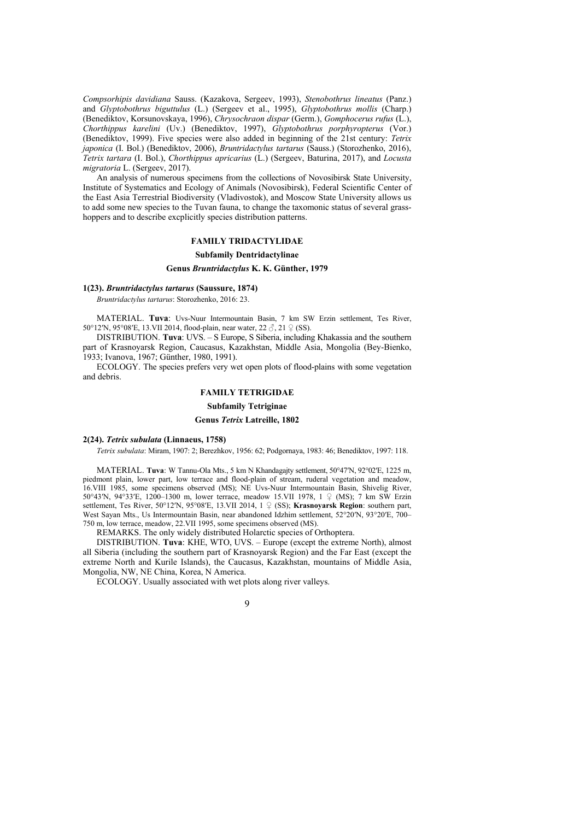*Compsorhipis davidiana* Sauss. (Kazakova, Sergeev, 1993), *Stenobothrus lineatus* (Panz.) and *Glyptobothrus biguttulus* (L.) (Sergeev et al., 1995), *Glyptobothrus mollis* (Charp.) (Benediktov, Korsunovskaya, 1996), *Chrysochraon dispar* (Germ.), *Gomphocerus rufus* (L.), *Chorthippus karelini* (Uv.) (Benediktov, 1997), *Glyptobothrus porphyropterus* (Vor.) (Benediktov, 1999). Five species were also added in beginning of the 21st century: *Tetrix japonica* (I. Bol.) (Benediktov, 2006), *Bruntridactylus tartarus* (Sauss.) (Storozhenko, 2016), *Tetrix tartara* (I. Bol.), *Chorthippus apricarius* (L.) (Sergeev, Baturina, 2017), and *Locusta migratoria* L. (Sergeev, 2017).

An analysis of numerous specimens from the collections of Novosibirsk State University, Institute of Systematics and Ecology of Animals (Novosibirsk), Federal Scientific Center of the East Asia Terrestrial Biodiversity (Vladivostok), and Moscow State University allows us to add some new species to the Tuvan fauna, to change the taxomonic status of several grasshoppers and to describe excplicitly species distribution patterns.

# **FAMILY TRIDACTYLIDAE**

### **Subfamily Dentridactylinae**

#### **Genus** *Bruntridactylus* **K. K. Günther, 1979**

# **1(23).** *Bruntridactylus tartarus* **(Saussure, 1874)**

*Bruntridactylus tartarus*: Storozhenko, 2016: 23.

MATERIAL. **Tuva**: Uvs-Nuur Intermountain Basin, 7 km SW Erzin settlement, Tes River, 50°12′N, 95°08′E, 13.VII 2014, flood-plain, near water, 22 ♂, 21 ♀ (SS).

DISTRIBUTION. **Tuva**: UVS. – S Europe, S Siberia, including Khakassia and the southern part of Krasnoyarsk Region, Caucasus, Kazakhstan, Middle Asia, Mongolia (Bey-Bienko, 1933; Ivanova, 1967; Günther, 1980, 1991).

ECOLOGY. The species prefers very wet open plots of flood-plains with some vegetation and debris.

# **FAMILY TETRIGIDAE**

#### **Subfamily Tetriginae**

### **Genus** *Tetrix* **Latreille, 1802**

#### **2(24).** *Tetrix subulata* **(Linnaeus, 1758)**

*Tetrix subulata*: Miram, 1907: 2; Berezhkov, 1956: 62; Podgornaya, 1983: 46; Benediktov, 1997: 118.

MATERIAL. **Tuva**: W Tannu-Ola Mts., 5 km N Khandagajty settlement, 50°47ʹN, 92°02ʹE, 1225 m, piedmont plain, lower part, low terrace and flood-plain of stream, ruderal vegetation and meadow, 16.VIII 1985, some specimens observed (MS); NE Uvs-Nuur Intermountain Basin, Shivelig River, 50°43ʹN, 94°33ʹE, 1200–1300 m, lower terrace, meadow 15.VII 1978, 1 ♀ (MS); 7 km SW Erzin settlement, Tes River, 50°12ʹN, 95°08ʹE, 13.VII 2014, 1 ♀ (SS); **Krasnoyarsk Region**: southern part, West Sayan Mts., Us Intermountain Basin, near abandoned Idzhim settlement, 52°20′N, 93°20′E, 700– 750 m, low terrace, meadow, 22.VII 1995, some specimens observed (MS).

REMARKS. The only widely distributed Holarctic species of Orthoptera.

DISTRIBUTION. **Tuva**: KHE, WTO, UVS. – Europe (except the extreme North), almost all Siberia (including the southern part of Krasnoyarsk Region) and the Far East (except the extreme North and Kurile Islands), the Caucasus, Kazakhstan, mountains of Middle Asia, Mongolia, NW, NE China, Korea, N America.

ECOLOGY. Usually associated with wet plots along river valleys.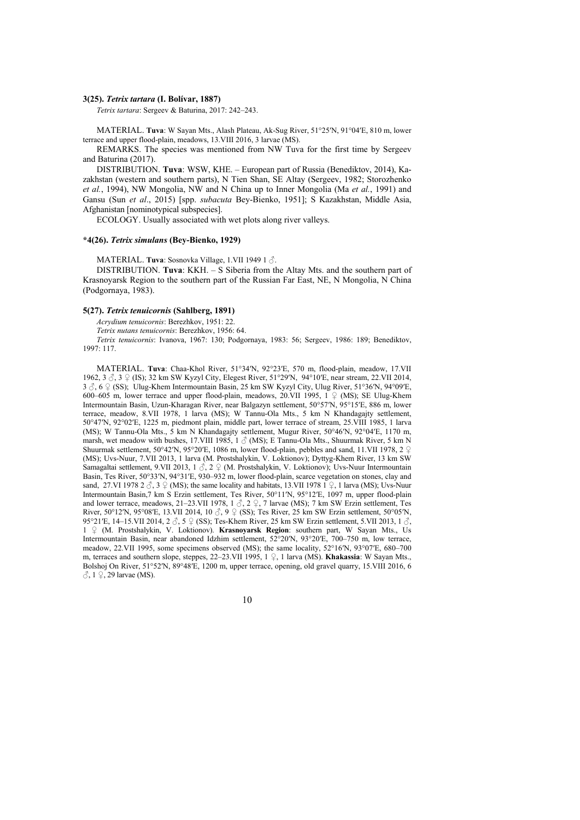### **3(25).** *Tetrix tartara* **(I. Bolívar, 1887)**

*Tetrix tartara*: Sergeev & Baturina, 2017: 242–243.

MATERIAL. **Tuva**: W Sayan Mts., Alash Plateau, Ak-Sug River, 51°25ʹN, 91°04ʹE, 810 m, lower terrace and upper flood-plain, meadows, 13.VIII 2016, 3 larvae (MS).

REMARKS. The species was mentioned from NW Tuva for the first time by Sergeev and Baturina (2017).

DISTRIBUTION. **Tuva**: WSW, KHE. – European part of Russia (Benediktov, 2014), Kazakhstan (western and southern parts), N Tien Shan, SE Altay (Sergeev, 1982; Storozhenko *et al.*, 1994), NW Mongolia, NW and N China up to Inner Mongolia (Ma *et al.*, 1991) and Gansu (Sun *et al*., 2015) [spp. *subacuta* Bey-Bienko, 1951]; S Kazakhstan, Middle Asia, Afghanistan [nominotypical subspecies].

ECOLOGY. Usually associated with wet plots along river valleys.

## **\*4(26).** *Tetrix simulans* **(Bey-Bienko, 1929)**

MATERIAL. **Tuva**: Sosnovka Village, 1.VII 1949 1 ♂.

DISTRIBUTION. **Tuva**: KKH. – S Siberia from the Altay Mts. and the southern part of Krasnoyarsk Region to the southern part of the Russian Far East, NE, N Mongolia, N China (Podgornaya, 1983).

#### **5(27).** *Tetrix tenuicornis* **(Sahlberg, 1891)**

*Acrydium tenuicornis*: Berezhkov, 1951: 22.

*Tetrix nutans tenuicornis*: Berezhkov, 1956: 64.

*Tetrix tenuicornis*: Ivanova, 1967: 130; Podgornaya, 1983: 56; Sergeev, 1986: 189; Benediktov, 1997: 117.

MATERIAL. **Tuva**: Chaa-Khol River, 51°34′N, 92°23′E, 570 m, flood-plain, meadow, 17.VII 1962, 3  $\hat{\beta}$ , 3  $\hat{\varphi}$  (IS); 32 km SW Kyzyl City, Elegest River, 51°29′N, 94°10′E, near stream, 22.VII 2014, 3 ♂, 6 ♀ (SS); Ulug-Khem Intermountain Basin, 25 km SW Kyzyl City, Ulug River, 51°36ʹN, 94°09ʹE, 600–605 m, lower terrace and upper flood-plain, meadows, 20.VII 1995,  $1 \nsubseteq (MS)$ ; SE Ulug-Khem Intermountain Basin, Uzun-Kharagan River, near Balgazyn settlement, 50°57ʹN, 95°15ʹE, 886 m, lower terrace, meadow, 8.VII 1978, 1 larva (MS); W Tannu-Ola Mts., 5 km N Khandagajty settlement, 50°47ʹN, 92°02ʹE, 1225 m, piedmont plain, middle part, lower terrace of stream, 25.VIII 1985, 1 larva (MS); W Tannu-Ola Mts., 5 km N Khandagajty settlement, Mugur River, 50°46ʹN, 92°04ʹE, 1170 m, marsh, wet meadow with bushes, 17.VIII 1985, 1  $\beta$  (MS); E Tannu-Ola Mts., Shuurmak River, 5 km N Shuurmak settlement, 50°42′N, 95°20′E, 1086 m, lower flood-plain, pebbles and sand, 11.VII 1978, 2  $\varphi$ (MS); Uvs-Nuur, 7.VII 2013, 1 larva (M. Prostshalykin, V. Loktionov); Dyttyg-Khem River, 13 km SW Samagaltai settlement, 9.VII 2013, 1  $\hat{\circ}$ , 2  $\hat{\varphi}$  (M. Prostshalykin, V. Loktionov); Uvs-Nuur Intermountain Basin, Tes River, 50°33′N, 94°31′E, 930–932 m, lower flood-plain, scarce vegetation on stones, clay and sand, 27.VI 1978 2  $\circled{3}$ , 3  $\circled{4}$  (MS); the same locality and habitats, 13.VII 1978 1  $\circled{2}$ , 1 larva (MS); Uvs-Nuur Intermountain Basin,7 km S Erzin settlement, Tes River, 50°11ʹN, 95°12ʹE, 1097 m, upper flood-plain and lower terrace, meadows, 21–23.VII 1978, 1  $\mathcal{S}$ , 2  $\mathcal{Q}$ , 7 larvae (MS); 7 km SW Erzin settlement, Tes River, 50°12′N, 95°08′E, 13.VII 2014, 10  $\Im$ , 9  $\Im$  (SS); Tes River, 25 km SW Erzin settlement, 50°05′N, 95°21′E, 14–15.VII 2014, 2  $\Im$ , 5  $\Im$  (SS); Tes-Khem River, 25 km SW Erzin settlement, 5.VII 2013, 1  $\Im$ , 1 ♀ (M. Prostshalykin, V. Loktionov). **Krasnoyarsk Region**: southern part, W Sayan Mts., Us Intermountain Basin, near abandoned Idzhim settlement, 52°20′N, 93°20′E, 700–750 m, low terrace, meadow, 22.VII 1995, some specimens observed (MS); the same locality, 52°16′N, 93°07′E, 680–700 m, terraces and southern slope, steppes, 22–23.VII 1995, 1 ♀, 1 larva (MS). **Khakassia**: W Sayan Mts., Bolshoj On River, 51°52′N, 89°48′E, 1200 m, upper terrace, opening, old gravel quarry, 15.VIII 2016, 6  $\beta$ , 1  $\mathcal{Q}$ , 29 larvae (MS).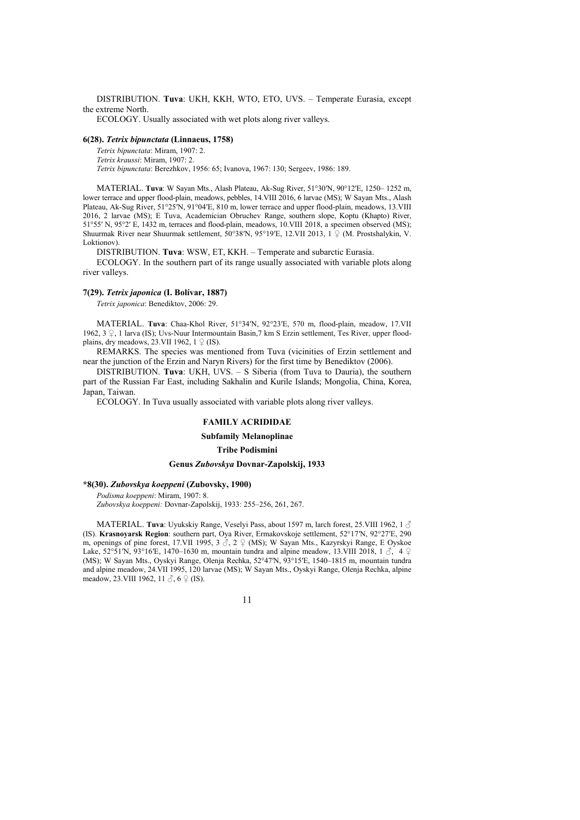DISTRIBUTION. **Tuva**: UKH, KKH, WTO, ETO, UVS. – Temperate Eurasia, except the extreme North.

ECOLOGY. Usually associated with wet plots along river valleys.

### **6(28).** *Tetrix bipunctata* **(Linnaeus, 1758)**

*Tetrix bipunctata*: Miram, 1907: 2. *Tetrix kraussi*: Miram, 1907: 2. *Tetrix bipunctata*: Berezhkov, 1956: 65; Ivanova, 1967: 130; Sergeev, 1986: 189.

MATERIAL. **Tuva**: W Sayan Mts., Alash Plateau, Ak-Sug River, 51°30ʹN, 90°12ʹE, 1250– 1252 m, lower terrace and upper flood-plain, meadows, pebbles, 14.VIII 2016, 6 larvae (MS); W Sayan Mts., Alash Plateau, Ak-Sug River, 51°25ʹN, 91°04ʹE, 810 m, lower terrace and upper flood-plain, meadows, 13.VIII 2016, 2 larvae (MS); E Tuva, Academician Obruchev Range, southern slope, Koptu (Khapto) River, 51°55ʹ N, 95°2ʹ E, 1432 m, terraces and flood-plain, meadows, 10.VIII 2018, a specimen observed (MS); Shuurmak River near Shuurmak settlement, 50°38ʹN, 95°19ʹE, 12.VII 2013, 1 ♀ (M. Prostshalykin, V. Loktionov).

DISTRIBUTION. **Tuva**: WSW, ET, KKH. – Temperate and subarctic Eurasia.

ECOLOGY. In the southern part of its range usually associated with variable plots along river valleys.

# **7(29).** *Tetrix japonica* **(I. Bolívar, 1887)**

*Tetrix japonica*: Benediktov, 2006: 29.

MATERIAL. **Tuva**: Chaa-Khol River, 51°34′N, 92°23′E, 570 m, flood-plain, meadow, 17.VII 1962, 3 ♀, 1 larva (IS); Uvs-Nuur Intermountain Basin,7 km S Erzin settlement, Tes River, upper floodplains, dry meadows, 23. VII 1962, 1  $\mathcal{Q}$  (IS).

REMARKS. The species was mentioned from Tuva (vicinities of Erzin settlement and near the junction of the Erzin and Naryn Rivers) for the first time by Benediktov (2006).

DISTRIBUTION. **Tuva**: UKH, UVS. – S Siberia (from Tuva to Dauria), the southern part of the Russian Far East, including Sakhalin and Kurile Islands; Mongolia, China, Korea, Japan, Taiwan.

ECOLOGY. In Tuva usually associated with variable plots along river valleys.

# **FAMILY ACRIDIDAE**

# **Subfamily Melanoplinae**

### **Tribe Podismini**

# **Genus** *Zubovskya* **Dovnar-Zapolskij, 1933**

### **\*8(30).** *Zubovskya koeppeni* **(Zubovsky, 1900)**

*Podisma koeppeni*: Miram, 1907: 8.

*Zubovskya koeppeni:* Dovnar-Zapolskij, 1933: 255–256, 261, 267.

MATERIAL. **Tuva**: Uyukskiy Range, Veselyi Pass, about 1597 m, larch forest, 25.VIII 1962, 1 ♂ (IS). **Krasnoyarsk Region**: southern part, Oya River, Ermakovskoje settlement, 52°17′N, 92°27′E, 290 m, openings of pine forest, 17.VII 1995, 3  $\Im$ , 2  $\Im$  (MS); W Sayan Mts., Kazyrskyi Range, E Oyskoe Lake, 52°51′N, 93°16′E, 1470–1630 m, mountain tundra and alpine meadow, 13.VIII 2018, 1  $\circ$ , 4  $\circ$ (MS); W Sayan Mts., Oyskyi Range, Olenja Rechka, 52°47′N, 93°15′E, 1540–1815 m, mountain tundra and alpine meadow, 24.VII 1995, 120 larvae (MS); W Sayan Mts., Oyskyi Range, Olenja Rechka, alpine meadow, 23.VIII 1962, 11  $\delta$ , 6  $\circ$  (IS).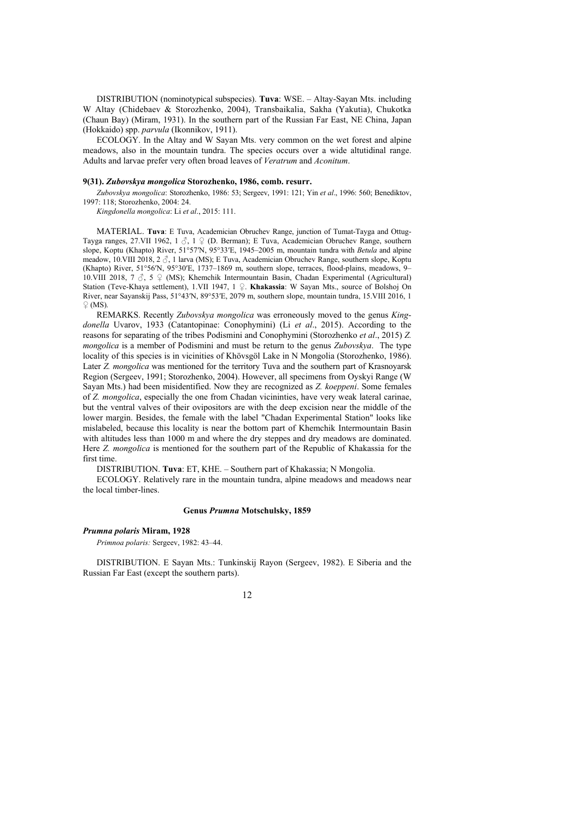DISTRIBUTION (nominotypical subspecies). **Tuva**: WSE. – Altay-Sayan Mts. including W Altay (Chidebaev & Storozhenko, 2004), Transbaikalia, Sakha (Yakutia), Chukotka (Chaun Bay) (Miram, 1931). In the southern part of the Russian Far East, NE China, Japan (Hokkaido) spp. *parvula* (Ikonnikov, 1911).

ECOLOGY. In the Altay and W Sayan Mts. very common on the wet forest and alpine meadows, also in the mountain tundra. The species occurs over a wide altutidinal range. Adults and larvae prefer very often broad leaves of *Veratrum* and *Aconitum*.

#### **9(31).** *Zubovskya mongolica* **Storozhenko, 1986, comb. resurr.**

*Zubovskya mongolica*: Storozhenko, 1986: 53; Sergeev, 1991: 121; Yin *et al*., 1996: 560; Benediktov, 1997: 118; Storozhenko, 2004: 24.

*Kingdonella mongolica*: Li *et al*., 2015: 111.

MATERIAL. **Tuva**: E Tuva, Academician Obruchev Range, junction of Tumat-Tayga and Ottug-Tayga ranges, 27.VII 1962, 1  $\Diamond$ , 1  $\Diamond$  (D. Berman); E Tuva, Academician Obruchev Range, southern slope, Koptu (Khapto) River, 51°57ʹN, 95°33ʹE, 1945–2005 m, mountain tundra with *Betula* and alpine meadow, 10.VIII 2018, 2 ♂, 1 larva (MS); E Tuva, Academician Obruchev Range, southern slope, Koptu (Khapto) River, 51°56ʹN, 95°30ʹE, 1737–1869 m, southern slope, terraces, flood-plains, meadows, 9– 10.VIII 2018, 7  $\Im$ , 5  $\Im$  (MS); Khemchik Intermountain Basin, Chadan Experimental (Agricultural) Station (Teve-Khaya settlement), 1.VII 1947, 1 ♀. **Khakassia**: W Sayan Mts., source of Bolshoj On River, near Sayanskij Pass, 51°43′N, 89°53′E, 2079 m, southern slope, mountain tundra, 15.VIII 2016, 1  $\mathcal{Q}(MS)$ .

REMARKS. Recently *Zubovskya mongolica* was erroneously moved to the genus *Kingdonella* Uvarov, 1933 (Catantopinae: Conophymini) (Li *et al*., 2015). According to the reasons for separating of the tribes Podismini and Conophymini (Storozhenko *et al*., 2015) *Z. mongolica* is a member of Podismini and must be return to the genus *Zubovskya*. The type locality of this species is in vicinities of Khövsgöl Lake in N Mongolia (Storozhenko, 1986). Later *Z. mongolica* was mentioned for the territory Tuva and the southern part of Krasnoyarsk Region (Sergeev, 1991; Storozhenko, 2004). However, all specimens from Oyskyi Range (W Sayan Mts.) had been misidentified. Now they are recognized as *Z. koeppeni*. Some females of *Z. mongolica*, especially the one from Chadan vicininties, have very weak lateral carinae, but the ventral valves of their ovipositors are with the deep excision near the middle of the lower margin. Besides, the female with the label "Chadan Experimental Station" looks like mislabeled, because this locality is near the bottom part of Khemchik Intermountain Basin with altitudes less than 1000 m and where the dry steppes and dry meadows are dominated. Here *Z. mongolica* is mentioned for the southern part of the Republic of Khakassia for the first time.

DISTRIBUTION. **Tuva**: ET, KHE. – Southern part of Khakassia; N Mongolia.

ECOLOGY. Relatively rare in the mountain tundra, alpine meadows and meadows near the local timber-lines.

### **Genus** *Prumna* **Motschulsky, 1859**

#### *Prumna polaris* **Miram, 1928**

*Primnoa polaris:* Sergeev, 1982: 43–44.

DISTRIBUTION. E Sayan Mts.: Tunkinskij Rayon (Sergeev, 1982). E Siberia and the Russian Far East (except the southern parts).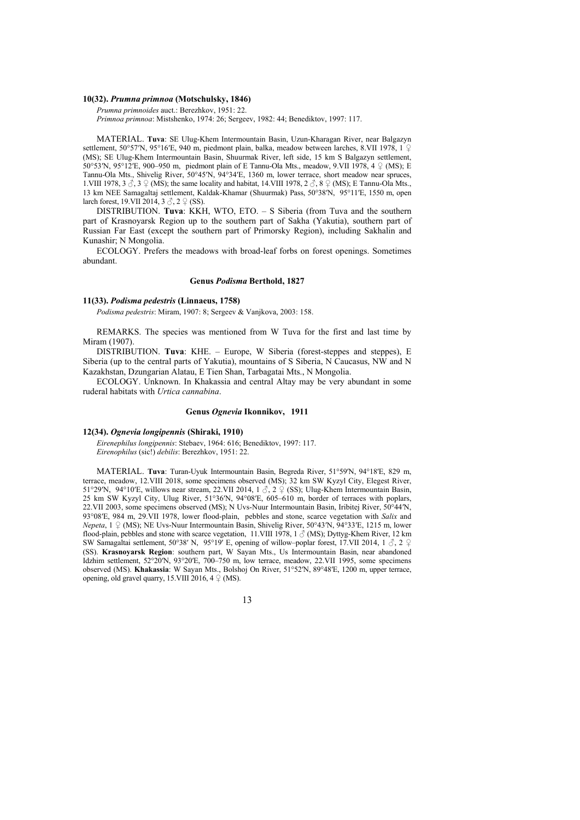### **10(32).** *Prumna primnoa* **(Motschulsky, 1846)**

*Prumna primnoides* auct.: Berezhkov, 1951: 22.

*Primnoa primnoa*: Mistshenko, 1974: 26; Sergeev, 1982: 44; Benediktov, 1997: 117.

MATERIAL. **Tuva**: SE Ulug-Khem Intermountain Basin, Uzun-Kharagan River, near Balgazyn settlement, 50°57′N, 95°16′E, 940 m, piedmont plain, balka, meadow between larches, 8.VII 1978, 1  $\circ$ (MS); SE Ulug-Khem Intermountain Basin, Shuurmak River, left side, 15 km S Balgazyn settlement, 50°53ʹN, 95°12ʹE, 900–950 m, piedmont plain of E Tannu-Ola Mts., meadow, 9.VII 1978, 4 ♀ (MS); E Tannu-Ola Mts., Shivelig River, 50°45ʹN, 94°34ʹE, 1360 m, lower terrace, short meadow near spruces, 1.VIII 1978, 3  $\hat{\beta}$ , 3  $\hat{\varphi}$  (MS); the same locality and habitat, 14.VIII 1978, 2  $\hat{\beta}$ , 8  $\hat{\varphi}$  (MS); E Tannu-Ola Mts. 13 km NEE Samagaltaj settlement, Kaldak-Khamar (Shuurmak) Pass, 50°38ʹN, 95°11ʹE, 1550 m, open larch forest, 19.VII 2014,  $3 \text{ } \partial$ ,  $2 \text{ } \mathcal{Q}$  (SS).

DISTRIBUTION. **Tuva**: KKH, WTO, ETO. – S Siberia (from Tuva and the southern part of Krasnoyarsk Region up to the southern part of Sakha (Yakutia), southern part of Russian Far East (except the southern part of Primorsky Region), including Sakhalin and Kunashir; N Mongolia.

ECOLOGY. Prefers the meadows with broad-leaf forbs on forest openings. Sometimes abundant.

### **Genus** *Podisma* **Berthold, 1827**

#### **11(33).** *Podisma pedestris* **(Linnaeus, 1758)**

*Podisma pedestris*: Miram, 1907: 8; Sergeev & Vanjkova, 2003: 158.

REMARKS. The species was mentioned from W Tuva for the first and last time by Miram (1907).

DISTRIBUTION. **Tuva**: KHE. – Europe, W Siberia (forest-steppes and steppes), E Siberia (up to the central parts of Yakutia), mountains of S Siberia, N Caucasus, NW and N Kazakhstan, Dzungarian Alatau, E Tien Shan, Tarbagatai Mts., N Mongolia.

ECOLOGY. Unknown. In Khakassia and central Altay may be very abundant in some ruderal habitats with *Urtica cannabina*.

#### **Genus** *Ognevia* **Ikonnikov, 1911**

### **12(34).** *Ognevia longipennis* **(Shiraki, 1910)**

*Eirenephilus longipennis*: Stebaev, 1964: 616; Benediktov, 1997: 117. *Eirenophilus* (sic!) *debilis*: Berezhkov, 1951: 22.

MATERIAL. **Tuva**: Turan-Uyuk Intermountain Basin, Begreda River, 51°59ʹN, 94°18ʹE, 829 m, terrace, meadow, 12.VIII 2018, some specimens observed (MS); 32 km SW Kyzyl City, Elegest River, 51°29′N, 94°10′E, willows near stream, 22.VII 2014, 1  $\Im$ , 2  $\Im$  (SS); Ulug-Khem Intermountain Basin, 25 km SW Kyzyl City, Ulug River, 51°36ʹN, 94°08ʹE, 605–610 m, border of terraces with poplars, 22.VII 2003, some specimens observed (MS); N Uvs-Nuur Intermountain Basin, Iribitej River, 50°44′N, 93°08′E, 984 m, 29.VII 1978, lower flood-plain, pebbles and stone, scarce vegetation with *Salix* and *Nepeta*, 1 ♀ (MS); NE Uvs-Nuur Intermountain Basin, Shivelig River, 50°43ʹN, 94°33ʹE, 1215 m, lower flood-plain, pebbles and stone with scarce vegetation, 11.VIII 1978,  $1 \text{ } \text{\textdegree{}}$  (MS); Dyttyg-Khem River, 12 km SW Samagaltai settlement, 50°38′ N, 95°19<sup>'</sup> E, opening of willow-poplar forest, 17.VII 2014, 1  $\beta$ , 2  $\beta$ (SS). **Krasnoyarsk Region**: southern part, W Sayan Mts., Us Intermountain Basin, near abandoned Idzhim settlement, 52°20′N, 93°20′E, 700–750 m, low terrace, meadow, 22.VII 1995, some specimens observed (MS). **Khakassia**: W Sayan Mts., Bolshoj On River, 51°52′N, 89°48′E, 1200 m, upper terrace, opening, old gravel quarry, 15.VIII 2016, 4  $\circ$  (MS).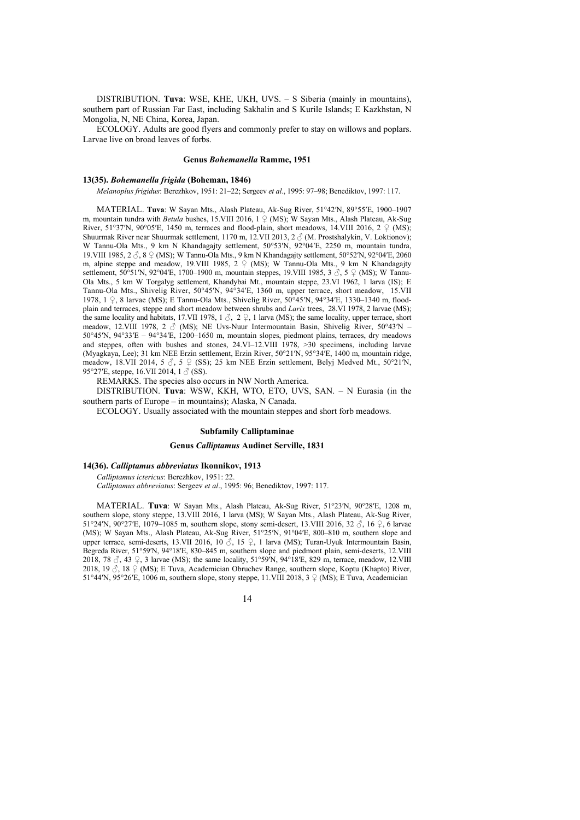DISTRIBUTION. **Tuva**: WSE, KHE, UKH, UVS. – S Siberia (mainly in mountains), southern part of Russian Far East, including Sakhalin and S Kurile Islands; E Kazkhstan, N Mongolia, N, NE China, Korea, Japan.

ECOLOGY. Adults are good flyers and commonly prefer to stay on willows and poplars. Larvae live on broad leaves of forbs.

#### **Genus** *Bohemanella* **Ramme, 1951**

### **13(35).** *Bohemanella frigida* **(Boheman, 1846)**

*Melanoplus frigidus*: Berezhkov, 1951: 21–22; Sergeev *et al*., 1995: 97–98; Benediktov, 1997: 117.

MATERIAL. **Tuva**: W Sayan Mts., Alash Plateau, Ak-Sug River, 51°42ʹN, 89°55ʹE, 1900–1907 m, mountain tundra with *Betula* bushes, 15.VIII 2016, 1 ♀ (MS); W Sayan Mts., Alash Plateau, Ak-Sug River, 51°37′N, 90°05′E, 1450 m, terraces and flood-plain, short meadows, 14.VIII 2016, 2  $\circ$  (MS); Shuurmak River near Shuurmak settlement, 1170 m, 12.VII 2013, 2 $\beta$  (M. Prostshalykin, V. Loktionov); W Tannu-Ola Mts., 9 km N Khandagajty settlement, 50°53ʹN, 92°04ʹE, 2250 m, mountain tundra, 19. VIII 1985, 2  $3, 8 \nsubseteq (MS)$ ; W Tannu-Ola Mts., 9 km N Khandagajty settlement, 50°52′N, 92°04′E, 2060 m, alpine steppe and meadow, 19.VIII 1985, 2 ♀ (MS); W Tannu-Ola Mts., 9 km N Khandagajty settlement,  $50^{\circ}51'N$ ,  $92^{\circ}04'E$ , 1700–1900 m, mountain steppes, 19.VIII 1985, 3  $\circ$ , 5  $\circ$  (MS); W Tannu-Ola Mts., 5 km W Torgalyg settlement, Khandybai Mt., mountain steppe, 23.VI 1962, 1 larva (IS); E Tannu-Ola Mts., Shivelig River, 50°45ʹN, 94°34ʹE, 1360 m, upper terrace, short meadow, 15.VII 1978, 1 ♀, 8 larvae (MS); E Tannu-Ola Mts., Shivelig River, 50°45ʹN, 94°34ʹE, 1330–1340 m, floodplain and terraces, steppe and short meadow between shrubs and *Larix* trees, 28.VI 1978, 2 larvae (MS); the same locality and habitats, 17.VII 1978, 1  $\circled{3}$ , 2  $\circled{2}$ , 1 larva (MS); the same locality, upper terrace, short meadow, 12.VIII 1978, 2  $\circ$  (MS); NE Uvs-Nuur Intermountain Basin, Shivelig River, 50°43′N – 50°45ʹN, 94°33ʹE – 94°34ʹE, 1200–1650 m, mountain slopes, piedmont plains, terraces, dry meadows and steppes, often with bushes and stones, 24.VI–12.VIII 1978, >30 specimens, including larvae (Myagkaya, Lee); 31 km NEE Erzin settlement, Erzin River, 50°21ʹN, 95°34ʹE, 1400 m, mountain ridge, meadow, 18.VII 2014, 5  $\Im$ , 5  $\Im$  (SS); 25 km NEE Erzin settlement, Belyj Medved Mt., 50°21′N, 95°27′E, steppe, 16.VII 2014, 1 3 (SS).

REMARKS. The species also occurs in NW North America.

DISTRIBUTION. **Tuva**: WSW, KKH, WTO, ETO, UVS, SAN. – N Eurasia (in the southern parts of Europe – in mountains); Alaska, N Canada.

ECOLOGY. Usually associated with the mountain steppes and short forb meadows.

### **Subfamily Calliptaminae**

### **Genus** *Calliptamus* **Audinet Serville, 1831**

## **14(36).** *Calliptamus abbreviatus* **Ikonnikov, 1913**

*Calliptamus ictericus*: Berezhkov, 1951: 22.

*Calliptamus abbreviatus*: Sergeev *et al*., 1995: 96; Benediktov, 1997: 117.

MATERIAL. **Tuva**: W Sayan Mts., Alash Plateau, Ak-Sug River, 51°23ʹN, 90°28ʹE, 1208 m, southern slope, stony steppe, 13.VIII 2016, 1 larva (MS); W Sayan Mts., Alash Plateau, Ak-Sug River, 51°24′N, 90°27′E, 1079–1085 m, southern slope, stony semi-desert, 13.VIII 2016, 32  $\zeta$ , 16  $\frac{1}{2}$ , 6 larvae (MS); W Sayan Mts., Alash Plateau, Ak-Sug River, 51°25ʹN, 91°04ʹE, 800–810 m, southern slope and upper terrace, semi-deserts, 13.VII 2016, 10 3, 15 ♀, 1 larva (MS); Turan-Uyuk Intermountain Basin, Begreda River, 51°59ʹN, 94°18ʹE, 830–845 m, southern slope and piedmont plain, semi-deserts, 12.VIII 2018, 78  $\circ$ , 43  $\circ$ , 3 larvae (MS); the same locality, 51°59<sup>'</sup>N, 94°18'E, 829 m, terrace, meadow, 12.VIII 2018, 19  $\Im$ , 18  $\Im$  (MS); E Tuva, Academician Obruchev Range, southern slope, Koptu (Khapto) River, 51°44′N, 95°26′E, 1006 m, southern slope, stony steppe, 11.VIII 2018, 3  $\circ$  (MS); E Tuva, Academician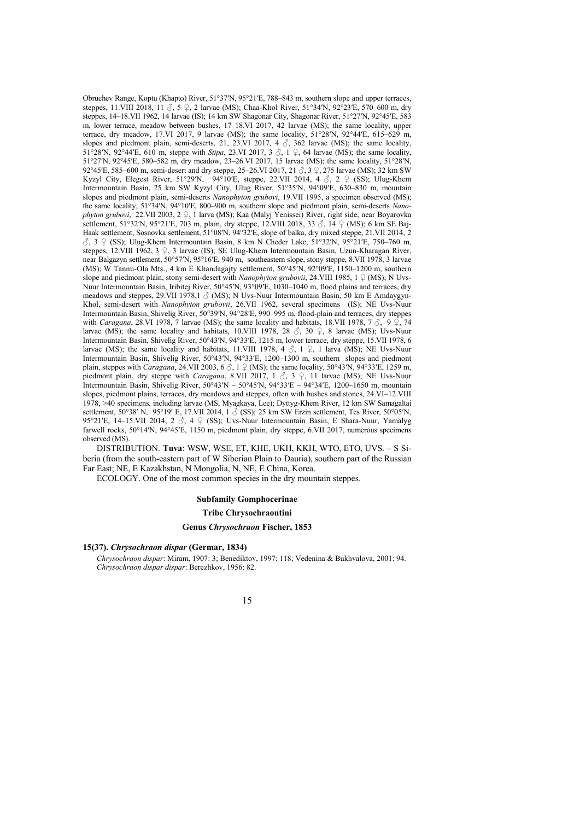Obruchev Range, Koptu (Khapto) River, 51°37ʹN, 95°21ʹE, 788–843 m, southern slope and upper terraces, steppes, 11.VIII 2018, 11 3, 5 9, 2 larvae (MS); Chaa-Khol River, 51°34′N, 92°23′E, 570–600 m, dry steppes, 14–18.VII 1962, 14 larvae (IS); 14 km SW Shagonar City, Shagonar River, 51°27′N, 92°45′E, 583 m, lower terrace, meadow between bushes, 17–18.VI 2017, 42 larvae (MS); the same locality, upper terrace, dry meadow, 17.VI 2017, 9 larvae (MS); the same locality,  $51^{\circ}28'N$ ,  $92^{\circ}44'E$ ,  $615-629$  m, slopes and piedmont plain, semi-deserts, 21, 23. VI 2017, 4  $\Im$ , 362 larvae (MS); the same locality, 51°28′N, 92°44′E, 610<sup>m</sup>, steppe with *Stipa*, 23.VI 2017, 3 ♂, 1 ♀, 64 larvae (MS); the same locality, 51°27ʹN, 92°45ʹE, 580–582 m, dry meadow, 23–26.VI 2017, 15 larvae (MS); the same locality, 51°28ʹN, 92°45′E, 585–600 m, semi-desert and dry steppe, 25–26.VI 2017, 21 ♂, 3 ♀, 275 larvae (MS); 32 km SW Kyzyl City, Elegest River, 51°29′N, 94°10′E, steppe, 22.VII 2014, 4  $\delta$ , 2  $\Omega$  (SS); Ulug-Khem Intermountain Basin, 25 km SW Kyzyl City, Ulug River, 51°35ʹN, 94°09ʹE, 630–830 m, mountain slopes and piedmont plain, semi-deserts *Nanophyton grubovi*, 19.VII 1995, a specimen observed (MS); the same locality, 51°34ʹN, 94°10ʹE, 800–900 m, southern slope and piedmont plain, semi-deserts *Nanophyton grubovi*, 22.VII 2003, 2 ♀, 1 larva (MS); Kaa (Malyj Yenissei) River, right side, near Boyarovka settlement, 51°32′N, 95°21′E, 703 m, plain, dry steppe, 12.VIII 2018, 33  $\delta$ , 14  $\Omega$  (MS); 6 km SE Baj-Haak settlement, Sosnovka settlement, 51°08ʹN, 94°32ʹE, slope of balka, dry mixed steppe, 21.VII 2014, 2  $\Im$ , 3  $\Im$  (SS); Ulug-Khem Intermountain Basin, 8 km N Cheder Lake, 51°32′N, 95°21′E, 750–760 m, steppes, 12.VIII 1962, 3 ♀, 3 larvae (IS); SE Ulug-Khem Intermountain Basin, Uzun-Kharagan River, near Balgazyn settlement, 50°57ʹN, 95°16ʹE, 940 m, southeastern slope, stony steppe, 8.VII 1978, 3 larvae (MS); W Tannu-Ola Mts., 4 km E Khandagajty settlement, 50°45ʹN, 92°09ʹE, 1150–1200 m, southern slope and piedmont plain, stony semi-desert with *Nanophyton grubovii*, 24.VIII 1985, 1 ♀ (MS); N Uvs-Nuur Intermountain Basin, Iribitej River, 50°45′N, 93°09′E, 1030–1040 m, flood plains and terraces, dry meadows and steppes, 29.VII 1978.1  $\beta$  (MS); N Uvs-Nuur Intermountain Basin, 50 km E Amdaygyn-Khol, semi-desert with *Nanophyton grubovii*, 26.VII 1962, several specimens (IS); NE Uvs-Nuur Intermountain Basin, Shivelig River, 50°39ʹN, 94°28ʹE, 990–995 m, flood-plain and terraces, dry steppes with *Caragana*, 28.VI 1978, 7 larvae (MS); the same locality and habitats, 18.VII 1978, 7  $\Im$ , 9  $\Im$ , 74 larvae (MS); the same locality and habitats, 10.VIII 1978, 28  $\Im$ , 30  $\Im$ , 8 larvae (MS); Uvs-Nuur Intermountain Basin, Shivelig River, 50°43ʹN, 94°33ʹE, 1215 m, lower terrace, dry steppe, 15.VII 1978, 6 larvae (MS); the same locality and habitats, 11.VIII 1978, 4  $\Im$ , 1  $\Im$ , 1 larva (MS); NE Uvs-Nuur Intermountain Basin, Shivelig River, 50°43′N, 94°33′E, 1200–1300 m, southern slopes and piedmont plain, steppes with *Caragana*, 24.VII 2003, 6 ♂, 1 ♀ (MS); the same locality, 50°43′N, 94°33′E, 1259 m, piedmont plain, dry steppe with *Caragana*, 8.VII 2017, 1 ♂, 3 ♀, 11 larvae (MS); NE Uvs-Nuur Intermountain Basin, Shivelig River,  $50^{\circ}43^{\prime}N - 50^{\circ}45^{\prime}N$ ,  $94^{\circ}33^{\prime}E - 94^{\circ}34^{\prime}E$ , 1200–1650 m, mountain slopes, piedmont plains, terraces, dry meadows and steppes, often with bushes and stones, 24.VI–12.VIII 1978, >40 specimens, including larvae (MS, Myagkaya, Lee); Dyttyg-Khem River, 12 km SW Samagaltai settlement, 50°38′ N, 95°19′ E, 17.VII 2014, 1  $\circ$  (SS); 25 km SW Erzin settlement, Tes River, 50°05′N, 95°21ʹE, 14–15.VII 2014, 2 ♂, 4 ♀ (SS); Uvs-Nuur Intermountain Basin, E Shara-Nuur, Yamalyg farwell rocks, 50°14′N, 94°45′E, 1150 m, piedmont plain, dry steppe, 6.VII 2017, numerous specimens observed (MS).

DISTRIBUTION. **Tuva**: WSW, WSE, ET, KHE, UKH, KKH, WTO, ETO, UVS. – S Siberia (from the south-eastern part of W Siberian Plain to Dauria), southern part of the Russian Far East; NE, E Kazakhstan, N Mongolia, N, NE, E China, Korea.

ECOLOGY. One of the most common species in the dry mountain steppes.

#### **Subfamily Gomphocerinae**

#### **Tribe Chrysochraontini**

### **Genus** *Chrysochraon* **Fischer, 1853**

# **15(37).** *Chrysochraon dispar* **(Germar, 1834)**

*Chrysochraon dispar*: Miram, 1907: 3; Benediktov, 1997: 118; Vedenina & Bukhvalova, 2001: 94. *Chrysochraon dispar dispar*: Berezhkov, 1956: 82.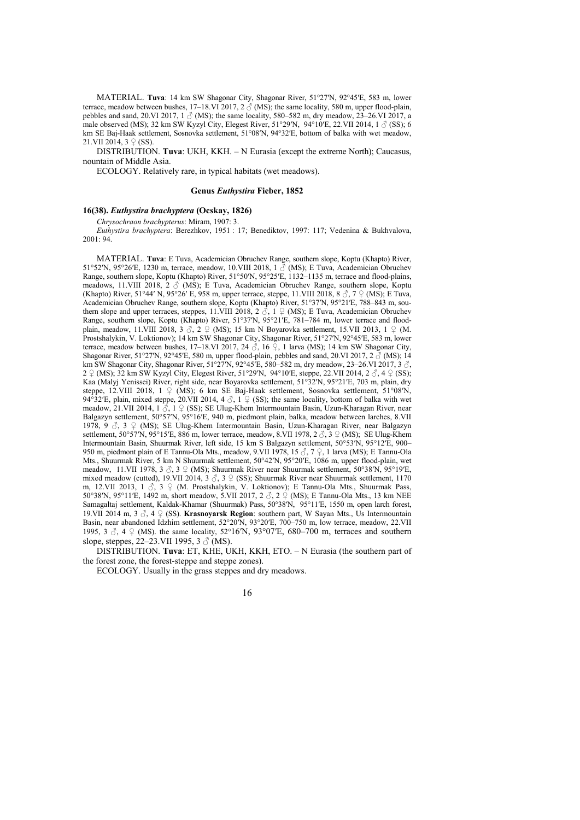MATERIAL. **Tuva**: 14 km SW Shagonar City, Shagonar River, 51°27ʹN, 92°45ʹE, 583 m, lower terrace, meadow between bushes,  $17-18. V1 2017$ ,  $2 \text{ } \text{\ensuremath{\beta}}$  (MS); the same locality, 580 m, upper flood-plain, pebbles and sand, 20.VI 2017,  $1 \text{ } \textcircled{S}$  (MS); the same locality, 580–582 m, dry meadow, 23–26.VI 2017, a male observed (MS); 32 km SW Kyzyl City, Elegest River, 51°29′N, 94°10′E, 22.VII 2014, 1  $\delta$  (SS); 6 km SE Baj-Haak settlement, Sosnovka settlement, 51°08ʹN, 94°32ʹE, bottom of balka with wet meadow, 21.VII 2014,  $3 \nsubseteq$  (SS).

DISTRIBUTION. **Tuva**: UKH, KKH. – N Eurasia (except the extreme North); Caucasus, nountain of Middle Asia.

ECOLOGY. Relatively rare, in typical habitats (wet meadows).

#### **Genus** *Euthystira* **Fieber, 1852**

# **16(38).** *Euthystira brachyptera* **(Ocskay, 1826)**

*Chrysochraon brachypterus*: Miram, 1907: 3.

*Euthystira brachyptera*: Berezhkov, 1951 : 17; Benediktov, 1997: 117; Vedenina & Bukhvalova,  $2001 \cdot 94$ 

MATERIAL. **Tuva**: E Tuva, Academician Obruchev Range, southern slope, Koptu (Khapto) River, 51°52′N, 95°26′E, 1230 m, terrace, meadow, 10.VIII 2018, 1  $\stackrel{3}{\circ}$  (MS); E Tuva, Academician Obruchev Range, southern slope, Koptu (Khapto) River, 51°50ʹN, 95°25ʹE, 1132–1135 m, terrace and flood-plains, meadows, 11.VIII 2018, 2  $\beta$  (MS); E Tuva, Academician Obruchev Range, southern slope, Koptu (Khapto) River, 51°44′ N, 95°26′ E, 958 m, upper terrace, steppe, 11.VIII 2018, 8  $\beta$ , 7  $\beta$  (MS); E Tuva, Academician Obruchev Range, southern slope, Koptu (Khapto) River, 51°37ʹN, 95°21ʹE, 788–843 m, southern slope and upper terraces, steppes, 11.VIII 2018, 2  $\vec{\hat{C}}$ , 1  $\hat{V}$  (MS); E Tuva, Academician Obruchev Range, southern slope, Koptu (Khapto) River, 51°37′N, 95°21′E, 781–784 m, lower terrace and floodplain, meadow, 11.VIII 2018, 3  $\delta$ , 2  $\circ$  (MS); 15 km N Boyarovka settlement, 15.VII 2013, 1  $\circ$  (M. Prostshalykin, V. Loktionov); 14 km SW Shagonar City, Shagonar River, 51°27ʹN, 92°45ʹE, 583 m, lower terrace, meadow between bushes, 17–18.VI 2017, 24  $\check{O}$ , 16  $\check{P}$ , 1 larva (MS); 14 km SW Shagonar City, Shagonar River, 51°27′N, 92°45′E, 580 m, upper flood-plain, pebbles and sand, 20.VI 2017, 2  $\delta$  (MS); 14 km SW Shagonar City, Shagonar River, 51°27′N, 92°45′E, 580–582 m, dry meadow, 23–26.VI 2017, 3 3, 2  $\varphi$  (MS); 32 km SW Kyzyl City, Elegest River, 51°29′N, 94°10′E, steppe, 22.VII 2014, 2  $\vartheta$ , 4  $\varphi$  (SS); Kaa (Malyj Yenissei) River, right side, near Boyarovka settlement, 51°32ʹN, 95°21ʹE, 703 m, plain, dry steppe, 12.VIII 2018, 1  $\circ$  (MS); 6 km SE Baj-Haak settlement, Sosnovka settlement, 51°08′N, 94°32′E, plain, mixed steppe, 20.VII 2014, 4  $\delta$ , 1  $\circ$  (SS); the same locality, bottom of balka with wet meadow, 21.VII 2014,  $1 \text{ } \textcircled{.} 1 \text{ } \textcircled{.}$  (SS); SE Ulug-Khem Intermountain Basin, Uzun-Kharagan River, near Balgazyn settlement, 50°57ʹN, 95°16ʹE, 940 m, piedmont plain, balka, meadow between larches, 8.VII 1978, 9 ♂, 3 ♀ (MS); SE Ulug-Khem Intermountain Basin, Uzun-Kharagan River, near Balgazyn settlement, 50°57′N, 95°15′E, 886 m, lower terrace, meadow, 8.VII 1978, 2  $\delta$ , 3  $\circ$  (MS); SE Ulug-Khem Intermountain Basin, Shuurmak River, left side, 15 km S Balgazyn settlement, 50°53ʹN, 95°12ʹE, 900– 950 m, piedmont plain of E Tannu-Ola Mts., meadow, 9.VII 1978, 15 ♂, 7 ♀, 1 larva (MS); E Tannu-Ola Mts., Shuurmak River, 5 km N Shuurmak settlement, 50°42ʹN, 95°20ʹE, 1086 m, upper flood-plain, wet meadow, 11.VII 1978, 3  $\zeta$ , 3  $\zeta$  (MS); Shuurmak River near Shuurmak settlement, 50°38′N, 95°19′E, mixed meadow (cutted), 19.VII 2014,  $3 \text{ } \textcircled{}$ , 3  $\textcircled{}$  (SS); Shuurmak River near Shuurmak settlement, 1170 m, 12.VII 2013, 1 3, 3 ♀ (M. Prostshalykin, V. Loktionov); E Tannu-Ola Mts., Shuurmak Pass, 50°38′N, 95°11′E, 1492 m, short meadow, 5.VII 2017, 2  $\Im$ , 2  $\Im$  (MS); E Tannu-Ola Mts., 13 km NEE Samagaltaj settlement, Kaldak-Khamar (Shuurmak) Pass, 50°38ʹN, 95°11ʹE, 1550 m, open larch forest, 19.VII 2014 m, 3 ♂, 4 ♀ (SS). **Krasnoyarsk Region**: southern part, W Sayan Mts., Us Intermountain Basin, near abandoned Idzhim settlement, 52°20′N, 93°20′E, 700-750 m, low terrace, meadow, 22.VII 1995, 3  $\Im$ , 4  $\Im$  (MS). the same locality, 52°16′N, 93°07′E, 680–700 m, terraces and southern slope, steppes, 22–23. VII 1995, 3  $\beta$  (MS).

DISTRIBUTION. **Tuva**: ET, KHE, UKH, KKH, ETO. – N Eurasia (the southern part of the forest zone, the forest-steppe and steppe zones).

ECOLOGY. Usually in the grass steppes and dry meadows.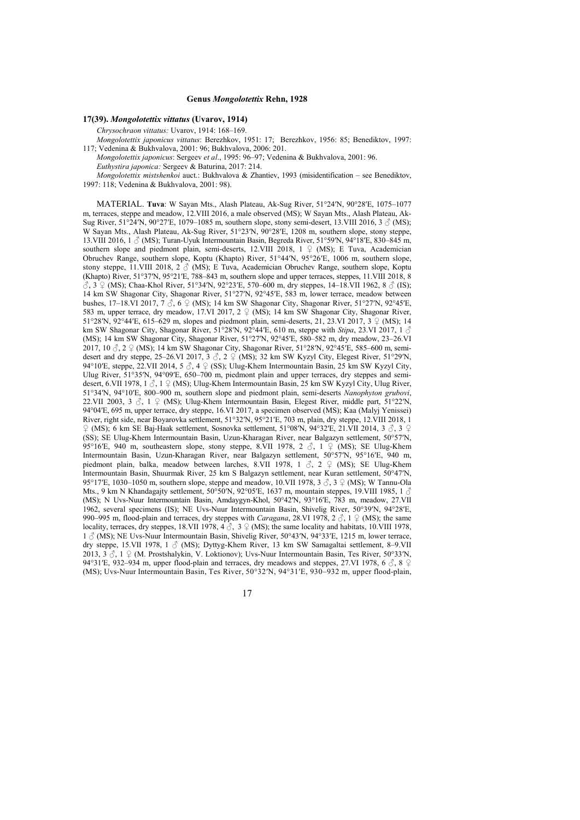#### **Genus** *Mongolotettix* **Rehn, 1928**

#### **17(39).** *Mongolotettix vittatus* **(Uvarov, 1914)**

*Chrysochraon vittatus:* Uvarov, 1914: 168–169.

*Mongolotettix japonicus vittatus*: Berezhkov, 1951: 17; Berezhkov, 1956: 85; Benediktov, 1997: 117; Vedenina & Bukhvalova, 2001: 96; Bukhvalova, 2006: 201.

*Mongolotettix japonicus*: Sergeev *et al*., 1995: 96–97; Vedenina & Bukhvalova, 2001: 96. *Euthystira japonica:* Sergeev & Baturina, 2017: 214.

*Mongolotettix mistshenkoi* auct.: Bukhvalova & Zhantiev, 1993 (misidentification – see Benediktov, 1997: 118; Vedenina & Bukhvalova, 2001: 98).

MATERIAL. **Tuva**: W Sayan Mts., Alash Plateau, Ak-Sug River, 51°24ʹN, 90°28ʹE, 1075–1077 m, terraces, steppe and meadow, 12.VIII 2016, a male observed (MS); W Sayan Mts., Alash Plateau, Ak-Sug River,  $51^{\circ}24^{\prime}N$ ,  $90^{\circ}27^{\prime}E$ ,  $1079-1085$  m, southern slope, stony semi-desert, 13.VIII 2016, 3  $\circ$  (MS); W Sayan Mts., Alash Plateau, Ak-Sug River, 51°23ʹN, 90°28ʹE, 1208 m, southern slope, stony steppe, 13.VIII 2016, 1 ♂ (MS); Turan-Uyuk Intermountain Basin, Begreda River, 51°59ʹN, 94°18ʹE, 830–845 m, southern slope and piedmont plain, semi-deserts,  $12$  VIII 2018,  $1 \nsubseteq (MS)$ ; E Tuva, Academician Obruchev Range, southern slope, Koptu (Khapto) River, 51°44ʹN, 95°26ʹE, 1006 m, southern slope, stony steppe, 11.VIII 2018, 2  $\circ$  (MS); E Tuva, Academician Obruchev Range, southern slope, Koptu (Khapto) River, 51°37ʹN, 95°21ʹE, 788–843 m, southern slope and upper terraces, steppes, 11.VIII 2018, 8  $\hat{\beta}$ , 3 ♀ (MS); Chaa-Khol River, 51°34′N, 92°23′E, 570–600 m, dry steppes, 14–18.VII 1962, 8 ♂ (IS); 14 km SW Shagonar City, Shagonar River, 51°27ʹN, 92°45ʹE, 583 m, lower terrace, meadow between bushes, 17–18.VI 2017,  $\vec{7}$   $\vec{6}$ ,  $\vec{6}$   $\cong$  (MS); 14 km SW Shagonar City, Shagonar River, 51°27′N, 92°45′E, 583 m, upper terrace, dry meadow, 17.VI 2017,  $2 \nsubseteq (MS)$ ; 14 km SW Shagonar City, Shagonar River, 51°28′N, 92°44′E, 615–629 m, slopes and piedmont plain, semi-deserts, 21, 23.VI 2017, 3  $\circ$  (MS); 14 km SW Shagonar City, Shagonar River, 51°28′N, 92°44′E, 610 m, steppe with *Stipa*, 23.VI 2017, 1 3 (MS); 14 km SW Shagonar City, Shagonar River, 51°27ʹN, 92°45ʹE, 580–582 m, dry meadow, 23–26.VI 2017, 10  $\zeta$ , 2  $\Im$  (MS); 14 km SW Shagonar City, Shagonar River, 51°28′N, 92°45′E, 585–600 m, semidesert and dry steppe, 25–26.VI 2017,  $3 \text{ } \textcircled{}$ ,  $2 \text{ } \textcircled{}$  (MS); 32 km SW Kyzyl City, Elegest River, 51°29′N, 94°10′E, steppe, 22.VII 2014, 5  $\circled{S}$ , 4  $\circled{S}$  (SS); Ulug-Khem Intermountain Basin, 25 km SW Kyzyl City, Ulug River, 51°35′N, 94°09′E, 650–700 m, piedmont plain and upper terraces, dry steppes and semidesert, 6.VII 1978, 1  $\circ$ , (MS); Ulug-Khem Intermountain Basin, 25 km SW Kyzyl City, Ulug River, 51°34ʹN, 94°10ʹE, 800–900 m, southern slope and piedmont plain, semi-deserts *Nanophyton grubovi*, 22.VII 2003, 3  $\Im$ , 1  $\Im$  (MS); Ulug-Khem Intermountain Basin, Elegest River, middle part, 51°22′N, 94°04ʹE, 695 m, upper terrace, dry steppe, 16.VI 2017, a specimen observed (MS); Kaa (Malyj Yenissei) River, right side, near Boyarovka settlement, 51°32ʹN, 95°21ʹE, 703 m, plain, dry steppe, 12.VIII 2018, 1  $\varphi$  (MS); 6 km SE Baj-Haak settlement, Sosnovka settlement, 51°08′N, 94°32′E, 21.VII 2014, 3  $\beta$ , 3  $\varphi$ (SS); SE Ulug-Khem Intermountain Basin, Uzun-Kharagan River, near Balgazyn settlement, 50°57ʹN, 95°16′E, 940 m, southeastern slope, stony steppe, 8.VII 1978, 2  $\Im$ , 1  $\Im$  (MS); SE Ulug-Khem Intermountain Basin, Uzun-Kharagan River, near Balgazyn settlement, 50°57ʹN, 95°16ʹE, 940 m, piedmont plain, balka, meadow between larches, 8.VII 1978, 1  $\Im$ , 2  $\Im$  (MS); SE Ulug-Khem Intermountain Basin, Shuurmak River, 25 km S Balgazyn settlement, near Kuran settlement, 50°47ʹN, 95°17′E, 1030–1050 m, southern slope, steppe and meadow, 10.VII 1978, 3  $\Im$ , 3  $\Im$  (MS); W Tannu-Ola Mts., 9 km N Khandagajty settlement, 50°50′N, 92°05′E, 1637 m, mountain steppes, 19.VIII 1985, 1  $\beta$ (MS); N Uvs-Nuur Intermountain Basin, Amdaygyn-Khol, 50°42ʹN, 93°16ʹE, 783 m, meadow, 27.VII 1962, several specimens (IS); NE Uvs-Nuur Intermountain Basin, Shivelig River, 50°39ʹN, 94°28ʹE, 990–995 m, flood-plain and terraces, dry steppes with *Caragana*, 28.VI 1978, 2  $\beta$ , 1  $\beta$  (MS); the same locality, terraces, dry steppes, 18.VII 1978,  $4\hat{S}$ , 3  $\hat{P}$  (MS); the same locality and habitats, 10.VIII 1978,  $1 \text{ } \textcircled{}$  (MS); NE Uvs-Nuur Intermountain Basin, Shivelig River, 50°43′N, 94°33′E, 1215 m, lower terrace, dry steppe, 15.VII 1978, 1  $\circ$  (MS); Dyttyg-Khem River, 13 km SW Samagaltai settlement, 8-9.VII 2013, 3  $\Im$ , 1  $\Im$  (M. Prostshalykin, V. Loktionov); Uvs-Nuur Intermountain Basin, Tes River, 50°33′N, 94°31′E, 932–934 m, upper flood-plain and terraces, dry meadows and steppes, 27.VI 1978, 6  $\circ$ , 8  $\circ$ (MS); Uvs-Nuur Intermountain Basin, Tes River, 50°32ʹN, 94°31ʹE, 930–932 m, upper flood-plain,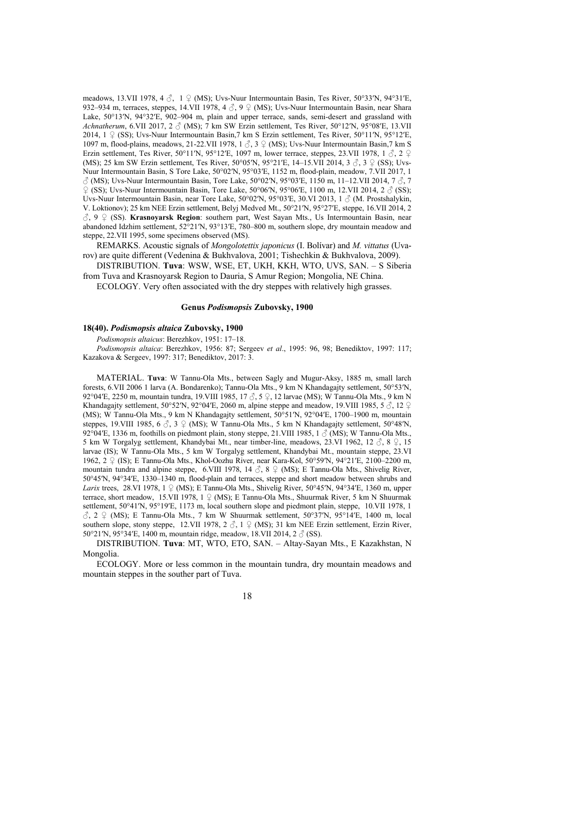meadows, 13.VII 1978, 4  $\delta$ , 1  $\Omega$  (MS); Uvs-Nuur Intermountain Basin, Tes River, 50°33′N, 94°31′E, 932–934 m, terraces, steppes, 14.VII 1978, 4  $\circ$ , 9  $\circ$  (MS); Uvs-Nuur Intermountain Basin, near Shara Lake, 50°13′N, 94°32′E, 902–904 m, plain and upper terrace, sands, semi-desert and grassland with *Achnatherum*, 6.VII 2017, 2 ♂ (MS); 7 km SW Erzin settlement, Tes River, 50°12ʹN, 95°08ʹE, 13.VII 2014, 1  $\varphi$  (SS); Uvs-Nuur Intermountain Basin,7 km S Erzin settlement, Tes River, 50°11′N, 95°12′E, 1097 m, flood-plains, meadows, 21-22.VII 1978, 1 ♂, 3 ♀ (MS); Uvs-Nuur Intermountain Basin,7 km S Erzin settlement, Tes River, 50°11′N, 95°12′E, 1097 m, lower terrace, steppes, 23.VII 1978, 1  $\beta$ , 2  $\beta$ (MS); 25 km SW Erzin settlement, Tes River, 50°05′N, 95°21′E, 14–15.VII 2014, 3  $\zeta$ , 3  $\frac{1}{2}$  (SS); Uvs-Nuur Intermountain Basin, S Tore Lake, 50°02′N, 95°03′E, 1152 m, flood-plain, meadow, 7.VII 2017, 1  $\hat{\circ}$  (MS); Uvs-Nuur Intermountain Basin, Tore Lake, 50°02′N, 95°03′E, 1150 m, 11–12.VII 2014, 7 $\hat{\circ}$ , 7  $\varphi$  (SS); Uvs-Nuur Intermountain Basin, Tore Lake, 50°06′N, 95°06′E, 1100 m, 12.VII 2014, 2  $\varphi$  (SS); Uvs-Nuur Intermountain Basin, near Tore Lake, 50°02′N, 95°03′E, 30.VI 2013, 1 ♂ (M. Prostshalykin, V. Loktionov); 25 km NEE Erzin settlement, Belyj Medved Mt., 50°21ʹN, 95°27ʹE, steppe, 16.VII 2014, 2 ♂, 9 ♀ (SS). **Krasnoyarsk Region**: southern part, West Sayan Mts., Us Intermountain Basin, near abandoned Idzhim settlement, 52°21′N, 93°13′E, 780–800 m, southern slope, dry mountain meadow and steppe, 22.VII 1995, some specimens observed (MS).

REMARKS. Acoustic signals of *Mongolotettix japonicus* (I. Bolívar) and *M. vittatus* (Uvarov) are quite different (Vedenina & Bukhvalova, 2001; Tishechkin & Bukhvalova, 2009).

DISTRIBUTION. **Tuva**: WSW, WSE, ET, UKH, KKH, WTO, UVS, SAN. – S Siberia from Tuva and Krasnoyarsk Region to Dauria, S Amur Region; Mongolia, NE China.

ECOLOGY. Very often associated with the dry steppes with relatively high grasses.

### **Genus** *Podismopsis* **Zubovsky, 1900**

### **18(40).** *Podismopsis altaica* **Zubovsky, 1900**

*Podismopsis altaicus*: Berezhkov, 1951: 17–18.

*Podismopsis altaica*: Berezhkov, 1956: 87; Sergeev *et al*., 1995: 96, 98; Benediktov, 1997: 117; Kazakova & Sergeev, 1997: 317; Benediktov, 2017: 3.

MATERIAL. **Tuva**: W Tannu-Ola Mts., between Sagly and Mugur-Aksy, 1885 m, small larch forests, 6.VII 2006 1 larva (A. Bondarenko); Tannu-Ola Mts., 9 km N Khandagajty settlement, 50°53ʹN, 92°04′E, 2250 m, mountain tundra, 19.VIII 1985, 17  $\Im$ , 5  $\Im$ , 12 larvae (MS); W Tannu-Ola Mts., 9 km N Khandagajty settlement, 50°52′N, 92°04′E, 2060 m, alpine steppe and meadow, 19.VIII 1985, 5  $\Im$ , 12  $\Im$ (MS); W Tannu-Ola Mts., 9 km N Khandagajty settlement, 50°51ʹN, 92°04ʹE, 1700–1900 m, mountain steppes, 19.VIII 1985, 6  $\beta$ , 3  $\beta$  (MS); W Tannu-Ola Mts., 5 km N Khandagajty settlement, 50°48′N, 92°04′E, 1336 m, foothills on piedmont plain, stony steppe, 21.VIII 1985, 1  $\circ$  (MS); W Tannu-Ola Mts., 5 km W Torgalyg settlement, Khandybai Mt., near timber-line, meadows, 23.VI 1962, 12 ♂, 8 ♀, 15 larvae (IS); W Tannu-Ola Mts., 5 km W Torgalyg settlement, Khandybai Mt., mountain steppe, 23.VI 1962, 2 ♀ (IS); E Tannu-Ola Mts., Khol-Oozhu River, near Kara-Kol, 50°59ʹN, 94°21ʹE, 2100–2200 m, mountain tundra and alpine steppe, 6.VIII 1978, 14  $\Im$ , 8  $\Im$  (MS); E Tannu-Ola Mts., Shivelig River, 50°45ʹN, 94°34ʹE, 1330–1340 m, flood-plain and terraces, steppe and short meadow between shrubs and *Larix* trees, 28.VI 1978, 1 ♀ (MS); E Tannu-Ola Mts., Shivelig River, 50°45′N, 94°34′E, 1360 m, upper terrace, short meadow, 15.VII 1978, 1 ♀ (MS); E Tannu-Ola Mts., Shuurmak River, 5 km N Shuurmak settlement, 50°41′N, 95°19′E, 1173 m, local southern slope and piedmont plain, steppe, 10.VII 1978, 1  $\Im$ , 2  $\Im$  (MS); E Tannu-Ola Mts., 7 km W Shuurmak settlement, 50°37′N, 95°14′E, 1400 m, local southern slope, stony steppe, 12.VII 1978, 2  $\delta$ , 1  $\Omega$  (MS); 31 km NEE Erzin settlement, Erzin River, 50°21′N, 95°34′E, 1400 m, mountain ridge, meadow, 18.VII 2014, 2  $\beta$  (SS).

DISTRIBUTION. **Tuva**: MT, WTO, ETO, SAN. – Altay-Sayan Mts., E Kazakhstan, N Mongolia.

ECOLOGY. More or less common in the mountain tundra, dry mountain meadows and mountain steppes in the souther part of Tuva.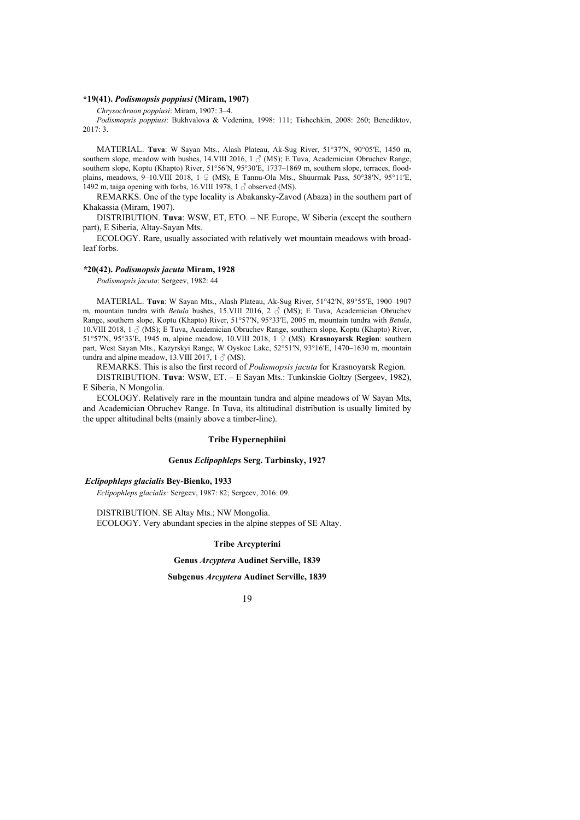### **\*19(41).** *Podismopsis poppiusi* **(Miram, 1907)**

*Chrysochraon poppiusi*: Miram, 1907: 3–4.

*Podismopsis poppiusi*: Bukhvalova & Vedenina, 1998: 111; Tishechkin, 2008: 260; Benediktov,  $2017.3$ 

MATERIAL. **Tuva**: W Sayan Mts., Alash Plateau, Ak-Sug River, 51°37ʹN, 90°05ʹE, 1450 m, southern slope, meadow with bushes, 14.VIII 2016, 1  $\circ$  (MS); E Tuva, Academician Obruchev Range, southern slope, Koptu (Khapto) River, 51°56′N, 95°30′E, 1737–1869 m, southern slope, terraces, floodplains, meadows,  $9-10$ , VIII 2018,  $1 \nsubseteq (MS)$ ; E Tannu-Ola Mts., Shuurmak Pass, 50°38′N, 95°11′E, 1492 m, taiga opening with forbs, 16.VIII 1978, 1 **♂** observed (MS).

REMARKS. One of the type locality is Abakansky-Zavod (Abaza) in the southern part of Khakassia (Miram, 1907).

DISTRIBUTION. **Tuva**: WSW, ET, ETO. – NE Europe, W Siberia (except the southern part), E Siberia, Altay-Sayan Mts.

ECOLOGY. Rare, usually associated with relatively wet mountain meadows with broadleaf forbs.

#### *\****20(42).** *Podismopsis jacuta* **Miram, 1928**

*Podismopsis jacuta*: Sergeev, 1982: 44

MATERIAL. **Tuva**: W Sayan Mts., Alash Plateau, Ak-Sug River, 51°42ʹN, 89°55ʹE, 1900–1907 m, mountain tundra with *Betula* bushes, 15.VIII 2016, 2 ♂ (MS); E Tuva, Academician Obruchev Range, southern slope, Koptu (Khapto) River, 51°57ʹN, 95°33ʹE, 2005 m, mountain tundra with *Betula*, 10.VIII 2018, 1 ♂ (MS); E Tuva, Academician Obruchev Range, southern slope, Koptu (Khapto) River, 51°57ʹN, 95°33ʹE, 1945 m, alpine meadow, 10.VIII 2018, 1 ♀ (MS). **Krasnoyarsk Region**: southern part, West Sayan Mts., Kazyrskyi Range, W Oyskoe Lake, 52°51′N, 93°16′E, 1470–1630 m, mountain tundra and alpine meadow, 13.VIII 2017, 1  $\circled{c}$  (MS).

REMARKS. This is also the first record of *Podismopsis jacuta* for Krasnoyarsk Region.

DISTRIBUTION. **Tuva**: WSW, ET. – E Sayan Mts.: Tunkinskie Goltzy (Sergeev, 1982), E Siberia, N Mongolia.

ECOLOGY. Relatively rare in the mountain tundra and alpine meadows of W Sayan Mts, and Academician Obruchev Range. In Tuva, its altitudinal distribution is usually limited by the upper altitudinal belts (mainly above a timber-line).

### **Tribe Hypernephiini**

#### **Genus** *Eclipophleps* **Serg. Tarbinsky, 1927**

# *Eclipophleps glacialis* **Bey-Bienko, 1933**

*Eclipophleps glacialis:* Sergeev, 1987: 82; Sergeev, 2016: 09.

DISTRIBUTION. SE Altay Mts.; NW Mongolia. ECOLOGY. Very abundant species in the alpine steppes of SE Altay.

### **Tribe Arcypterini**

### **Genus** *Arcyptera* **Audinet Serville, 1839**

**Subgenus** *Arcyptera* **Audinet Serville, 1839**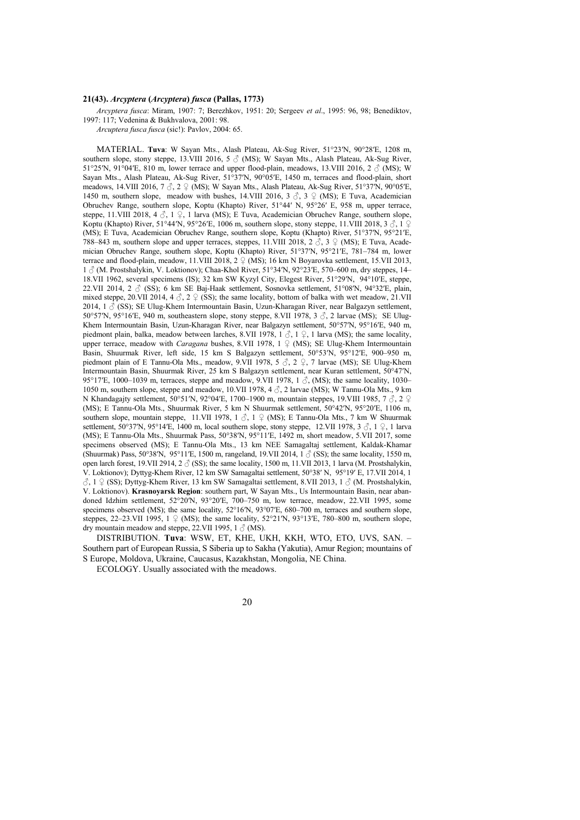# **21(43).** *Arcyptera* **(***Arcyptera***)** *fusca* **(Pallas, 1773)**

*Arcyptera fusca*: Miram, 1907: 7; Berezhkov, 1951: 20; Sergeev *et al*., 1995: 96, 98; Benediktov, 1997: 117; Vedenina & Bukhvalova, 2001: 98.

*Arcuptera fusca fusca* (sic!): Pavlov, 2004: 65.

MATERIAL. **Tuva**: W Sayan Mts., Alash Plateau, Ak-Sug River, 51°23ʹN, 90°28ʹE, 1208 m, southern slope, stony steppe, 13.VIII 2016, 5  $\beta$  (MS); W Sayan Mts., Alash Plateau, Ak-Sug River, 51°25′N, 91°04′E, 810 m, lower terrace and upper flood-plain, meadows, 13.VIII 2016, 2  $\circ$  (MS); W Sayan Mts., Alash Plateau, Ak-Sug River, 51°37ʹN, 90°05ʹE, 1450 m, terraces and flood-plain, short meadows, 14.VIII 2016, 7  $\delta$ , 2  $\Omega$  (MS); W Sayan Mts., Alash Plateau, Ak-Sug River, 51°37′N, 90°05′E, 1450 m, southern slope, meadow with bushes, 14.VIII 2016, 3  $\circ$ , 3  $\circ$  (MS); E Tuva, Academician Obruchev Range, southern slope, Koptu (Khapto) River, 51°44ʹ N, 95°26ʹ E, 958 m, upper terrace, steppe, 11.VIII 2018, 4  $\Im$ , 1  $\Im$ , 1 larva (MS); E Tuva, Academician Obruchev Range, southern slope, Koptu (Khapto) River, 51°44′N, 95°26′E, 1006 m, southern slope, stony steppe, 11.VIII 2018, 3  $\circled$ , 1  $\circ$ (MS); E Tuva, Academician Obruchev Range, southern slope, Koptu (Khapto) River, 51°37ʹN, 95°21ʹE, 788–843 m, southern slope and upper terraces, steppes, 11.VIII 2018, 2  $\circled{S}$ , 3  $\circled{S}$  (MS); E Tuva, Academician Obruchev Range, southern slope, Koptu (Khapto) River, 51°37ʹN, 95°21ʹE, 781–784 m, lower terrace and flood-plain, meadow, 11.VIII 2018, 2 ♀ (MS); 16 km N Boyarovka settlement, 15.VII 2013, 1  $\circ$  (M. Prostshalykin, V. Loktionov); Chaa-Khol River, 51°34′N, 92°23′E, 570–600 m, dry steppes, 14– 18.VII 1962, several specimens (IS); 32 km SW Kyzyl City, Elegest River, 51°29ʹN, 94°10ʹE, steppe, 22.VII 2014, 2  $\circ$  (SS); 6 km SE Baj-Haak settlement, Sosnovka settlement, 51°08′N, 94°32′E, plain, mixed steppe, 20.VII 2014, 4  $\delta$ , 2  $\circ$  (SS); the same locality, bottom of balka with wet meadow, 21.VII 2014, 1  $\vec{\gamma}$  (SS); SE Ulug-Khem Intermountain Basin, Uzun-Kharagan River, near Balgazyn settlement, 50°57′N, 95°16′E, 940 m, southeastern slope, stony steppe, 8.VII 1978, 3  $\beta$ , 2 larvae (MS); SE Ulug-Khem Intermountain Basin, Uzun-Kharagan River, near Balgazyn settlement, 50°57ʹN, 95°16ʹE, 940 m, piedmont plain, balka, meadow between larches, 8.VII 1978, 1 ♂, 1 ♀, 1 larva (MS); the same locality, upper terrace, meadow with *Caragana* bushes, 8.VII 1978, 1 ♀ (MS); SE Ulug-Khem Intermountain Basin, Shuurmak River, left side, 15 km S Balgazyn settlement, 50°53ʹN, 95°12ʹE, 900–950 m, piedmont plain of E Tannu-Ola Mts., meadow, 9.VII 1978, 5 ♂, 2 ♀, 7 larvae (MS); SE Ulug-Khem Intermountain Basin, Shuurmak River, 25 km S Balgazyn settlement, near Kuran settlement, 50°47ʹN, 95°17′E, 1000–1039 m, terraces, steppe and meadow, 9.VII 1978, 1 $\sigma$ , (MS); the same locality, 1030– 1050 m, southern slope, steppe and meadow, 10.VII 1978, 4  $\delta$ , 2 larvae (MS); W Tannu-Ola Mts., 9 km N Khandagajty settlement, 50°51′N, 92°04′E, 1700–1900′m, mountain steppes, 19.VIII 1985, 7 $\stackrel{\circ}{\circ}$ , 2  $\stackrel{\circ}{\circ}$ (MS); E Tannu-Ola Mts., Shuurmak River, 5 km N Shuurmak settlement, 50°42ʹN, 95°20ʹE, 1106 m, southern slope, mountain steppe, 11.VII 1978,  $1 \leq \Lambda$ , 1  $\varphi$  (MS); E Tannu-Ola Mts., 7 km W Shuurmak settlement, 50°37′N, 95°14′E, 1400 m, local southern slope, stony steppe, 12.VII 1978, 3  $\beta$ , 1  $\beta$ , 1 larva (MS); E Tannu-Ola Mts., Shuurmak Pass, 50°38ʹN, 95°11ʹE, 1492 m, short meadow, 5.VII 2017, some specimens observed (MS); E Tannu-Ola Mts., 13 km NEE Samagaltaj settlement, Kaldak-Khamar (Shuurmak) Pass, 50°38ʹN, 95°11ʹE, 1500 m, rangeland, 19.VII 2014, 1 ♂ (SS); the same locality, 1550 m, open larch forest, 19.VII 2914, 2  $\delta$  (SS); the same locality, 1500 m, 11.VII 2013, 1 larva (M. Prostshalykin, V. Loktionov); Dyttyg-Khem River, 12 km SW Samagaltai settlement, 50°38ʹ N, 95°19ʹ E, 17.VII 2014, 1  $\Im$ ,  $1 \nsubseteq$  (SS); Dyttyg-Khem River, 13 km SW Samagaltai settlement, 8.VII 2013, 1  $\Im$  (M. Prostshalykin, V. Loktionov). **Krasnoyarsk Region**: southern part, W Sayan Mts., Us Intermountain Basin, near abandoned Idzhim settlement, 52°20′N, 93°20′E, 700–750 m, low terrace, meadow, 22.VII 1995, some specimens observed (MS); the same locality, 52°16′N, 93°07′E, 680-700 m, terraces and southern slope, steppes, 22–23.VII 1995, 1  $\circ$  (MS); the same locality, 52°21′N, 93°13′E, 780–800 m, southern slope, dry mountain meadow and steppe, 22. VII 1995,  $1 \circ$  (MS).

DISTRIBUTION. **Tuva**: WSW, ET, KHE, UKH, KKH, WTO, ETO, UVS, SAN. – Southern part of European Russia, S Siberia up to Sakha (Yakutia), Amur Region; mountains of S Europe, Moldova, Ukraine, Caucasus, Kazakhstan, Mongolia, NE China.

ECOLOGY. Usually associated with the meadows.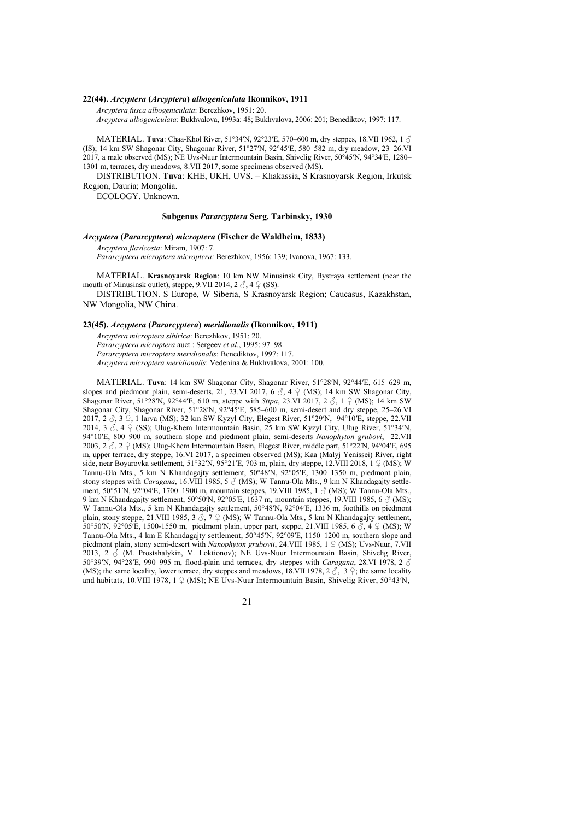### **22(44).** *Arcyptera* **(***Arcyptera***)** *albogeniculata* **Ikonnikov, 1911**

*Arcyptera fusca albogeniculata*: Berezhkov, 1951: 20.

*Arcyptera albogeniculata*: Bukhvalova, 1993а: 48; Bukhvalova, 2006: 201; Benediktov, 1997: 117.

MATERIAL. **Tuva**: Chaa-Khol River, 51°34′N, 92°23′E, 570–600 m, dry steppes, 18.VII 1962, 1 ♂ (IS); 14 km SW Shagonar City, Shagonar River, 51°27ʹN, 92°45ʹE, 580–582 m, dry meadow, 23–26.VI 2017, a male observed (MS); NE Uvs-Nuur Intermountain Basin, Shivelig River, 50°45ʹN, 94°34ʹE, 1280– 1301 m, terraces, dry meadows, 8.VII 2017, some specimens observed (MS).

DISTRIBUTION. **Tuva**: KHE, UKH, UVS. – Khakassia, S Krasnoyarsk Region, Irkutsk Region, Dauria; Mongolia.

ECOLOGY. Unknown.

#### **Subgenus** *Pararcyptera* **Serg. Tarbinsky, 1930**

#### *Arcyptera* **(***Pararcyptera***)** *microptera* **(Fischer de Waldheim, 1833)**

*Arcyptera flavicosta*: Miram, 1907: 7. *Pararcyptera microptera microptera:* Berezhkov, 1956: 139; Ivanova, 1967: 133.

MATERIAL. **Krasnoyarsk Region**: 10 km NW Minusinsk City, Bystraya settlement (near the mouth of Minusinsk outlet), steppe, 9.VII 2014, 2  $\beta$ , 4  $\circ$  (SS).

DISTRIBUTION. S Europe, W Siberia, S Krasnoyarsk Region; Caucasus, Kazakhstan, NW Mongolia, NW China.

### **23(45).** *Arcyptera* **(***Pararcyptera***)** *meridionalis* **(Ikonnikov, 1911)**

*Arcyptera microptera sibirica*: Berezhkov, 1951: 20. *Pararcyptera microptera* auct.: Sergeev *et al.*, 1995: 97–98. *Pararcyptera microptera meridionalis*: Benediktov, 1997: 117. *Arcyptera microptera meridionalis*: Vedenina & Bukhvalova, 2001: 100.

MATERIAL. **Tuva**: 14 km SW Shagonar City, Shagonar River, 51°28ʹN, 92°44ʹE, 615–629 m, slopes and piedmont plain, semi-deserts, 21, 23.VI 2017,  $\vec{6}$   $\beta$ , 4  $\Omega$  (MS); 14 km SW Shagonar City, Shagonar River, 51°28ʹN, 92°44ʹE, 610 m, steppe with *Stipa*, 23.VI 2017, 2 ♂, 1 ♀ (MS); 14 km SW Shagonar City, Shagonar River, 51°28ʹN, 92°45ʹE, 585–600 m, semi-desert and dry steppe, 25–26.VI 2017, 2  $\Im$ , 3  $\Im$ , 1 larva (MS); 32 km SW Kyzyl City, Elegest River, 51°29′N, 94°10′E, steppe, 22.VII 2014, 3  $\Im$ , 4  $\Im$  (SS); Ulug-Khem Intermountain Basin, 25 km SW Kyzyl City, Ulug River, 51°34′N, 94°10ʹE, 800–900 m, southern slope and piedmont plain, semi-deserts *Nanophyton grubovi*, 22.VII 2003, 2  $\beta$ , 2  $\beta$  (MS); Ulug-Khem Intermountain Basin, Elegest River, middle part, 51°22′N, 94°04′E, 695 m, upper terrace, dry steppe, 16.VI 2017, a specimen observed (MS); Kaa (Malyj Yenissei) River, right side, near Boyarovka settlement, 51°32′N, 95°21′E, 703 m, plain, dry steppe, 12.VIII 2018, 1  $\Omega$  (MS); W Tannu-Ola Mts., 5 km N Khandagajty settlement, 50°48ʹN, 92°05ʹE, 1300–1350 m, piedmont plain, stony steppes with *Caragana*, 16.VIII 1985, 5  $\circ$  (MS); W Tannu-Ola Mts., 9 km N Khandagajty settlement, 50°51′N, 92°04′E, 1700-1900 m, mountain steppes, 19.VIII 1985, 1 3 (MS); W Tannu-Ola Mts., 9 km N Khandagajty settlement, 50°50′N, 92°05′E, 1637 m, mountain steppes, 19.VIII 1985, 6  $\Im$  (MS); W Tannu-Ola Mts., 5 km N Khandagajty settlement, 50°48ʹN, 92°04ʹE, 1336 m, foothills on piedmont plain, stony steppe, 21.VIII 1985,  $3 \hat{\beta}$ ,  $7 \hat{2}$  (MS); W Tannu-Ola Mts., 5 km N Khandagajty settlement, 50°50′N, 92°05′E, 1500-1550 m, piedmont plain, upper part, steppe, 21.VIII 1985, 6  $\Im$ , 4  $\Im$  (MS); W Tannu-Ola Mts., 4 km E Khandagajty settlement, 50°45ʹN, 92°09ʹE, 1150–1200 m, southern slope and piedmont plain, stony semi-desert with *Nanophyton grubovii*, 24.VIII 1985, 1 ♀ (MS); Uvs-Nuur, 7.VII 2013, 2  $\delta$  (M. Prostshalykin, V. Loktionov); NE Uvs-Nuur Intermountain Basin, Shivelig River, 50°39ʹN, 94°28ʹE, 990–995 m, flood-plain and terraces, dry steppes with *Caragana*, 28.VI 1978, 2 ♂ (MS); the same locality, lower terrace, dry steppes and meadows, 18.VII 1978, 2  $\beta$ , 3  $\gamma$ ; the same locality and habitats, 10.VIII 1978, 1  $\Omega$  (MS); NE Uvs-Nuur Intermountain Basin, Shivelig River, 50°43′N,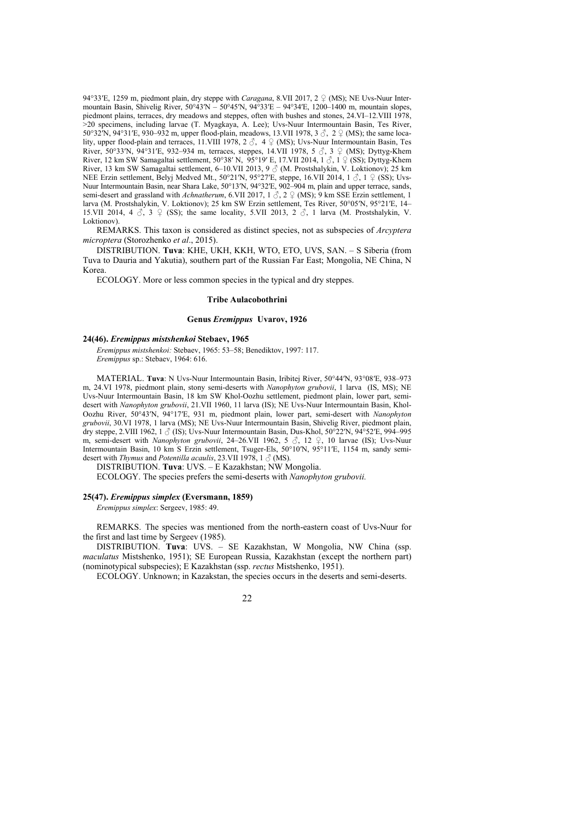94°33′E, 1259 m, piedmont plain, dry steppe with *Caragana*, 8.VII 2017, 2 ♀ (MS); NE Uvs-Nuur Intermountain Basin, Shivelig River,  $50^{\circ}43^{\prime}\text{N} - 50^{\circ}45^{\prime}\text{N}$ ,  $94^{\circ}33^{\prime}\text{E} - 94^{\circ}34^{\prime}\text{E}$ ,  $1200-1400$  m, mountain slopes, piedmont plains, terraces, dry meadows and steppes, often with bushes and stones, 24.VI–12.VIII 1978, >20 specimens, including larvae (T. Myagkaya, A. Lee); Uvs-Nuur Intermountain Basin, Tes River, 50°32<sup>'</sup>N, 94°31'E, 930–932 m, upper flood-plain, meadows, 13.VII 1978, 3  $\Im$ , 2  $\Im$  (MS); the same locality, upper flood-plain and terraces, 11.VIII 1978, 2  $\φ$ , 4  $\φ$  (MS); Uvs-Nuur Intermountain Basin, Tes River, 50°33′N, 94°31′E, 932–934 m, terraces, steppes, 14.VII 1978, 5  $\Im$ , 3  $\Im$  (MS); Dyttyg-Khem River, 12 km SW Samagaltai settlement, 50°38′ N, 95°19′ E, 17.VII 2014, 1  $\mathcal{J}$ , 1  $\mathcal{Q}$  (SS); Dyttyg-Khem River, 13 km SW Samagaltai settlement, 6–10. VII 2013, 9  $\circ$  (M. Prostshalykin, V. Loktionov); 25 km NEE Erzin settlement, Belyj Medved Mt., 50°21′N, 95°27′E, steppe, 16.VII 2014, 1  $\beta$ , 1  $\beta$  (SS); Uvs-Nuur Intermountain Basin, near Shara Lake, 50°13ʹN, 94°32ʹE, 902–904 m, plain and upper terrace, sands, semi-desert and grassland with *Achnatherum*, 6.VII 2017, 1 3, 2 ♀ (MS); 9 km SSE Erzin settlement, 1 larva (M. Prostshalykin, V. Loktionov); 25 km SW Erzin settlement, Tes River, 50°05ʹN, 95°21ʹE, 14– 15.VII 2014, 4  $\Im$ , 3  $\Im$  (SS); the same locality, 5.VII 2013, 2  $\Im$ , 1 larva (M. Prostshalykin, V. Loktionov).

REMARKS. This taxon is considered as distinct species, not as subspecies of *Arcyptera microptera* (Storozhenko *et al*., 2015).

DISTRIBUTION. **Tuva**: KHE, UKH, KKH, WTO, ETO, UVS, SAN. – S Siberia (from Tuva to Dauria and Yakutia), southern part of the Russian Far East; Mongolia, NE China, N Korea.

ECOLOGY. More or less common species in the typical and dry steppes.

#### **Tribe Aulacobothrini**

#### **Genus** *Eremippus* **Uvarov, 1926**

### **24(46).** *Eremippus mistshenkoi* **Stebaev, 1965**

*Eremippus mistshenkoi:* Stebaev, 1965: 53–58; Benediktov, 1997: 117. *Eremippus* sp.: Stebaev, 1964: 616.

MATERIAL. **Tuva**: N Uvs-Nuur Intermountain Basin, Iribitej River, 50°44′N, 93°08′E, 938–973 m, 24.VI 1978, piedmont plain, stony semi-deserts with *Nanophyton grubovii*, 1 larva (IS, MS); NE Uvs-Nuur Intermountain Basin, 18 km SW Khol-Oozhu settlement, piedmont plain, lower part, semidesert with *Nanophyton grubovii*, 21.VII 1960, 11 larva (IS); NE Uvs-Nuur Intermountain Basin, Khol-Oozhu River, 50°43ʹN, 94°17ʹE, 931 m, piedmont plain, lower part, semi-desert with *Nanophyton grubovii*, 30.VI 1978, 1 larva (MS); NE Uvs-Nuur Intermountain Basin, Shivelig River, piedmont plain, dry steppe, 2.VIII 1962, 1  $\degree$  (IS); Uvs-Nuur Intermountain Basin, Dus-Khol, 50°22′N, 94°52′E, 994–995 m, semi-desert with *Nanophyton grubovii*, 24–26.VII 1962, 5 ♂, 12 ♀, 10 larvae (IS); Uvs-Nuur Intermountain Basin, 10 km S Erzin settlement, Tsuger-Els, 50°10ʹN, 95°11ʹE, 1154 m, sandy semidesert with *Thymus* and *Potentilla acaulis*, 23.VII 1978, 1 **♂** (MS).

DISTRIBUTION. **Tuva**: UVS. – E Kazakhstan; NW Mongolia.

ECOLOGY. The species prefers the semi-deserts with *Nanophyton grubovii.*

### **25(47).** *Eremippus simplex* **(Eversmann, 1859)**

*Eremippus simplex*: Sergeev, 1985: 49.

REMARKS. The species was mentioned from the north-eastern coast of Uvs-Nuur for the first and last time by Sergeev (1985).

DISTRIBUTION. **Tuva**: UVS. – SE Kazakhstan, W Mongolia, NW China (ssp. *maculatus* Mistshenko, 1951); SE European Russia, Kazakhstan (except the northern part) (nominotypical subspecies); E Kazakhstan (ssp. *rectus* Mistshenko, 1951).

ECOLOGY. Unknown; in Kazakstan, the species occurs in the deserts and semi-deserts.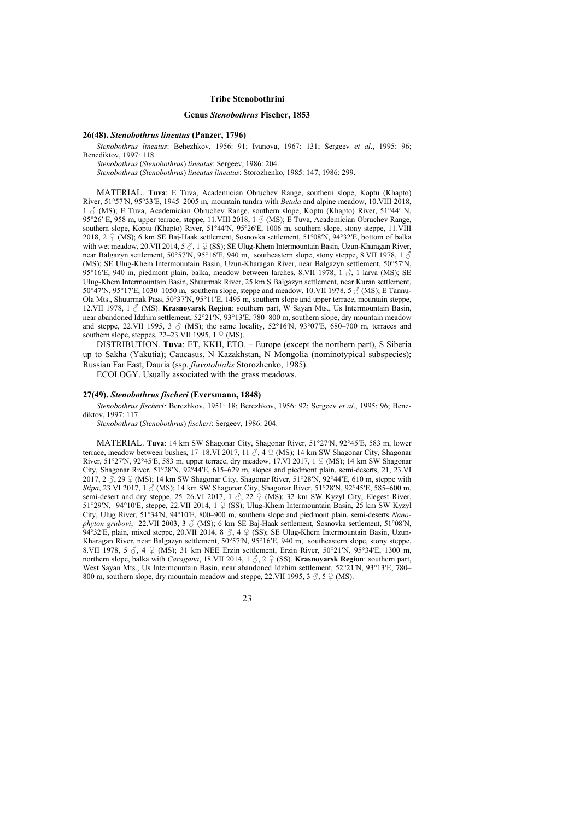## **Tribe Stenobothrini**

# **Genus** *Stenobothrus* **Fischer, 1853**

#### **26(48).** *Stenobothrus lineatus* **(Panzer, 1796)**

*Stenobothrus lineatus*: Behezhkov, 1956: 91; Ivanova, 1967: 131; Sergeev *et al*., 1995: 96; Benediktov, 1997: 118.

*Stenobothrus* (*Stenobothrus*) *lineatus*: Sergeev, 1986: 204.

*Stenobothrus* (*Stenobothrus*) *lineatus lineatus*: Storozhenko, 1985: 147; 1986: 299.

MATERIAL. **Tuva**: E Tuva, Academician Obruchev Range, southern slope, Koptu (Khapto) River, 51°57ʹN, 95°33ʹE, 1945–2005 m, mountain tundra with *Betula* and alpine meadow, 10.VIII 2018,  $1 \text{ } \text{\ensuremath{\beta}}$  (MS); E Tuva, Academician Obruchev Range, southern slope, Koptu (Khapto) River, 51°44′ N, 95°26′ E, 958 m, upper terrace, steppe, 11. VIII 2018, 1  $\circ$  (MS); E Tuva, Academician Obruchev Range, southern slope, Koptu (Khapto) River, 51°44′N, 95°26′E, 1006 m, southern slope, stony steppe, 11.VIII 2018, 2 ♀ (MS); 6 km SE Baj-Haak settlement, Sosnovka settlement, 51°08ʹN, 94°32ʹE, bottom of balka with wet meadow, 20.VII 2014,  $5 \text{ } \textcircled{}$ , 1  $\textcircled{}$  (SS); SE Ulug-Khem Intermountain Basin, Uzun-Kharagan River, near Balgazyn settlement, 50°57′N, 95°16′E, 940 m, southeastern slope, stony steppe, 8.VII 1978, 1 $\beta$ (MS); SE Ulug-Khem Intermountain Basin, Uzun-Kharagan River, near Balgazyn settlement, 50°57ʹN, 95°16′E, 940 m, piedmont plain, balka, meadow between larches, 8.VII 1978, 1  $\Im$ , 1 larva (MS); SE Ulug-Khem Intermountain Basin, Shuurmak River, 25 km S Balgazyn settlement, near Kuran settlement, 50°47′N, 95°17′E, 1030–1050 m, southern slope, steppe and meadow, 10.VII 1978, 5  $\textcircled{f}$  (MS); E Tannu-Ola Mts., Shuurmak Pass, 50°37ʹN, 95°11ʹE, 1495 m, southern slope and upper terrace, mountain steppe, 12.VII 1978, 1 ♂ (MS). **Krasnoyarsk Region**: southern part, W Sayan Mts., Us Intermountain Basin, near abandoned Idzhim settlement, 52°21′N, 93°13′E, 780–800 m, southern slope, dry mountain meadow and steppe, 22.VII 1995, 3  $\circ$  (MS); the same locality, 52°16′N, 93°07′E, 680–700 m, terraces and southern slope, steppes, 22–23. VII 1995,  $1 \nsubseteq (MS)$ .

DISTRIBUTION. **Tuva**: ET, KKH, ETO. – Europe (except the northern part), S Siberia up to Sakha (Yakutia); Caucasus, N Kazakhstan, N Mongolia (nominotypical subspecies); Russian Far East, Dauria (ssp. *flavotobialis* Storozhenko, 1985).

ECOLOGY. Usually associated with the grass meadows.

### **27(49).** *Stenobothrus fischeri* **(Eversmann, 1848)**

*Stenobothrus fischeri:* Berezhkov, 1951: 18; Berezhkov, 1956: 92; Sergeev *et al*., 1995: 96; Benediktov, 1997: 117.

*Stenobothrus* (*Stenobothrus*) *fischeri*: Sergeev, 1986: 204.

MATERIAL. **Tuva**: 14 km SW Shagonar City, Shagonar River, 51°27ʹN, 92°45ʹE, 583 m, lower terrace, meadow between bushes, 17–18.VI 2017, 11  $\Im$ , 4  $\Im$  (MS); 14 km SW Shagonar City, Shagonar River,  $51^{\circ}27'N$ ,  $92^{\circ}45'E$ ,  $583$  m, upper terrace, dry meadow, 17.VI 2017, 1  $\circ$  (MS); 14 km SW Shagonar City, Shagonar River, 51°28ʹN, 92°44ʹE, 615–629 m, slopes and piedmont plain, semi-deserts, 21, 23.VI 2017, 2  $\tilde{\mathcal{O}}$ , 29  $\tilde{\mathcal{L}}$  (MS); 14 km SW Shagonar City, Shagonar River, 51°28′N, 92°44′E, 610 m, steppe with *Stipa*, 23.VI 2017, 1  $\circ$  (MS); 14 km SW Shagonar City, Shagonar River, 51°28′N, 92°45′E, 585–600 m, semi-desert and dry steppe, 25–26.VI 2017,  $1 \text{ } \textcircled{}$ , 22  $\textcircled{}$  (MS); 32 km SW Kyzyl City, Elegest River, 51°29′N, 94°10′E, steppe, 22.VII 2014, 1  $\frac{1}{2}$  (SS); Ulug-Khem Intermountain Basin, 25 km SW Kyzyl City, Ulug River, 51°34ʹN, 94°10ʹE, 800–900 m, southern slope and piedmont plain, semi-deserts *Nanophyton grubovi*, 22.VII 2003, 3 ♂ (MS); 6 km SE Baj-Haak settlement, Sosnovka settlement, 51°08ʹN, 94°32′E, plain, mixed steppe, 20.VII 2014, 8  $\Im$ , 4  $\Im$  (SS); SE Ulug-Khem Intermountain Basin, Uzun-Kharagan River, near Balgazyn settlement, 50°57ʹN, 95°16ʹE, 940 m, southeastern slope, stony steppe, 8.VII 1978, 5  $\hat{\beta}$ , 4  $\hat{P}$  (MS); 31 km NEE Erzin settlement, Erzin River, 50°21′N, 95°34′E, 1300 m, northern slope, balka with *Caragana*, 18.VII 2014, 1 ♂, 2 ♀ (SS). **Krasnoyarsk Region**: southern part, West Sayan Mts., Us Intermountain Basin, near abandoned Idzhim settlement, 52°21′N, 93°13′E, 780– 800 m, southern slope, dry mountain meadow and steppe, 22. VII 1995, 3  $\Im$ , 5  $\Im$  (MS).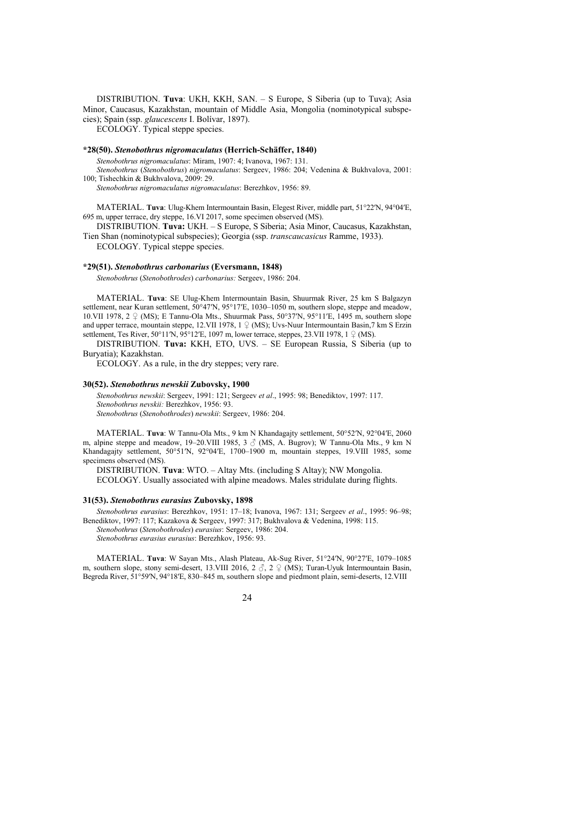DISTRIBUTION. **Tuva**: UKH, KKH, SAN. – S Europe, S Siberia (up to Tuva); Asia Minor, Caucasus, Kazakhstan, mountain of Middle Asia, Mongolia (nominotypical subspecies); Spain (ssp. *glaucescens* I. Bolívar, 1897).

ECOLOGY. Typical steppe species.

### **\*28(50).** *Stenobothrus nigromaculatus* **(Herrich-Schäffer, 1840)**

*Stenobothrus nigromaculatus*: Miram, 1907: 4; Ivanova, 1967: 131.

*Stenobothrus* (*Stenobothrus*) *nigromaculatus*: Sergeev, 1986: 204; Vedenina & Bukhvalova, 2001: 100; Tishechkin & Bukhvalova, 2009: 29.

*Stenobothrus nigromaculatus nigromaculatus*: Berezhkov, 1956: 89.

MATERIAL. **Tuva**: Ulug-Khem Intermountain Basin, Elegest River, middle part, 51°22ʹN, 94°04ʹE, 695 m, upper terrace, dry steppe, 16.VI 2017, some specimen observed (MS).

DISTRIBUTION. **Tuva:** UKH. – S Europe, S Siberia; Asia Minor, Caucasus, Kazakhstan, Tien Shan (nominotypical subspecies); Georgia (ssp. *transcaucasicus* Ramme, 1933). ECOLOGY. Typical steppe species.

#### **\*29(51).** *Stenobothrus carbonarius* **(Eversmann, 1848)**

*Stenobothrus* (*Stenobothrodes*) *carbonarius:* Sergeev, 1986: 204.

MATERIAL. **Tuva**: SE Ulug-Khem Intermountain Basin, Shuurmak River, 25 km S Balgazyn settlement, near Kuran settlement, 50°47′N, 95°17′E, 1030–1050 m, southern slope, steppe and meadow, 10.VII 1978, 2  $\varphi$  (MS); E Tannu-Ola Mts., Shuurmak Pass, 50°37′N, 95°11′E, 1495 m, southern slope and upper terrace, mountain steppe, 12.VII 1978, 1  $\varphi$  (MS); Uvs-Nuur Intermountain Basin,7 km S Erzin settlement, Tes River, 50°11′N, 95°12′E, 1097 m, lower terrace, steppes, 23.VII 1978, 1  $\circ$  (MS).

DISTRIBUTION. **Tuva:** KKH, ETO, UVS. – SE European Russia, S Siberia (up to Buryatia); Kazakhstan.

ECOLOGY. As a rule, in the dry steppes; very rare.

#### **30(52).** *Stenobothrus newskii* **Zubovsky, 1900**

*Stenobothrus newskii*: Sergeev, 1991: 121; Sergeev *et al*., 1995: 98; Benediktov, 1997: 117. *Stenobothrus nevskii:* Berezhkov, 1956: 93. *Stenobothrus* (*Stenobothrodes*) *newskii*: Sergeev, 1986: 204.

MATERIAL. **Tuva**: W Tannu-Ola Mts., 9 km N Khandagajty settlement, 50°52ʹN, 92°04ʹE, 2060 m, alpine steppe and meadow, 19–20. VIII 1985, 3  $\circ$  (MS, A. Bugrov); W Tannu-Ola Mts., 9 km N Khandagajty settlement, 50°51′N, 92°04′E, 1700–1900 m, mountain steppes, 19.VIII 1985, some specimens observed (MS).

DISTRIBUTION. **Tuva**: WTO. – Altay Mts. (including S Altay); NW Mongolia. ECOLOGY. Usually associated with alpine meadows. Males stridulate during flights.

#### **31(53).** *Stenobothrus eurasius* **Zubovsky, 1898**

*Stenobothrus eurasius*: Berezhkov, 1951: 17–18; Ivanova, 1967: 131; Sergeev *et al*., 1995: 96–98; Benediktov, 1997: 117; Kazakova & Sergeev, 1997: 317; Bukhvalova & Vedenina, 1998: 115. *Stenobothrus* (*Stenobothrodes*) *eurasius*: Sergeev, 1986: 204.

*Stenobothrus eurasius eurasius*: Berezhkov, 1956: 93.

MATERIAL. **Tuva**: W Sayan Mts., Alash Plateau, Ak-Sug River, 51°24ʹN, 90°27ʹE, 1079–1085 m, southern slope, stony semi-desert, 13.VIII 2016, 2  $\circled{S}$ , 2  $\circled{}$  (MS); Turan-Uyuk Intermountain Basin, Begreda River, 51°59ʹN, 94°18ʹE, 830–845 m, southern slope and piedmont plain, semi-deserts, 12.VIII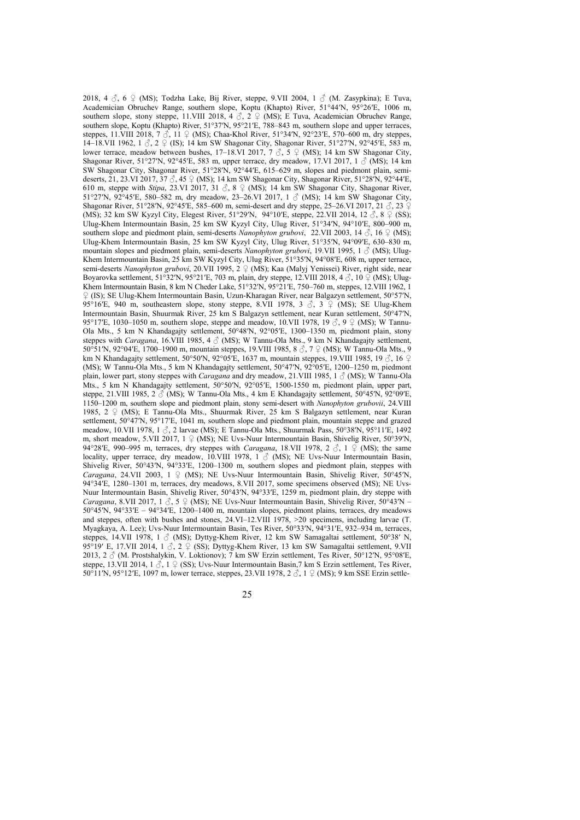2018, 4  $\circ$ , 6  $\circ$  (MS); Todzha Lake, Bij River, steppe, 9.VII 2004, 1  $\circ$  (M. Zasypkina); E Tuva, Academician Obruchev Range, southern slope, Koptu (Khapto) River, 51°44ʹN, 95°26ʹE, 1006 m, southern slope, stony steppe, 11.VIII 2018, 4  $\Im$ , 2  $\Im$  (MS); E Tuva, Academician Obruchev Range, southern slope, Koptu (Khapto) River, 51°37′N, 95°21′E, 788–843 m, southern slope and upper terraces, steppes, 11.VIII 2018, 7  $\delta$ , 11  $\Omega$  (MS); Chaa-Khol River, 51°34′N, 92°23′E, 570–600 m, dry steppes, 14–18.VII 1962, 1  $\zeta$ , 2  $\cong$  (IS); 14 km SW Shagonar City, Shagonar River, 51°27′N, 92°45′E, 583 m, lower terrace, meadow between bushes, 17–18.VI 2017, 7  $\Im$ , 5  $\Im$  (MS); 14 km SW Shagonar City, Shagonar River, 51°27′N, 92°45′E, 583 m, upper terrace, dry meadow, 17.VI 2017, 1  $\circ$  (MS); 14 km SW Shagonar City, Shagonar River, 51°28ʹN, 92°44ʹE, 615–629 m, slopes and piedmont plain, semideserts, 21, 23. VI 2017,  $37 \text{ } \text{\&}$ , 45 \pm (MS); 14 km SW Shagonar City, Shagonar River, 51°28′N, 92°44′E, 610 m, steppe with *Stipa*, 23.VI 2017, 31 ♂, 8 ♀ (MS); 14 km SW Shagonar City, Shagonar River, 51°27′N, 92°45′E, 580–582 m, dry meadow, 23–26.VI 2017, 1  $\circ$  (MS); 14 km SW Shagonar City, Shagonar River, 51°28′N, 92°45′E, 585–600 m, semi-desert and dry steppe, 25–26.VI 2017, 21  $\circ$ , 23  $\circ$ (MS); 32 km SW Kyzyl City, Elegest River, 51°29′N, 94°10′E, steppe, 22.VII 2014, 12  $\delta$ , 8  $\Omega$  (SS); Ulug-Khem Intermountain Basin, 25 km SW Kyzyl City, Ulug River, 51°34ʹN, 94°10ʹE, 800–900 m, southern slope and piedmont plain, semi-deserts *Nanophyton grubovi*, 22.VII 2003, 14  $\hat{\gamma}$ , 16  $\hat{\gamma}$  (MS); Ulug-Khem Intermountain Basin, 25 km SW Kyzyl City, Ulug River, 51°35ʹN, 94°09ʹE, 630–830 m, mountain slopes and piedmont plain, semi-deserts *Nanophyton grubovi*, 19.VII 1995, 1 ♂ (MS); Ulug-Khem Intermountain Basin, 25 km SW Kyzyl City, Ulug River, 51°35ʹN, 94°08ʹE, 608 m, upper terrace, semi-deserts *Nanophyton grubovi*, 20.VII 1995, 2 ♀ (MS); Kaa (Malyj Yenissei) River, right side, near Boyarovka settlement, 51°32′N, 95°21′E, 703 m, plain, dry steppe, 12.VIII 2018, 4  $\delta$ , 10  $\Omega$  (MS); Ulug-Khem Intermountain Basin, 8 km N Cheder Lake, 51°32ʹN, 95°21ʹE, 750–760 m, steppes, 12.VIII 1962, 1 ♀ (IS); SE Ulug-Khem Intermountain Basin, Uzun-Kharagan River, near Balgazyn settlement, 50°57ʹN, 95°16′E, 940 m, southeastern slope, stony steppe, 8.VII 1978, 3  $\Im$ , 3  $\Im$  (MS); SE Ulug-Khem Intermountain Basin, Shuurmak River, 25 km S Balgazyn settlement, near Kuran settlement, 50°47ʹN, 95°17′E, 1030–1050 m, southern slope, steppe and meadow, 10.VII 1978, 19  $\Im$ , 9  $\Im$  (MS); W Tannu-Ola Mts., 5 km N Khandagajty settlement, 50°48ʹN, 92°05ʹE, 1300–1350 m, piedmont plain, stony steppes with *Caragana*, 16.VIII 1985, 4  $\circled$  (MS); W Tannu-Ola Mts., 9 km N Khandagajty settlement, 50°51′N, 92°04′E, 1700–1900 m, mountain steppes, 19.VIII 1985, 8  $\delta$ , 7  $\Omega$  (MS); W Tannu-Ola Mts., 9 km N Khandagajty settlement, 50°50′N, 92°05′E, 1637 m, mountain steppes, 19.VIII 1985, 19 $\beta$ , 16 $\beta$ (MS); W Tannu-Ola Mts., 5 km N Khandagajty settlement, 50°47ʹN, 92°05ʹE, 1200–1250 m, piedmont plain, lower part, stony steppes with *Caragana* and dry meadow, 21.VIII 1985, 1 ♂ (MS); W Tannu-Ola Mts., 5 km N Khandagajty settlement, 50°50ʹN, 92°05ʹE, 1500-1550 m, piedmont plain, upper part, steppe, 21.VIII 1985, 2  $\alpha$  (MS); W Tannu-Ola Mts., 4 km E Khandagajty settlement, 50°45′N, 92°09′E. 1150–1200 m, southern slope and piedmont plain, stony semi-desert with *Nanophyton grubovii*, 24.VIII 1985, 2 ♀ (MS); E Tannu-Ola Mts., Shuurmak River, 25 km S Balgazyn settlement, near Kuran settlement, 50°47′N, 95°17′E, 1041 m, southern slope and piedmont plain, mountain steppe and grazed meadow, 10.VII 1978, 1 $\beta$ , 2 larvae (MS); E Tannu-Ola Mts., Shuurmak Pass, 50°38′N, 95°11′E, 1492 m, short meadow, 5.VII 2017,  $1 \nsubseteq (MS)$ ; NE Uvs-Nuur Intermountain Basin, Shivelig River, 50°39′N, 94°28′E, 990–995 m, terraces, dry steppes with *Caragana*, 18.VII 1978, 2  $\Im$ , 1  $\Im$  (MS); the same locality, upper terrace, dry meadow, 10.VIII 1978, 1 ♂ (MS); NE Uvs-Nuur Intermountain Basin, Shivelig River, 50°43′N, 94°33′E, 1200–1300 m, southern slopes and piedmont plain, steppes with *Caragana*, 24.VII 2003, 1 ♀ (MS); NE Uvs-Nuur Intermountain Basin, Shivelig River, 50°45ʹN, 94°34ʹE, 1280–1301 m, terraces, dry meadows, 8.VII 2017, some specimens observed (MS); NE Uvs-Nuur Intermountain Basin, Shivelig River, 50°43ʹN, 94°33ʹE, 1259 m, piedmont plain, dry steppe with *Caragana*, 8.VII 2017, 1 ♂, 5 ♀ (MS); NE Uvs-Nuur Intermountain Basin, Shivelig River, 50°43ʹN – 50°45ʹN, 94°33ʹE – 94°34ʹE, 1200–1400 m, mountain slopes, piedmont plains, terraces, dry meadows and steppes, often with bushes and stones, 24.VI–12.VIII 1978, >20 specimens, including larvae (T. Myagkaya, A. Lee); Uvs-Nuur Intermountain Basin, Tes River, 50°33ʹN, 94°31ʹE, 932–934 m, terraces, steppes, 14.VII 1978, 1  $\circ$  (MS); Dyttyg-Khem River, 12 km SW Samagaltai settlement, 50°38′ N, 95°19′ E, 17.VII 2014, 1  $\Im$ , 2  $\Im$  (SS); Dyttyg-Khem River, 13 km SW Samagaltai settlement, 9.VII 2013, 2  $\hat{\beta}$  (M. Prostshalykin, V. Loktionov); 7 km SW Erzin settlement, Tes River, 50°12′N, 95°08′E, steppe, 13.VII 2014, 1  $\circled{S}$ , 1  $\circled{S}$  (SS); Uvs-Nuur Intermountain Basin,7 km S Erzin settlement, Tes River, 50°11′N, 95°12′E, 1097 m, lower terrace, steppes, 23.VII 1978, 2  $\Im$ , 1  $\Im$  (MS); 9 km SSE Erzin settle-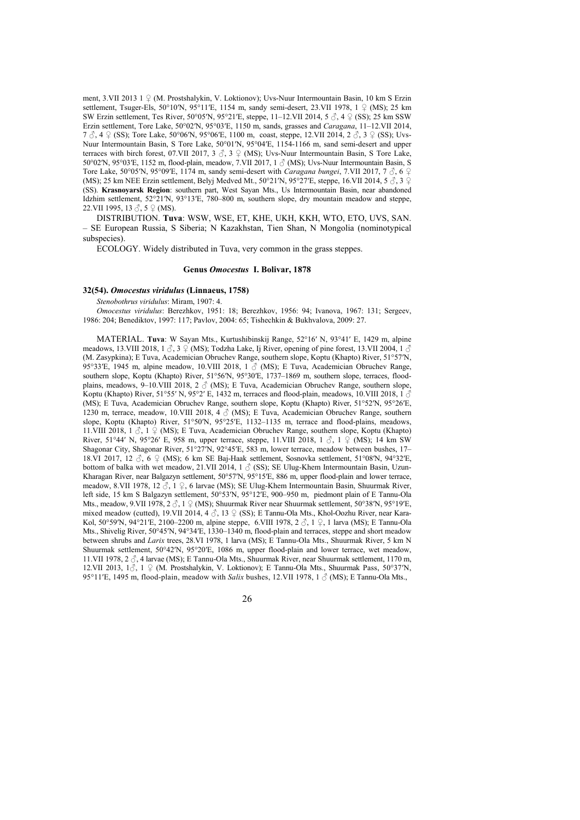ment, 3.VII 2013 1 ♀ (M. Prostshalykin, V. Loktionov); Uvs-Nuur Intermountain Basin, 10 km S Erzin settlement, Tsuger-Els, 50°10′N, 95°11′E, 1154 m, sandy semi-desert, 23.VII 1978, 1 ♀ (MS); 25 km SW Erzin settlement, Tes River, 50°05′N, 95°21′E, steppe, 11–12.VII 2014, 5  $\zeta$ , 4  $\frac{1}{2}$  (SS); 25 km SSW Erzin settlement, Tore Lake, 50°02ʹN, 95°03ʹE, 1150 m, sands, grasses and *Caragana*, 11–12.VII 2014, 7  $\circ$ , 4  $\circ$  (SS); Tore Lake, 50°06′N, 95°06′E, 1100 m, coast, steppe, 12.VII 2014, 2  $\circ$ , 3  $\circ$  (SS); Uvs-Nuur Intermountain Basin, S Tore Lake, 50°01′N, 95°04′E, 1154-1166 m, sand semi-desert and upper terraces with birch forest, 07.VII 2017, 3  $\circ$ , 3  $\circ$  (MS); Uvs-Nuur Intermountain Basin, S Tore Lake, 50°02′N, 95°03′E, 1152 m, flood-plain, meadow, 7.VII 2017, 1  $\circ$  (MS); Uvs-Nuur Intermountain Basin, S Tore Lake, 50°05′N, 95°09′E, 1174 m, sandy semi-desert with *Caragana bungei*, 7.VII 2017, 7  $\Im$ , 6  $\Im$ (MS); 25 km NEE Erzin settlement, Belyj Medved Mt., 50°21′N, 95°27′E, steppe, 16.VII 2014, 5  $\zeta$ , 3  $\hat{\varphi}$ (SS). **Krasnoyarsk Region**: southern part, West Sayan Mts., Us Intermountain Basin, near abandoned Idzhim settlement, 52°21′N, 93°13′E, 780–800 m, southern slope, dry mountain meadow and steppe, 22.VII 1995, 13  $\delta$ , 5  $\Omega$  (MS).

DISTRIBUTION. **Tuva**: WSW, WSE, ET, KHE, UKH, KKH, WTO, ETO, UVS, SAN. – SE European Russia, S Siberia; N Kazakhstan, Tien Shan, N Mongolia (nominotypical subspecies).

ECOLOGY. Widely distributed in Tuva, very common in the grass steppes.

#### **Genus** *Omocestus* **I. Bolivar, 1878**

#### **32(54).** *Omocestus viridulus* **(Linnaeus, 1758)**

*Stenobothrus viridulus*: Miram, 1907: 4.

*Omocestus viridulus*: Berezhkov, 1951: 18; Berezhkov, 1956: 94; Ivanova, 1967: 131; Sergeev, 1986: 204; Benediktov, 1997: 117; Pavlov, 2004: 65; Tishechkin & Bukhvalova, 2009: 27.

MATERIAL. **Tuva**: W Sayan Mts., Kurtushibinskij Range, 52°16ʹ N, 93°41ʹ E, 1429 m, alpine meadows, 13.VIII 2018, 1  $\Diamond$ , 3  $\Diamond$  (MS); Todzha Lake, Ij River, opening of pine forest, 13.VII 2004, 1  $\Diamond$ (M. Zasypkina); E Tuva, Academician Obruchev Range, southern slope, Koptu (Khapto) River, 51°57ʹN, 95°33′E, 1945 m, alpine meadow, 10.VIII 2018, 1  $\beta$  (MS); E Tuva, Academician Obruchev Range, southern slope, Koptu (Khapto) River, 51°56′N, 95°30′E, 1737-1869 m, southern slope, terraces, floodplains, meadows,  $9-10$ .VIII 2018, 2  $\circ$  (MS); E Tuva, Academician Obruchev Range, southern slope, Koptu (Khapto) River, 51°55′ N, 95°2′ E, 1432 m, terraces and flood-plain, meadows, 10.VIII 2018, 1  $\circ$ (MS); E Tuva, Academician Obruchev Range, southern slope, Koptu (Khapto) River, 51°52ʹN, 95°26ʹE, 1230 m, terrace, meadow, 10.VIII 2018, 4  $\circ$  (MS); E Tuva, Academician Obruchev Range, southern slope, Koptu (Khapto) River, 51°50′N, 95°25′E, 1132–1135 m, terrace and flood-plains, meadows, 11.VIII 2018, 1 ♂, 1 ♀ (MS); E Tuva, Academician Obruchev Range, southern slope, Koptu (Khapto) River, 51°44′ N, 95°26′ E, 958 m, upper terrace, steppe, 11.VIII 2018, 1  $\Im$ , 1  $\Im$  (MS); 14 km SW Shagonar City, Shagonar River, 51°27ʹN, 92°45ʹE, 583 m, lower terrace, meadow between bushes, 17– 18.VI 2017, 12  $\delta$ , 6  $\Omega$  (MS); 6 km SE Baj-Haak settlement, Sosnovka settlement, 51°08′N, 94°32′E, bottom of balka with wet meadow, 21.VII 2014,  $1 \circ$  (SS); SE Ulug-Khem Intermountain Basin, Uzun-Kharagan River, near Balgazyn settlement, 50°57ʹN, 95°15ʹE, 886 m, upper flood-plain and lower terrace, meadow, 8.VII 1978, 12  $\beta$ , 1  $\beta$ , 6 larvae (MS); SE Ulug-Khem Intermountain Basin, Shuurmak River, left side, 15 km S Balgazyn settlement, 50°53ʹN, 95°12ʹE, 900–950 m, piedmont plain of E Tannu-Ola Mts., meadow, 9.VII 1978, 2  $\Im$ , 1  $\Im$  (MS); Shuurmak River near Shuurmak settlement, 50°38′N, 95°19′E, mixed meadow (cutted), 19.VII 2014, 4  $\Diamond$ , 13  $\Diamond$  (SS); E Tannu-Ola Mts., Khol-Oozhu River, near Kara-Kol, 50°59′N, 94°21′E, 2100–2200 m, alpine steppe, 6.VIII 1978, 2  $\zeta$ , 1  $\zeta$ , 1 larva (MS); E Tannu-Ola Mts., Shivelig River, 50°45′N, 94°34′E, 1330–1340 m, flood-plain and terraces, steppe and short meadow between shrubs and *Larix* trees, 28.VI 1978, 1 larva (MS); E Tannu-Ola Mts., Shuurmak River, 5 km N Shuurmak settlement, 50°42ʹN, 95°20ʹE, 1086 m, upper flood-plain and lower terrace, wet meadow, 11.VII 1978, 2 ♂, 4 larvae (MS); E Tannu-Ola Mts., Shuurmak River, near Shuurmak settlement, 1170 m, 12.VII 2013,  $1\hat{C}$ ,  $1 \hat{C}$  (M. Prostshalykin, V. Loktionov); E Tannu-Ola Mts., Shuurmak Pass, 50°37′N, 95°11′E, 1495 m, flood-plain, meadow with *Salix* bushes, 12.VII 1978, 1 $\beta$  (MS); E Tannu-Ola Mts.,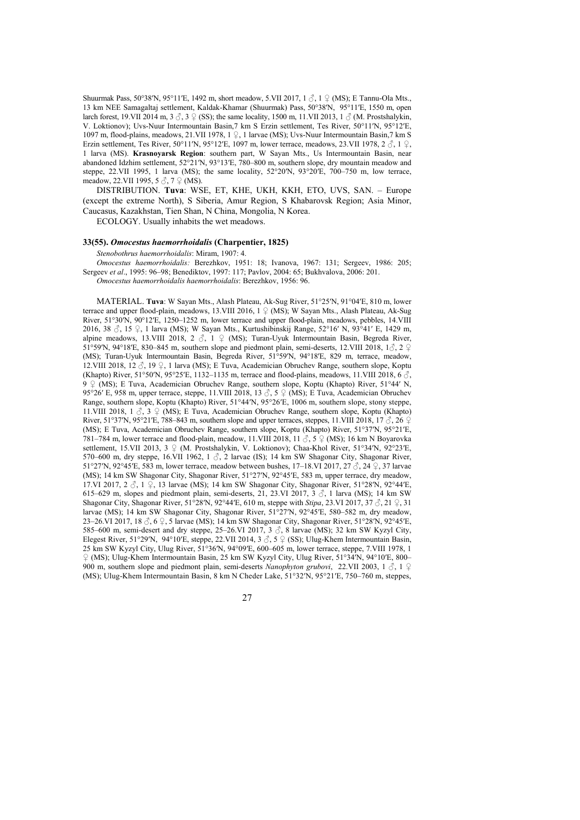Shuurmak Pass, 50°38′N, 95°11′E, 1492 m, short meadow, 5.VII 2017, 1  $\beta$ , 1  $\beta$  (MS); E Tannu-Ola Mts., 13 km NEE Samagaltaj settlement, Kaldak-Khamar (Shuurmak) Pass, 50°38′N, 95°11′E, 1550 m. open larch forest, 19.VII 2014 m, 3  $\Im$ , 3  $\Im$  (SS); the same locality, 1500 m, 11.VII 2013, 1  $\Im$  (M. Prostshalykin, V. Loktionov); Uvs-Nuur Intermountain Basin,7 km S Erzin settlement, Tes River, 50°11ʹN, 95°12ʹE, 1097 m, flood-plains, meadows, 21.VII 1978, 1 ♀, 1 larvae (MS); Uvs-Nuur Intermountain Basin,7 km S Erzin settlement, Tes River, 50°11′N, 95°12′E, 1097 m, lower terrace, meadows, 23.VII 1978, 2  $\Im$ , 1  $\Im$ , 1 larva (MS). **Krasnoyarsk Region**: southern part, W Sayan Mts., Us Intermountain Basin, near abandoned Idzhim settlement, 52°21′N, 93°13′E, 780–800 m, southern slope, dry mountain meadow and steppe, 22.VII 1995, 1 larva (MS); the same locality, 52°20′N, 93°20′E, 700–750 m, low terrace, meadow, 22.VII 1995, 5 ♂, 7 ♀ (MS).

DISTRIBUTION. **Tuva**: WSE, ET, KHE, UKH, KKH, ETO, UVS, SAN. – Europe (except the extreme North), S Siberia, Amur Region, S Khabarovsk Region; Asia Minor, Caucasus, Kazakhstan, Tien Shan, N China, Mongolia, N Korea.

ECOLOGY. Usually inhabits the wet meadows.

#### **33(55).** *Omocestus haemorrhoidalis* **(Charpentier, 1825)**

*Stenobothrus haemorrhoidalis*: Miram, 1907: 4.

*Omocestus haemorrhoidalis:* Berezhkov, 1951: 18; Ivanova, 1967: 131; Sergeev, 1986: 205; Sergeev *et al*., 1995: 96–98; Benediktov, 1997: 117; Pavlov, 2004: 65; Bukhvalova, 2006: 201. *Omocestus haemorrhoidalis haemorrhoidalis*: Berezhkov, 1956: 96.

MATERIAL. **Tuva**: W Sayan Mts., Alash Plateau, Ak-Sug River, 51°25ʹN, 91°04ʹE, 810 m, lower terrace and upper flood-plain, meadows, 13.VIII 2016, 1 ♀ (MS); W Sayan Mts., Alash Plateau, Ak-Sug River, 51°30ʹN, 90°12ʹE, 1250–1252 m, lower terrace and upper flood-plain, meadows, pebbles, 14.VIII 2016, 38 ♂, 15 ♀, 1 larva (MS); W Sayan Mts., Kurtushibinskij Range, 52°16ʹ N, 93°41ʹ E, 1429 m, alpine meadows, 13.VIII 2018, 2  $\Im$ , 1  $\Im$  (MS); Turan-Uyuk Intermountain Basin, Begreda River, 51°59′N, 94°18′E, 830–845 m, southern slope and piedmont plain, semi-deserts, 12.VIII 2018, 1 $\zeta$ , 2  $\zeta$ (MS); Turan-Uyuk Intermountain Basin, Begreda River, 51°59ʹN, 94°18ʹE, 829 m, terrace, meadow, 12. VIII 2018, 12  $\beta$ , 19  $\circ$ , 1 larva (MS); E Tuva, Academician Obruchev Range, southern slope, Koptu (Khapto) River, 51°50′N, 95°25′E, 1132–1135 m, terrace and flood-plains, meadows, 11.VIII 2018, 6 $\beta$ , 9 ♀ (MS); E Tuva, Academician Obruchev Range, southern slope, Koptu (Khapto) River, 51°44ʹ N, 95°26′ E, 958 m, upper terrace, steppe, 11.VIII 2018, 13  $\Im$ , 5  $\Im$  (MS); E Tuva, Academician Obruchev Range, southern slope, Koptu (Khapto) River, 51°44′N, 95°26′E, 1006′m, southern slope, stony steppe, 11.VIII 2018, 1  $\circ$ , 3  $\circ$  (MS); E Tuva, Academician Obruchev Range, southern slope, Koptu (Khapto) River, 51°37′N, 95°21′E, 788–843 m, southern slope and upper terraces, steppes, 11.VIII 2018, 17  $\beta$ , 26  $\varphi$ (MS); E Tuva, Academician Obruchev Range, southern slope, Koptu (Khapto) River, 51°37ʹN, 95°21ʹE, 781–784 m, lower terrace and flood-plain, meadow, 11.VIII 2018, 11  $\circled$ , 5  $\circledcirc$  (MS); 16 km N Boyarovka settlement, 15.VII 2013, 3 ♀ (M. Prostshalykin, V. Loktionov); Chaa-Khol River, 51°34′N, 92°23′E, 570–600 m, dry steppe, 16.VII 1962, 1 3, 2 larvae (IS); 14 km SW Shagonar City, Shagonar River, 51°27′N, 92°45′E, 583 m, lower terrace, meadow between bushes, 17–18.VI 2017, 27  $\Im$ , 24  $\Im$ , 37 larvae (MS); 14 km SW Shagonar City, Shagonar River, 51°27′N, 92°45′E, 583 m, upper terrace, dry meadow, 17.VI 2017, 2  $\circled{?}$ , 1  $\circled{?}$ , 13 larvae (MS); 14 km SW Shagonar City, Shagonar River, 51°28′N, 92°44′E, 615–629 m, slopes and piedmont plain, semi-deserts, 21, 23.VI 2017, 3  $\delta$ , 1 larva (MS); 14 km SW Shagonar City, Shagonar River, 51°28ʹN, 92°44ʹE, 610 m, steppe with *Stipa*, 23.VI 2017, 37 ♂, 21 ♀, 31 larvae (MS); 14 km SW Shagonar City, Shagonar River, 51°27ʹN, 92°45ʹE, 580–582 m, dry meadow, 23–26.VI 2017, 18 ♂, 6 ♀, 5 larvae (MS); 14 km SW Shagonar City, Shagonar River, 51°28ʹN, 92°45ʹE, 585–600 m, semi-desert and dry steppe, 25–26.VI 2017, 3  $\delta$ , 8 larvae (MS); 32 km SW Kyzyl City, Elegest River, 51°29′N, 94°10′E, steppe, 22.VII 2014, 3  $\hat{\sigma}$ , 5  $\hat{\varphi}$  (SS); Ulug-Khem Intermountain Basin, 25 km SW Kyzyl City, Ulug River, 51°36′N, 94°09′E, 600–605 m, lower terrace, steppe, 7.VIII 1978, 1 ♀ (MS); Ulug-Khem Intermountain Basin, 25 km SW Kyzyl City, Ulug River, 51°34ʹN, 94°10ʹE, 800– 900 m, southern slope and piedmont plain, semi-deserts *Nanophyton grubovi*, 22.VII 2003, 1 ♂, 1 ♀ (MS); Ulug-Khem Intermountain Basin, 8 km N Cheder Lake, 51°32ʹN, 95°21ʹE, 750–760 m, steppes,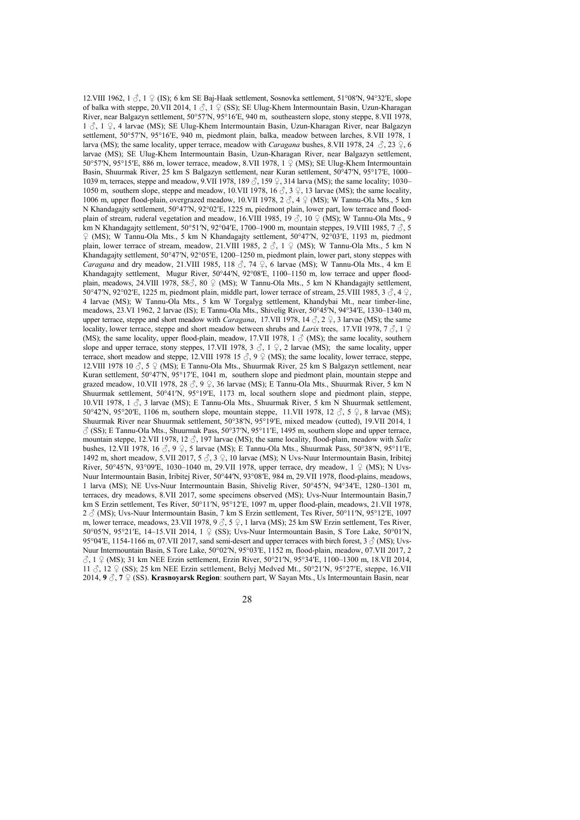12.VIII 1962, 1  $\Diamond$ , 1  $\Diamond$  (IS); 6 km SE Baj-Haak settlement, Sosnovka settlement, 51°08′N, 94°32′E, slope of balka with steppe, 20.VII 2014, 1  $\beta$ , 1  $\beta$  (SS); SE Ulug-Khem Intermountain Basin, Uzun-Kharagan River, near Balgazyn settlement, 50°57ʹN, 95°16ʹE, 940 m, southeastern slope, stony steppe, 8.VII 1978, 1 ♂, 1 ♀, 4 larvae (MS); SE Ulug-Khem Intermountain Basin, Uzun-Kharagan River, near Balgazyn settlement, 50°57′N, 95°16′E, 940 m, piedmont plain, balka, meadow between larches, 8.VII 1978, 1 larva (MS); the same locality, upper terrace, meadow with *Caragana* bushes, 8.VII 1978, 24  $\Diamond$ , 23  $\Diamond$ , 6 larvae (MS); SE Ulug-Khem Intermountain Basin, Uzun-Kharagan River, near Balgazyn settlement, 50°57ʹN, 95°15ʹE, 886 m, lower terrace, meadow, 8.VII 1978, 1 ♀ (MS); SE Ulug-Khem Intermountain Basin, Shuurmak River, 25 km S Balgazyn settlement, near Kuran settlement, 50°47′N, 95°17′E, 1000– 1039 m, terraces, steppe and meadow, 9.VII 1978, 189  $\hat{\circ}$ , 159  $\hat{\div}$ , 314 larva (MS); the same locality; 1030– 1050 m, southern slope, steppe and meadow, 10.VII 1978, 16  $\Im$ , 3  $\Im$ , 13 larvae (MS); the same locality, 1006 m, upper flood-plain, overgrazed meadow, 10.VII 1978, 2  $\hat{\wedge}$ , 4  $\hat{\vee}$  (MS); W Tannu-Ola Mts., 5 km N Khandagajty settlement, 50°47ʹN, 92°02ʹE, 1225 m, piedmont plain, lower part, low terrace and floodplain of stream, ruderal vegetation and meadow, 16.VIII 1985, 19  $\circled$ , 10  $\circledcirc$  (MS); W Tannu-Ola Mts., 9 km N Khandagajty settlement, 50°51′N, 92°04′E, 1700–1900 m, mountain steppes, 19.VIII 1985, 7 $\beta$ , 5 ♀ (MS); W Tannu-Ola Mts., 5 km N Khandagajty settlement, 50°47ʹN, 92°03ʹE, 1193 m, piedmont plain, lower terrace of stream, meadow, 21.VIII 1985, 2  $\circled{S}$ , 1  $\circled{P}$  (MS); W Tannu-Ola Mts., 5 km N Khandagajty settlement, 50°47ʹN, 92°05ʹE, 1200–1250 m, piedmont plain, lower part, stony steppes with *Caragana* and dry meadow, 21.VIII 1985, 118 ♂, 74 ♀, 6 larvae (MS); W Tannu-Ola Mts., 4 km E Khandagajty settlement. Mugur River, 50°44′N, 92°08′E, 1100–1150 m, low terrace and upper floodplain, meadows, 24.VIII 1978, 58♂, 80 ♀ (MS); W Tannu-Ola Mts., 5 km N Khandagajty settlement, 50°47′N, 92°02′E, 1225 m, piedmont plain, middle part, lower terrace of stream, 25.VIII 1985, 3  $\circ$ , 4  $\circ$ , 4 larvae (MS); W Tannu-Ola Mts., 5 km W Torgalyg settlement, Khandybai Mt., near timber-line, meadows, 23.VI 1962, 2 larvae (IS); E Tannu-Ola Mts., Shivelig River, 50°45ʹN, 94°34ʹE, 1330–1340 m, upper terrace, steppe and short meadow with *Caragana*, 17.VII 1978, 14  $\beta$ , 2  $\gamma$ , 3 larvae (MS); the same locality, lower terrace, steppe and short meadow between shrubs and *Larix* trees, 17.VII 1978, 7  $\beta$ , 1  $\alpha$ (MS); the same locality, upper flood-plain, meadow, 17.VII 1978, 1  $\circ$  (MS); the same locality, southern slope and upper terrace, stony steppes, 17.VII 1978, 3  $\Diamond$ , 1  $\Diamond$ , 2 larvae (MS); the same locality, upper terrace, short meadow and steppe, 12.VIII 1978 15  $\hat{\mathcal{S}}$ , 9  $\hat{\mathcal{S}}$  (MS); the same locality, lower terrace, steppe, 12.VIII 1978 10 ♂, 5 ♀ (MS); E Tannu-Ola Mts., Shuurmak River, 25 km S Balgazyn settlement, near Kuran settlement, 50°47′N, 95°17′E, 1041 m, southern slope and piedmont plain, mountain steppe and grazed meadow, 10.VII 1978, 28  $\Im$ , 9  $\Im$ , 36 larvae (MS); E Tannu-Ola Mts., Shuurmak River, 5 km N Shuurmak settlement, 50°41ʹN, 95°19ʹE, 1173 m, local southern slope and piedmont plain, steppe, 10.VII 1978, 1  $\beta$ , 3 larvae (MS); E Tannu-Ola Mts., Shuurmak River, 5 km N Shuurmak settlement, 50°42′N, 95°20′E, 1106 m, southern slope, mountain steppe, 11.VII 1978, 12  $\Im$ , 5  $\Im$ , 8 larvae (MS); Shuurmak River near Shuurmak settlement, 50°38ʹN, 95°19ʹE, mixed meadow (cutted), 19.VII 2014, 1 ♂ (SS); E Tannu-Ola Mts., Shuurmak Pass, 50°37ʹN, 95°11ʹE, 1495 m, southern slope and upper terrace, mountain steppe, 12.VII 1978, 12 ♂, 197 larvae (MS); the same locality, flood-plain, meadow with *Salix* bushes, 12.VII 1978, 16  $\Im$ , 9  $\Im$ , 5 larvae (MS); E Tannu-Ola Mts., Shuurmak Pass, 50°38′N, 95°11′E. 1492 m, short meadow, 5.VII 2017, 5  $\Im$ , 3  $\Im$ , 10 larvae (MS); N Uvs-Nuur Intermountain Basin, Iribitej River, 50°45′N, 93°09′E, 1030–1040 m, 29.VII 1978, upper terrace, dry meadow,  $1 \nsubseteq (MS)$ ; N Uvs-Nuur Intermountain Basin, Iribitej River, 50°44′N, 93°08′E, 984 m, 29.VII 1978, flood-plains, meadows, 1 larva (MS); NE Uvs-Nuur Intermountain Basin, Shivelig River, 50°45ʹN, 94°34ʹE, 1280–1301 m, terraces, dry meadows, 8.VII 2017, some specimens observed (MS); Uvs-Nuur Intermountain Basin,7 km S Erzin settlement, Tes River, 50°11′N, 95°12′E, 1097 m, upper flood-plain, meadows, 21.VII 1978, 2  $\textdegree$  (MS); Uvs-Nuur Intermountain Basin, 7 km S Erzin settlement, Tes River, 50°11′N, 95°12′E, 1097 m, lower terrace, meadows, 23.VII 1978, 9  $\triangle$ , 5  $\Omega$ , 1 larva (MS); 25 km SW Erzin settlement. Tes River, 50°05ʹN, 95°21ʹE, 14–15.VII 2014, 1 ♀ (SS); Uvs-Nuur Intermountain Basin, S Tore Lake, 50°01′N, 95°04′E, 1154-1166 m, 07.VII 2017, sand semi-desert and upper terraces with birch forest,  $3 \text{ } \textcircled{ }$  (MS); Uvs-Nuur Intermountain Basin, S Tore Lake, 50°02′N, 95°03′E, 1152 m, flood-plain, meadow, 07.VII 2017, 2 ♂, 1 **♀** (MS); 31 km NEE Erzin settlement, Erzin River, 50°21ʹN, 95°34ʹE, 1100–1300 m, 18.VII 2014,  $11 \text{ } \textcircled{2}$ ,  $12 \text{ } \textcircled{2}$  (SS); 25 km NEE Erzin settlement, Belyj Medved Mt., 50°21′N, 95°27′E, steppe, 16.VII 2014, **9** ♂, **7** ♀ (SS). **Krasnoyarsk Region**: southern part, W Sayan Mts., Us Intermountain Basin, near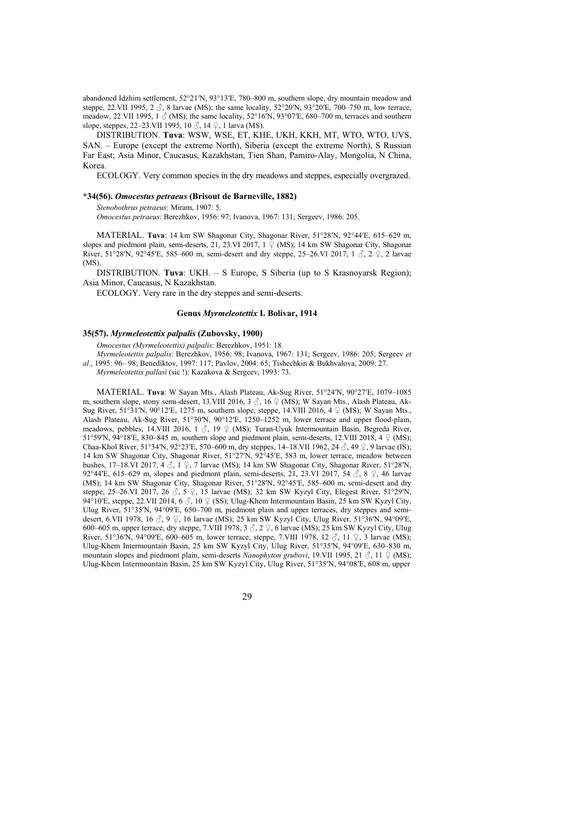abandoned Idzhim settlement, 52°21′N, 93°13′E, 780–800 m, southern slope, dry mountain meadow and steppe, 22. VII 1995, 2  $\delta$ , 8 larvae (MS); the same locality, 52°20′N, 93°20′E, 700–750 m, low terrace, meadow, 22.VII 1995, 1  $\circ$  (MS); the same locality, 52°16′N, 93°07′E, 680–700 m, terraces and southern slope, steppes, 22–23. VII 1995, 10  $\delta$ , 14  $\Omega$ , 1 larva (MS).

DISTRIBUTION. **Tuva**: WSW, WSE, ET, KHE, UKH, KKH, MT, WTO, WTO, UVS, SAN. – Europe (except the extreme North), Siberia (except the extreme North), S Russian Far East; Asia Minor, Caucasus, Kazakhstan, Tien Shan, Pamiro-Alay, Mongolia, N China, Korea.

ECOLOGY. Very common species in the dry meadows and steppes, especially overgrazed.

### **\*34(56).** *Omocestus petraeus* **(Brisout de Barneville, 1882)**

*Stenobothrus petraeus*: Miram, 1907: 5.

*Omocestus petraeus*: Berezhkov, 1956: 97; Ivanova, 1967: 131; Sergeev, 1986: 205.

MATERIAL. **Tuva**: 14 km SW Shagonar City, Shagonar River, 51°28ʹN, 92°44ʹE, 615–629 m, slopes and piedmont plain, semi-deserts, 21, 23.VI 2017,  $1 \oplus (MS)$ ; 14 km SW Shagonar City, Shagonar River, 51°28′N, 92°45′E, 585–600 m, semi-desert and dry steppe, 25–26.VI 2017, 1  $\beta$ , 2  $\beta$ , 2 larvae (MS).

DISTRIBUTION. **Tuva**: UKH. – S Europe, S Siberia (up to S Krasnoyarsk Region); Asia Minor, Caucasus, N Kazakhstan.

ECOLOGY. Very rare in the dry steppes and semi-deserts.

#### **Genus** *Myrmeleotettix* **I. Bolívar, 1914**

#### **35(57).** *Myrmeleotettix palpalis* **(Zubovsky, 1900)**

*Omocestus (Myrmeleotettix) palpalis*: Berezhkov, 1951: 18.

*Myrmeleotettix palpalis*: Berezhkov, 1956: 98; Ivanova, 1967: 131; Sergeev, 1986: 205; Sergeev *et al.*, 1995: 96– 98; Benediktov, 1997: 117; Pavlov, 2004: 65; Tishechkin & Bukhvalova, 2009: 27.

*Myrmeleotettix pallasi* (sic !): Kazakova & Sergeev, 1993: 73.

MATERIAL. **Tuva**: W Sayan Mts., Alash Plateau, Ak-Sug River, 51°24ʹN, 90°27ʹE, 1079–1085 m, southern slope, stony semi-desert, 13.VIII 2016, 3  $\circ$ , 16  $\circ$  (MS); W Sayan Mts., Alash Plateau, Ak-Sug River, 51°31′N, 90°12′E, 1275 m, southern slope, steppe, 14.VIII 2016, 4  $\varphi$  (MS); W Sayan Mts., Alash Plateau, Ak-Sug River, 51°30ʹN, 90°12ʹE, 1250–1252 m, lower terrace and upper flood-plain, meadows, pebbles, 14.VIII 2016, 1 ♂, 19 ♀ (MS); Turan-Uyuk Intermountain Basin, Begreda River, 51°59′N, 94°18′E, 830–845 m, southern slope and piedmont plain, semi-deserts, 12.VIII 2018, 4  $\circ$  (MS); Chaa-Khol River, 51°34′N, 92°23′E, 570–600 m, dry steppes, 14–18.VII 1962, 24  $\beta$ , 49  $\beta$ , 9 larvae (IS); 14 km SW Shagonar City, Shagonar River, 51°27ʹN, 92°45ʹE, 583 m, lower terrace, meadow between bushes,  $17-18$ , VI 2017,  $4 \beta$ ,  $1 \Omega$ , 7 larvae (MS); 14 km SW Shagonar City, Shagonar River,  $51^{\circ}28$ <sup>N</sup>, 92°44′E, 615–629 m, slopes and piedmont plain, semi-deserts, 21, 23.VI 2017, 54  $\Im$ , 8  $\Im$ , 46 larvae (MS); 14 km SW Shagonar City, Shagonar River, 51°28ʹN, 92°45ʹE, 585–600 m, semi-desert and dry steppe, 25–26.VI 2017, 26 8, 5 9, 15 larvae (MS); 32 km SW Kyzyl City, Elegest River, 51°29′N, 94°10′E, steppe, 22.VII 2014, 6  $\delta$ , 10  $\Omega$  (SS); Ulug-Khem Intermountain Basin, 25 km SW Kyzyl City, Ulug River, 51°35′N, 94°09′E, 650–700 m, piedmont plain and upper terraces, dry steppes and semidesert, 6.VII 1978, 16  $\beta$ , 9  $\beta$ , 16 larvae (MS); 25 km SW Kyzyl City, Ulug River, 51°36′N, 94°09′E, 600–605 m, upper terrace, dry steppe, 7.VIII 1978, 3  $\circled{?}$ , 2  $\circled{?}$ , 6 larvae (MS); 25 km SW Kyzyl City, Ulug River, 51°36′N, 94°09′E, 600–605 m, lower terrace, steppe, 7.VIII 1978, 12  $\circ$ , 11  $\circ$ , 3 larvae (MS); Ulug-Khem Intermountain Basin, 25 km SW Kyzyl City, Ulug River, 51°35ʹN, 94°09ʹE, 630–830 m, mountain slopes and piedmont plain, semi-deserts *Nanophyton grubovi*, 19.VII 1995, 21 ♂, 11 ♀ (MS); Ulug-Khem Intermountain Basin, 25 km SW Kyzyl City, Ulug River, 51°35ʹN, 94°08ʹE, 608 m, upper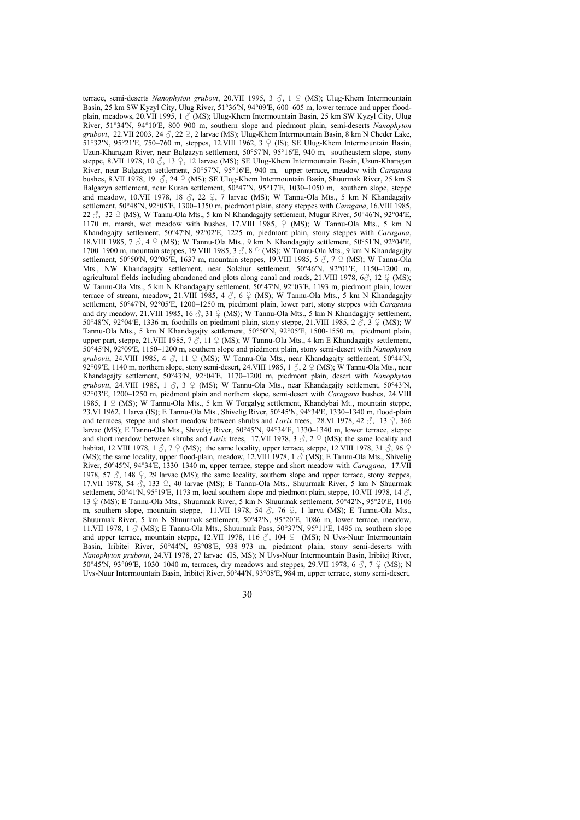terrace, semi-deserts *Nanophyton grubovi*, 20.VII 1995, 3 ♂, 1 ♀ (MS); Ulug-Khem Intermountain Basin, 25 km SW Kyzyl City, Ulug River, 51°36′N, 94°09′E, 600–605 m, lower terrace and upper floodplain, meadows, 20.VII 1995, 1  $\circ$  (MS); Ulug-Khem Intermountain Basin, 25 km SW Kyzyl City, Ulug River, 51°34ʹN, 94°10ʹE, 800–900 m, southern slope and piedmont plain, semi-deserts *Nanophyton grubovi*, 22.VII 2003, 24 ♂, 22 ♀, 2 larvae (MS); Ulug-Khem Intermountain Basin, 8 km N Cheder Lake, 51°32ʹN, 95°21ʹE, 750–760 m, steppes, 12.VIII 1962, 3 ♀ (IS); SE Ulug-Khem Intermountain Basin, Uzun-Kharagan River, near Balgazyn settlement, 50°57ʹN, 95°16ʹE, 940 m, southeastern slope, stony steppe, 8.VII 1978, 10  $\zeta$ , 13  $\frac{1}{2}$ , 12 larvae (MS); SE Ulug-Khem Intermountain Basin, Uzun-Kharagan River, near Balgazyn settlement, 50°57ʹN, 95°16ʹE, 940 m, upper terrace, meadow with *Caragana* bushes, 8.VII 1978, 19 ♂, 24 ♀ (MS); SE Ulug-Khem Intermountain Basin, Shuurmak River, 25 km S Balgazyn settlement, near Kuran settlement, 50°47ʹN, 95°17ʹE, 1030–1050 m, southern slope, steppe and meadow, 10.VII 1978, 18  $\beta$ , 22  $\beta$ , 7 larvae (MS); W Tannu-Ola Mts., 5 km N Khandagajty settlement, 50°48ʹN, 92°05ʹE, 1300–1350 m, piedmont plain, stony steppes with *Caragana*, 16.VIII 1985, 22  $\Im$ , 32  $\Im$  (MS); W Tannu-Ola Mts., 5 km N Khandagajty settlement, Mugur River, 50°46′N, 92°04′E 1170 m, marsh, wet meadow with bushes, 17.VIII 1985,  $\frac{1}{2}$  (MS); W Tannu-Ola Mts., 5 km N Khandagajty settlement, 50°47ʹN, 92°02ʹE, 1225 m, piedmont plain, stony steppes with *Caragana*, 18.VIII 1985, 7  $\Im$ , 4  $\Im$  (MS); W Tannu-Ola Mts., 9 km N Khandagajty settlement, 50°51′N, 92°04′E, 1700–1900 m, mountain steppes, 19. VIII 1985,  $3 \text{ } \textcircled{}3$ ,  $8 \text{ } \textcircled{}1$  (MS); W Tannu-Ola Mts., 9 km N Khandagajty settlement, 50°50′N, 92°05′E, 1637 m, mountain steppes, 19. VIII 1985, 5  $\delta$ , 7  $\frac{\circ}{2}$  (MS); W Tannu-Ola Mts., NW Khandagajty settlement, near Solchur settlement, 50°46ʹN, 92°01ʹE, 1150–1200 m, agricultural fields including abandoned and plots along canal and roads, 21.VIII 1978, 6 $\Im$ , 12  $\Im$  (MS); W Tannu-Ola Mts., 5 km N Khandagajty settlement, 50°47′N, 92°03′E, 1193 m, piedmont plain, lower terrace of stream, meadow, 21.VIII 1985, 4  $\delta$ , 6  $\circ$  (MS); W Tannu-Ola Mts., 5 km N Khandagajty settlement, 50°47ʹN, 92°05ʹE, 1200–1250 m, piedmont plain, lower part, stony steppes with *Caragana* and dry meadow, 21.VIII 1985, 16  $\delta$ , 31  $\Omega$  (MS); W Tannu-Ola Mts., 5 km N Khandagajty settlement, 50°48′N, 92°04′E, 1336 m, foothills on piedmont plain, stony steppe, 21.VIII 1985, 2  $\bar{\mathcal{S}}$ , 3  $\hat{P}$  (MS); W Tannu-Ola Mts., 5 km N Khandagajty settlement, 50°50ʹN, 92°05ʹE, 1500-1550 m, piedmont plain, upper part, steppe, 21.VIII 1985, 7  $\delta$ , 11  $\Omega$  (MS); W Tannu-Ola Mts., 4 km E Khandagajty settlement, 50°45ʹN, 92°09ʹE, 1150–1200 m, southern slope and piedmont plain, stony semi-desert with *Nanophyton*  grubovii, 24.VIII 1985, 4  $\delta$ , 11  $\varphi$  (MS); W Tannu-Ola Mts., near Khandagajty settlement, 50°44′N. 92°09′E, 1140 m, northern slope, stony semi-desert, 24.VIII 1985, 1 3, 2 9 (MS); W Tannu-Ola Mts., near Khandagajty settlement, 50°43′N, 92°04′E, 1170–1200 m, piedmont plain, desert with *Nanophyton grubovii*, 24.VIII 1985, 1  $\Im$ , 3  $\Im$  (MS); W Tannu-Ola Mts., near Khandagajty settlement, 50°43′N 92°03′E, 1200–1250 m, piedmont plain and northern slope, semi-desert with *Caragana* bushes, 24.VIII 1985, 1 ♀ (MS); W Tannu-Ola Mts., 5 km W Torgalyg settlement, Khandybai Mt., mountain steppe, 23.VI 1962, 1 larva (IS); E Tannu-Ola Mts., Shivelig River, 50°45ʹN, 94°34ʹE, 1330–1340 m, flood-plain and terraces, steppe and short meadow between shrubs and *Larix* trees, 28.VI 1978, 42  $\circled{3}$ , 13  $\circled{2}$ , 366 larvae (MS); E Tannu-Ola Mts., Shivelig River, 50°45ʹN, 94°34ʹE, 1330–1340 m, lower terrace, steppe and short meadow between shrubs and *Larix* trees, 17.VII 1978, 3  $\Im$ , 2  $\Im$  (MS); the same locality and habitat, 12.VIII 1978, 1  $\mathcal{S}$ , 7  $\mathcal{Q}$  (MS); the same locality, upper terrace, steppe, 12.VIII 1978, 31  $\mathcal{S}$ , 96  $\mathcal{Q}$ (MS); the same locality, upper flood-plain, meadow,  $12.$ VIII 1978,  $1 \beta$  (MS); E Tannu-Ola Mts., Shivelig River, 50°45ʹN, 94°34ʹE, 1330–1340 m, upper terrace, steppe and short meadow with *Caragana*, 17.VII 1978, 57  $\circ$ , 148  $\circ$ , 29 larvae (MS); the same locality, southern slope and upper terrace, stony steppes, 17.VII 1978, 54 ♂, 133 ♀, 40 larvae (MS); E Tannu-Ola Mts., Shuurmak River, 5 km N Shuurmak settlement, 50°41′N, 95°19′E, 1173 m, local southern slope and piedmont plain, steppe, 10.VII 1978, 14  $\circ$ . 13 ♀ (MS); E Tannu-Ola Mts., Shuurmak River, 5 km N Shuurmak settlement, 50°42ʹN, 95°20ʹE, 1106 m, southern slope, mountain steppe, 11.VII 1978, 54 ♂, 76 ♀, 1 larva (MS); E Tannu-Ola Mts., Shuurmak River, 5 km N Shuurmak settlement, 50°42ʹN, 95°20ʹE, 1086 m, lower terrace, meadow, 11.VII 1978, 1 $\hat{\beta}$  (MS); E Tannu-Ola Mts., Shuurmak Pass, 50°37′N, 95°11′E, 1495 m, southern slope and upper terrace, mountain steppe, 12.VII 1978, 116  $\Im$ , 104  $\Im$  (MS); N Uvs-Nuur Intermountain Basin, Iribitej River, 50°44′N, 93°08′E, 938–973 m, piedmont plain, stony semi-deserts with *Nanophyton grubovii*, 24.VI 1978, 27 larvae (IS, MS); N Uvs-Nuur Intermountain Basin, Iribitej River, 50°45′N, 93°09′E, 1030–1040 m, terraces, dry meadows and steppes, 29.VII 1978, 6  $\Im$ , 7  $\Im$  (MS); N Uvs-Nuur Intermountain Basin, Iribitej River, 50°44′N, 93°08′E, 984 m, upper terrace, stony semi-desert,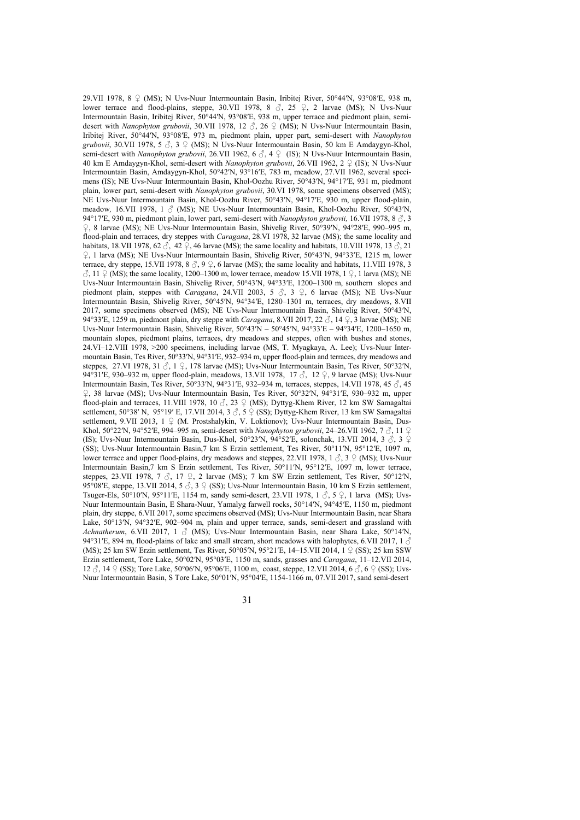29.VII 1978, 8 ♀ (MS); N Uvs-Nuur Intermountain Basin, Iribitej River, 50°44′N, 93°08′E, 938 m, lower terrace and flood-plains, steppe, 30.VII 1978, 8  $\Im$ , 25  $\Im$ , 2 larvae (MS); N Uvs-Nuur Intermountain Basin, Iribitej River, 50°44′N, 93°08′E, 938 m, upper terrace and piedmont plain, semidesert with *Nanophyton grubovii*, 30.VII 1978, 12 ♂, 26 ♀ (MS); N Uvs-Nuur Intermountain Basin, Iribitej River, 50°44′N, 93°08′E, 973 m, piedmont plain, upper part, semi-desert with *Nanophyton grubovii*, 30.VII 1978, 5 ♂, 3 ♀ (MS); N Uvs-Nuur Intermountain Basin, 50 km E Amdaygyn-Khol, semi-desert with *Nanophyton grubovii*, 26.VII 1962, 6 ♂, 4 ♀ (IS); N Uvs-Nuur Intermountain Basin, 40 km E Amdaygyn-Khol, semi-desert with *Nanophyton grubovii*, 26.VII 1962, 2 ♀ (IS); N Uvs-Nuur Intermountain Basin, Amdaygyn-Khol, 50°42ʹN, 93°16ʹE, 783 m, meadow, 27.VII 1962, several specimens (IS); NE Uvs-Nuur Intermountain Basin, Khol-Oozhu River, 50°43ʹN, 94°17ʹE, 931 m, piedmont plain, lower part, semi-desert with *Nanophyton grubovii*, 30.VI 1978, some specimens observed (MS); NE Uvs-Nuur Intermountain Basin, Khol-Oozhu River, 50°43ʹN, 94°17ʹE, 930 m, upper flood-plain, meadow*,* 16.VII 1978, 1 ♂ (MS); NE Uvs-Nuur Intermountain Basin, Khol-Oozhu River, 50°43ʹN, 94°17′E, 930 m, piedmont plain, lower part, semi-desert with *Nanophyton grubovii*, 16.VII 1978, 8  $\delta$ , 3 ♀, 8 larvae (MS); NE Uvs-Nuur Intermountain Basin, Shivelig River, 50°39ʹN, 94°28ʹE, 990–995 m, flood-plain and terraces, dry steppes with *Caragana*, 28.VI 1978, 32 larvae (MS); the same locality and habitats, 18.VII 1978, 62  $\circled{S}$ , 42  $\circled{}$ , 46 larvae (MS); the same locality and habitats, 10.VIII 1978, 13  $\circled{}$ , 21 ♀, 1 larva (MS); NE Uvs-Nuur Intermountain Basin, Shivelig River, 50°43ʹN, 94°33ʹE, 1215 m, lower terrace, dry steppe, 15.VII 1978, 8  $\circ$ , 9  $\circ$ , 6 larvae (MS); the same locality and habitats, 11.VIII 1978, 3  $\hat{\beta}$ , 11  $\hat{\varphi}$  (MS); the same locality, 1200–1300 m, lower terrace, meadow 15.VII 1978, 1  $\hat{\varphi}$ , 1 larva (MS); NE Uvs-Nuur Intermountain Basin, Shivelig River, 50°43ʹN, 94°33ʹE, 1200–1300 m, southern slopes and piedmont plain, steppes with *Caragana*, 24.VII 2003, 5 3, 3 ♀, 6 larvae (MS); NE Uvs-Nuur Intermountain Basin, Shivelig River, 50°45ʹN, 94°34ʹE, 1280–1301 m, terraces, dry meadows, 8.VII 2017, some specimens observed (MS); NE Uvs-Nuur Intermountain Basin, Shivelig River, 50°43ʹN, 94°33′E, 1259 m, piedmont plain, dry steppe with *Caragana*, 8.VII 2017, 22 ♂, 14 ♀, 3 larvae (MS); NE Uvs-Nuur Intermountain Basin, Shivelig River, 50°43ʹN – 50°45ʹN, 94°33ʹE – 94°34ʹE, 1200–1650 m, mountain slopes, piedmont plains, terraces, dry meadows and steppes, often with bushes and stones, 24.VI–12.VIII 1978, >200 specimens, including larvae (MS, T. Myagkaya, A. Lee); Uvs-Nuur Intermountain Basin, Tes River, 50°33ʹN, 94°31ʹE, 932–934 m, upper flood-plain and terraces, dry meadows and steppes, 27.VI 1978, 31 3, 1 ♀, 178 larvae (MS); Uvs-Nuur Intermountain Basin, Tes River, 50°32′N, 94°31′E, 930–932 m, upper flood-plain, meadows, 13.VII 1978, 17 3, 12 ♀, 9 larvae (MS); Uvs-Nuur Intermountain Basin, Tes River, 50°33ʹN, 94°31ʹE, 932–934 m, terraces, steppes, 14.VII 1978, 45 ♂, 45 ♀, 38 larvae (MS); Uvs-Nuur Intermountain Basin, Tes River, 50°32ʹN, 94°31ʹE, 930–932 m, upper flood-plain and terraces, 11.VIII 1978, 10  $\sigma$ , 23  $\Omega$  (MS); Dyttyg-Khem River, 12 km SW Samagaltai settlement, 50°38′ N, 95°19′ E, 17.VII 2014, 3  $\delta$ , 5  $\Omega$  (SS); Dyttyg-Khem River, 13 km SW Samagaltai settlement, 9.VII 2013, 1 ♀ (M. Prostshalykin, V. Loktionov); Uvs-Nuur Intermountain Basin, Dus-Khol, 50°22′N, 94°52′E, 994–995 m, semi-desert with *Nanophyton grubovii*, 24–26.VII 1962, 7 *δ*, 11 ♀ (IS); Uvs-Nuur Intermountain Basin, Dus-Khol, 50°23′N, 94°52′E, solonchak, 13.VII 2014, 3  $\Im$ , 3  $\Im$ (SS); Uvs-Nuur Intermountain Basin,7 km S Erzin settlement, Tes River, 50°11ʹN, 95°12ʹE, 1097 m, lower terrace and upper flood-plains, dry meadows and steppes, 22.VII 1978, 1  $\circled{S}$ , 3  $\circled{S}$  (MS); Uvs-Nuur Intermountain Basin,7 km S Erzin settlement, Tes River, 50°11ʹN, 95°12ʹE, 1097 m, lower terrace, steppes, 23.VII 1978, 7  $\Im$ , 17  $\Im$ , 2 larvae (MS); 7 km SW Erzin settlement, Tes River, 50°12′N, 95°08′E, steppe, 13.VII 2014, 5  $\Im$ , 3  $\Im$  (SS); Uvs-Nuur Intermountain Basin, 10 km S Erzin settlement, Tsuger-Els,  $50^{\circ}10^{\circ}$ N, 95°11′E, 1154 m, sandy semi-desert, 23.VII 1978, 1  $\hat{\beta}$ , 5  $\hat{\gamma}$ , 1 larva (MS); Uvs-Nuur Intermountain Basin, E Shara-Nuur, Yamalyg farwell rocks, 50°14ʹN, 94°45ʹE, 1150 m, piedmont plain, dry steppe, 6.VII 2017, some specimens observed (MS); Uvs-Nuur Intermountain Basin, near Shara Lake, 50°13′N, 94°32′E, 902–904 m, plain and upper terrace, sands, semi-desert and grassland with *Achnatherum*, 6.VII 2017, 1 ♂ (MS); Uvs-Nuur Intermountain Basin, near Shara Lake, 50°14ʹN, 94°31′E, 894 m, flood-plains of lake and small stream, short meadows with halophytes, 6.VII 2017, 1  $\delta$ (MS); 25 km SW Erzin settlement, Tes River, 50°05′N, 95°21′E, 14–15.VII 2014, 1  $\Omega$  (SS); 25 km SSW Erzin settlement, Tore Lake, 50°02ʹN, 95°03ʹE, 1150 m, sands, grasses and *Caragana*, 11–12.VII 2014, 12  $\circ$ , 14  $\circ$  (SS); Tore Lake, 50°06′N, 95°06′E, 1100 m, coast, steppe, 12.VII 2014, 6  $\circ$ , 6  $\circ$  (SS); Uvs-Nuur Intermountain Basin, S Tore Lake, 50°01′N, 95°04′E, 1154-1166 m, 07.VII 2017, sand semi-desert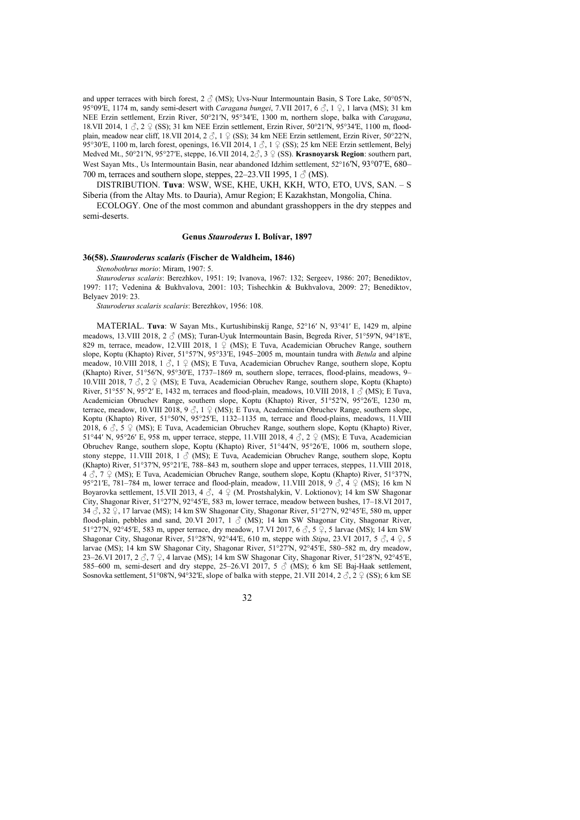and upper terraces with birch forest,  $2 \text{ } \textcircled{}$  (MS); Uvs-Nuur Intermountain Basin, S Tore Lake, 50°05′N, 95°09′E, 1174 m, sandy semi-desert with *Caragana bungei*, 7.VII 2017, 6 ♂, 1 ♀, 1 larva (MS); 31 km NEE Erzin settlement, Erzin River, 50°21ʹN, 95°34ʹE, 1300 m, northern slope, balka with *Caragana*, 18.VII 2014, 1  $\beta$ , 2  $\beta$  (SS); 31 km NEE Erzin settlement, Erzin River, 50°21′N, 95°34′E, 1100 m, floodplain, meadow near cliff, 18.VII 2014,  $2 \text{ A}$ , 1  $\Omega$  (SS); 34 km NEE Erzin settlement, Erzin River, 50°22′N, 95°30′E, 1100 m, larch forest, openings, 16.VII 2014, 1 $\circ$ , 1  $\circ$  (SS); 25 km NEE Erzin settlement, Belyj Medved Mt., 50°21ʹN, 95°27ʹE, steppe, 16.VII 2014, 2♂, 3 ♀ (SS). **Krasnoyarsk Region**: southern part, West Sayan Mts., Us Intermountain Basin, near abandoned Idzhim settlement, 52°16′N, 93°07′E, 680– 700 m, terraces and southern slope, steppes,  $22-23$ . VII 1995, 1  $\circ$  (MS).

DISTRIBUTION. **Tuva**: WSW, WSE, KHE, UKH, KKH, WTO, ETO, UVS, SAN. – S Siberia (from the Altay Mts. to Dauria), Amur Region; E Kazakhstan, Mongolia, China.

ECOLOGY. One of the most common and abundant grasshoppers in the dry steppes and semi-deserts.

#### **Genus** *Stauroderus* **I. Bolívar, 1897**

#### **36(58).** *Stauroderus scalaris* **(Fischer de Waldheim, 1846)**

*Stenobothrus morio*: Miram, 1907: 5.

*Stauroderus scalaris*: Berezhkov, 1951: 19; Ivanova, 1967: 132; Sergeev, 1986: 207; Benediktov, 1997: 117; Vedenina & Bukhvalova, 2001: 103; Tishechkin & Bukhvalova, 2009: 27; Benediktov, Belyaev 2019: 23.

*Stauroderus scalaris scalaris*: Berezhkov, 1956: 108.

MATERIAL. **Tuva**: W Sayan Mts., Kurtushibinskij Range, 52°16ʹ N, 93°41ʹ E, 1429 m, alpine meadows, 13.VIII 2018, 2  $\circ$  (MS); Turan-Uyuk Intermountain Basin, Begreda River, 51°59′N, 94°18′E, 829 m, terrace, meadow, 12.VIII 2018, 1  $\circ$  (MS); E Tuva, Academician Obruchev Range, southern slope, Koptu (Khapto) River, 51°57ʹN, 95°33ʹE, 1945–2005 m, mountain tundra with *Betula* and alpine meadow,  $10$ .VIII 2018,  $1 \circled{3}$ ,  $1 \circled{4}$  (MS); E Tuva, Academician Obruchev Range, southern slope, Koptu (Khapto) River, 51°56ʹN, 95°30ʹE, 1737–1869 m, southern slope, terraces, flood-plains, meadows, 9– 10.VIII 2018, 7 ♂, 2 ♀ (MS); E Tuva, Academician Obruchev Range, southern slope, Koptu (Khapto) River, 51°55′ N, 95°2′ E, 1432 m, terraces and flood-plain, meadows, 10.VIII 2018, 1 $\beta$  (MS); E Tuva, Academician Obruchev Range, southern slope, Koptu (Khapto) River, 51°52ʹN, 95°26ʹE, 1230 m, terrace, meadow, 10.VIII 2018, 9  $\beta$ , 1  $\beta$  (MS); E Tuva, Academician Obruchev Range, southern slope, Koptu (Khapto) River, 51°50ʹN, 95°25ʹE, 1132–1135 m, terrace and flood-plains, meadows, 11.VIII 2018, 6  $\circ$ , 5  $\circ$  (MS); E Tuva, Academician Obruchev Range, southern slope, Koptu (Khapto) River, 51°44′ N, 95°26′ E, 958 m, upper terrace, steppe, 11.VIII 2018, 4  $\beta$ , 2  $\beta$  (MS); E Tuva, Academician Obruchev Range, southern slope, Koptu (Khapto) River, 51°44ʹN, 95°26ʹE, 1006 m, southern slope, stony steppe, 11.VIII 2018, 1  $\circ$  (MS); E Tuva, Academician Obruchev Range, southern slope, Koptu (Khapto) River, 51°37ʹN, 95°21ʹE, 788–843 m, southern slope and upper terraces, steppes, 11.VIII 2018, 4 ♂, 7 ♀ (MS); E Tuva, Academician Obruchev Range, southern slope, Koptu (Khapto) River, 51°37ʹN, 95°21′E, 781–784 m, lower terrace and flood-plain, meadow, 11.VIII 2018, 9  $\beta$ , 4  $\frac{1}{2}$  (MS); 16 km N Boyarovka settlement, 15.VII 2013, 4  $\Im$ , 4  $\Im$  (M. Prostshalykin, V. Loktionov); 14 km SW Shagonar City, Shagonar River, 51°27ʹN, 92°45ʹE, 583 m, lower terrace, meadow between bushes, 17–18.VI 2017,  $34\hat{8}$ ,  $32\hat{9}$ , 17 larvae (MS); 14 km SW Shagonar City, Shagonar River,  $51^{\circ}27$ <sup>N</sup>,  $92^{\circ}45^{\prime}$ E, 580 m, upper flood-plain, pebbles and sand, 20.VI 2017, 1  $\circ$  (MS); 14 km SW Shagonar City, Shagonar River, 51°27′N, 92°45′E, 583 m, upper terrace, dry meadow, 17.VI 2017, 6  $\beta$ , 5  $\beta$ , 5 larvae (MS); 14 km SW Shagonar City, Shagonar River, 51°28′N, 92°44′E, 610 m, steppe with *Stipa*, 23.VI 2017, 5  $\delta$ , 4  $\epsilon$ , 5 larvae (MS); 14 km SW Shagonar City, Shagonar River, 51°27ʹN, 92°45ʹE, 580–582 m, dry meadow, 23–26.VI 2017, 2 ♂, 7 ♀, 4 larvae (MS); 14 km SW Shagonar City, Shagonar River, 51°28′N, 92°45′E, 585–600 m, semi-desert and dry steppe, 25–26.VI 2017, 5  $\textdegree$  (MS); 6 km SE Baj-Haak settlement, Sosnovka settlement, 51°08′N, 94°32′E, slope of balka with steppe, 21.VII 2014, 2  $\Im$ , 2  $\Im$  (SS); 6 km SE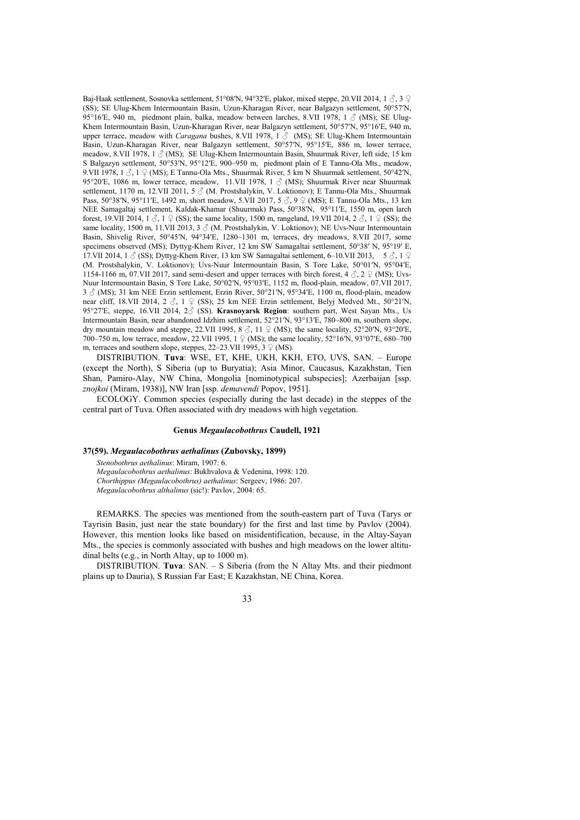Baj-Haak settlement, Sosnovka settlement, 51°08′N, 94°32′E, plakor, mixed steppe, 20.VII 2014, 1 $\beta$ , 3  $\beta$ (SS); SE Ulug-Khem Intermountain Basin, Uzun-Kharagan River, near Balgazyn settlement, 50°57ʹN, 95°16′E, 940 m, piedmont plain, balka, meadow between larches, 8.VII 1978, 1  $\circ$  (MS); SE Ulug-Khem Intermountain Basin, Uzun-Kharagan River, near Balgazyn settlement, 50°57ʹN, 95°16ʹE, 940 m, upper terrace, meadow with *Caragana* bushes, 8.VII 1978, 1  $\delta$  (MS); SE Ulug-Khem Intermountain Basin, Uzun-Kharagan River, near Balgazyn settlement, 50°57ʹN, 95°15ʹE, 886 m, lower terrace, meadow, 8.VII 1978, 1  $\circ$  (MS); SE Ulug-Khem Intermountain Basin, Shuurmak River, left side, 15 km S Balgazyn settlement, 50°53ʹN, 95°12ʹE, 900–950 m, piedmont plain of E Tannu-Ola Mts., meadow, 9.VII 1978, 1  $\beta$ , 1  $\beta$  (MS); E Tannu-Ola Mts., Shuurmak River, 5 km N Shuurmak settlement, 50°42′N, 95°20′E, 1086 m, lower terrace, meadow, 11.VII 1978, 1  $\circ$  (MS); Shuurmak River near Shuurmak settlement, 1170 m, 12.VII 2011, 5  $\circ$  (M. Prostshalykin, V. Loktionov); E Tannu-Ola Mts., Shuurmak Pass, 50°38′N, 95°11′E, 1492 m, short meadow, 5.VII 2017, 5  $\beta$ , 9  $\beta$  (MS); E Tannu-Ola Mts., 13 km NEE Samagaltaj settlement, Kaldak-Khamar (Shuurmak) Pass, 50°38ʹN, 95°11ʹE, 1550 m, open larch forest, 19.VII 2014, 1  $\circled{S}$ , 1  $\circled{S}$  (SS); the same locality, 1500 m, rangeland, 19.VII 2014, 2  $\circled{S}$ , 1  $\circled{S}$  (SS); the same locality, 1500 m, 11.VII 2013, 3  $\circ$  (M. Prostshalykin, V. Loktionov); NE Uvs-Nuur Intermountain Basin, Shivelig River, 50°45′N, 94°34′E, 1280–1301 m, terraces, dry meadows, 8.VII 2017, some specimens observed (MS); Dyttyg-Khem River, 12 km SW Samagaltai settlement, 50°38ʹ N, 95°19ʹ E, 17.VII 2014, 1  $\circ$  (SS); Dyttyg-Khem River, 13 km SW Samagaltai settlement, 6–10.VII 2013, 5  $\circ$ , 1  $\circ$ (M. Prostshalykin, V. Loktionov); Uvs-Nuur Intermountain Basin, S Tore Lake, 50°01′N, 95°04′E, 1154-1166 m, 07.VII 2017, sand semi-desert and upper terraces with birch forest, 4  $\beta$ , 2  $\gamma$  (MS); Uvs-Nuur Intermountain Basin, S Tore Lake, 50°02′N, 95°03′E, 1152 m, flood-plain, meadow, 07.VII 2017, 3  $\circ$  (MS); 31 km NEE Erzin settlement, Erzin River, 50°21′N, 95°34′E, 1100 m, flood-plain, meadow near cliff, 18.VII 2014, 2  $\Im$ , 1  $\Im$  (SS); 25 km NEE Erzin settlement, Belyj Medved Mt., 50°21′N, 95°27ʹE, steppe, 16.VII 2014, 2♂ (SS). **Krasnoyarsk Region**: southern part, West Sayan Mts., Us Intermountain Basin, near abandoned Idzhim settlement, 52°21′N, 93°13′E, 780–800 m, southern slope, dry mountain meadow and steppe, 22. VII 1995, 8  $\Im$ , 11  $\Im$  (MS); the same locality, 52°20′N, 93°20′E, 700–750 m, low terrace, meadow, 22.VII 1995, 1 ♀ (MS); the same locality, 52°16′N, 93°07′E, 680–700 m, terraces and southern slope, steppes,  $22-23$ . VII 1995,  $3 \nsubseteq (MS)$ .

DISTRIBUTION. **Tuva**: WSE, ET, KHE, UKH, KKH, ETO, UVS, SAN. – Europe (except the North), S Siberia (up to Buryatia); Asia Minor, Caucasus, Kazakhstan, Tien Shan, Pamiro-Alay, NW China, Mongolia [nominotypical subspecies]; Azerbaijan [ssp. *znojkoi* (Miram, 1938)], NW Iran [ssp. *demavendi* Popov, 1951].

ECOLOGY. Common species (especially during the last decade) in the steppes of the central part of Tuva. Often associated with dry meadows with high vegetation.

### **Genus** *Megaulacobothrus* **Caudell, 1921**

# **37(59).** *Megaulacobothrus aethalinus* **(Zubovsky, 1899)**

*Stenobothrus aethalinus*: Miram, 1907: 6. *Megaulacobothrus aethalinus*: Bukhvalova & Vedenina, 1998: 120. *Chorthippus (Megaulacobothrus) aethalinus*: Sergeev, 1986: 207. *Megaulacobothrus althalinus* (sic!): Pavlov, 2004: 65.

REMARKS. The species was mentioned from the south-eastern part of Tuva (Tarys or Tayrisin Basin, just near the state boundary) for the first and last time by Pavlov (2004). However, this mention looks like based on misidentification, because, in the Altay-Sayan Mts., the species is commonly associated with bushes and high meadows on the lower altitudinal belts (e.g., in North Altay, up to 1000 m).

DISTRIBUTION. **Tuva**: SAN. – S Siberia (from the N Altay Mts. and their piedmont plains up to Dauria), S Russian Far East; E Kazakhstan, NE China, Korea.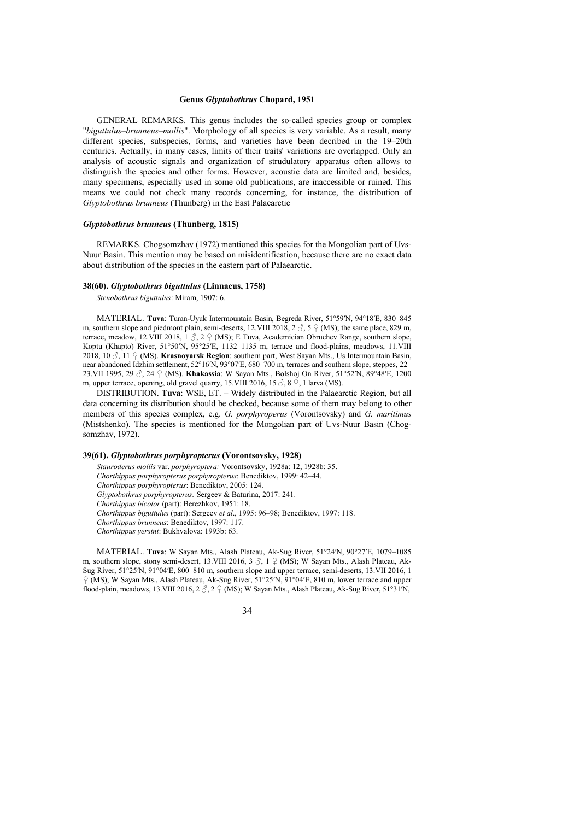# **Genus** *Glyptobothrus* **Chopard, 1951**

GENERAL REMARKS. This genus includes the so-called species group or complex "*biguttulus–brunneus–mollis*". Morphology of all species is very variable. As a result, many different species, subspecies, forms, and varieties have been decribed in the 19–20th centuries. Actually, in many cases, limits of their traits' variations are overlapped. Only an analysis of acoustic signals and organization of strudulatory apparatus often allows to distinguish the species and other forms. However, acoustic data are limited and, besides, many specimens, especially used in some old publications, are inaccessible or ruined. This means we could not check many records concerning, for instance, the distribution of *Glyptobothrus brunneus* (Thunberg) in the East Palaearctic

## *Glyptobothrus brunneus* **(Thunberg, 1815)**

REMARKS. Chogsomzhav (1972) mentioned this species for the Mongolian part of Uvs-Nuur Basin. This mention may be based on misidentification, because there are no exact data about distribution of the species in the eastern part of Palaearctic.

### **38(60).** *Glyptobothrus biguttulus* **(Linnaeus, 1758)**

*Stenobothrus biguttulus*: Miram, 1907: 6.

MATERIAL. **Tuva**: Turan-Uyuk Intermountain Basin, Begreda River, 51°59ʹN, 94°18ʹE, 830–845 m, southern slope and piedmont plain, semi-deserts, 12.VIII 2018,  $2 \text{ } \textcircled{}$ ,  $5 \text{ } \textcircled{}$  (MS); the same place, 829 m, terrace, meadow, 12.VIII 2018,  $1 \beta$ ,  $2 \beta$  (MS); E Tuva, Academician Obruchev Range, southern slope, Koptu (Khapto) River, 51°50ʹN, 95°25ʹE, 1132–1135 m, terrace and flood-plains, meadows, 11.VIII 2018, 10 ♂, 11 ♀ (MS). **Krasnoyarsk Region**: southern part, West Sayan Mts., Us Intermountain Basin, near abandoned Idzhim settlement, 52°16′N, 93°07′E, 680–700 m, terraces and southern slope, steppes, 22– 23.VII 1995, 29 ♂, 24 ♀ (MS). **Khakassia**: W Sayan Mts., Bolshoj On River, 51°52′N, 89°48′E, 1200 m, upper terrace, opening, old gravel quarry, 15.VIII 2016, 15  $\circled$ , 8  $\circledcirc$ , 1 larva (MS).

DISTRIBUTION. **Tuva**: WSE, ET. – Widely distributed in the Palaearctic Region, but all data concerning its distribution should be checked, because some of them may belong to other members of this species complex, e.g. *G. porphyroperus* (Vorontsovsky) and *G. maritimus* (Mistshenko). The species is mentioned for the Mongolian part of Uvs-Nuur Basin (Chogsomzhav, 1972).

#### **39(61).** *Glyptobothrus porphyropterus* **(Vorontsovsky, 1928)**

*Stauroderus mollis* var. *porphyroptera:* Vorontsovsky, 1928a: 12, 1928b: 35. *Chorthippus porphyropterus porphyropterus*: Benediktov, 1999: 42–44. *Chorthippus porphyropterus*: Benediktov, 2005: 124. *Glyptobothrus porphyropterus:* Sergeev & Baturina, 2017: 241. *Chorthippus bicolor* (part): Berezhkov, 1951: 18. *Chorthippus biguttulus* (part): Sergeev *et al*., 1995: 96–98; Benediktov, 1997: 118. *Chorthippus brunneus*: Benediktov, 1997: 117. *Chorthippus yersini*: Bukhvalova: 1993b: 63.

MATERIAL. **Tuva**: W Sayan Mts., Alash Plateau, Ak-Sug River, 51°24ʹN, 90°27ʹE, 1079–1085 m, southern slope, stony semi-desert, 13.VIII 2016, 3  $\beta$ , 1  $\circ$  (MS); W Sayan Mts., Alash Plateau, Ak-Sug River, 51°25′N, 91°04′E, 800–810 m, southern slope and upper terrace, semi-deserts, 13.VII 2016, 1 ♀ (MS); W Sayan Mts., Alash Plateau, Ak-Sug River, 51°25ʹN, 91°04ʹE, 810 m, lower terrace and upper flood-plain, meadows, 13.VIII 2016, 2  $\circled$ , 2  $\circledcirc$  (MS); W Sayan Mts., Alash Plateau, Ak-Sug River, 51°31′N,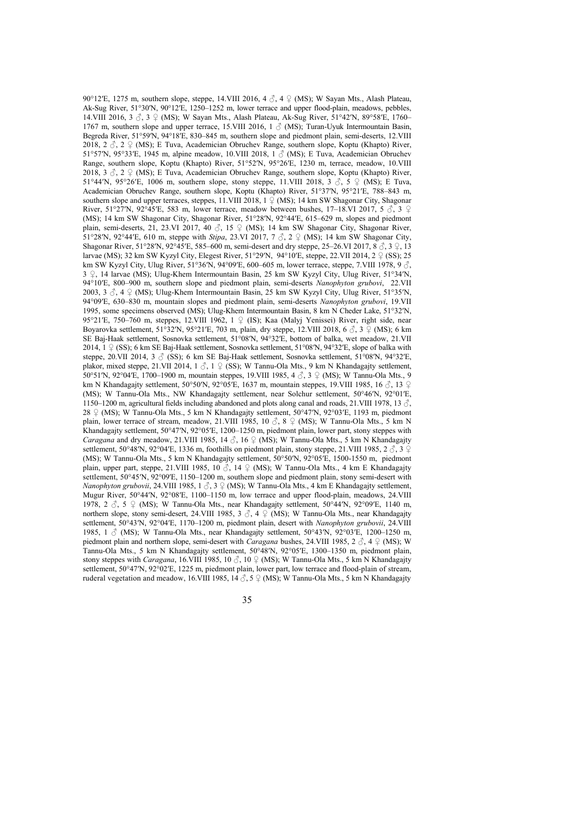90°12′E, 1275 m, southern slope, steppe, 14.VIII 2016, 4  $\Im$ , 4  $\Im$  (MS); W Sayan Mts., Alash Plateau, Ak-Sug River, 51°30′N, 90°12′E, 1250–1252 m, lower terrace and upper flood-plain, meadows, pebbles, 14.VIII 2016, 3 ♂, 3 ♀ (MS); W Sayan Mts., Alash Plateau, Ak-Sug River, 51°42ʹN, 89°58ʹE, 1760– 1767 m, southern slope and upper terrace, 15.VIII 2016, 1  $\beta$  (MS); Turan-Uyuk Intermountain Basin, Begreda River, 51°59′N, 94°18′E, 830–845 m, southern slope and piedmont plain, semi-deserts, 12.VIII 2018, 2  $\Im$ , 2  $\Im$  (MS); E Tuva, Academician Obruchev Range, southern slope, Koptu (Khapto) River, 51°57′N, 95°33′E, 1945 m, alpine meadow, 10.VIII 2018, 1  $\circ$  (MS); E Tuva, Academician Obruchev Range, southern slope, Koptu (Khapto) River, 51°52ʹN, 95°26ʹE, 1230 m, terrace, meadow, 10.VIII 2018, 3 ♂, 2 ♀ (MS); E Tuva, Academician Obruchev Range, southern slope, Koptu (Khapto) River, 51°44′N, 95°26′E, 1006 m, southern slope, stony steppe, 11.VIII 2018, 3  $\delta$ , 5  $\circ$  (MS); E Tuva, Academician Obruchev Range, southern slope, Koptu (Khapto) River, 51°37ʹN, 95°21ʹE, 788–843 m, southern slope and upper terraces, steppes, 11.VIII 2018,  $1 \nsubseteq (MS)$ ; 14 km SW Shagonar City, Shagonar River, 51°27′N, 92°45′E, 583 m, lower terrace, meadow between bushes, 17-18.VI 2017, 5  $\Im$ , 3  $\Im$ (MS); 14 km SW Shagonar City, Shagonar River, 51°28′N, 92°44′E, 615–629 m, slopes and piedmont plain, semi-deserts, 21, 23.VI 2017, 40  $\delta$ , 15  $\frac{1}{2}$  (MS); 14 km SW Shagonar City, Shagonar River, 51°28′N, 92°44′E, 610 m, steppe with *Stipa*, 23.VI 2017, 7 ♂, 2 ♀ (MS); 14 km SW Shagonar City, Shagonar River, 51°28′N, 92°45′E, 585–600 m, semi-desert and dry steppe, 25–26.VI 2017,  $\overline{8}$ ,  $\overline{3}$ ,  $\overline{9}$ , 13 larvae (MS); 32 km SW Kyzyl City, Elegest River, 51°29ʹN, 94°10ʹE, steppe, 22.VII 2014, 2 ♀ (SS); 25 km SW Kyzyl City, Ulug River, 51°36′N, 94°09′E, 600–605 m, lower terrace, steppe, 7.VIII 1978, 9 3, 3 ♀, 14 larvae (MS); Ulug-Khem Intermountain Basin, 25 km SW Kyzyl City, Ulug River, 51°34ʹN, 94°10ʹE, 800–900 m, southern slope and piedmont plain, semi-deserts *Nanophyton grubovi*, 22.VII 2003, 3  $\Im$ , 4  $\Im$  (MS); Ulug-Khem Intermountain Basin, 25 km SW Kyzyl City, Ulug River, 51°35′N, 94°09ʹE, 630–830 m, mountain slopes and piedmont plain, semi-deserts *Nanophyton grubovi*, 19.VII 1995, some specimens observed (MS); Ulug-Khem Intermountain Basin, 8 km N Cheder Lake, 51°32ʹN, 95°21′E, 750–760 m, steppes, 12.VIII 1962, 1  $\circ$  (IS); Kaa (Malyj Yenissei) River, right side, near Boyarovka settlement, 51°32′N, 95°21′E, 703 m, plain, dry steppe, 12.VIII 2018, 6 ♂, 3 ♀ (MS); 6 km SE Baj-Haak settlement, Sosnovka settlement, 51°08ʹN, 94°32ʹE, bottom of balka, wet meadow, 21.VII 2014, 1 ♀ (SS); 6 km SE Baj-Haak settlement, Sosnovka settlement, 51°08ʹN, 94°32ʹE, slope of balka with steppe, 20.VII 2014, 3  $\circ$  (SS); 6 km SE Baj-Haak settlement, Sosnovka settlement, 51°08′N, 94°32′E, plakor, mixed steppe, 21.VII 2014, 1  $\circled{S}$ , 1  $\circled{S}$  (SS); W Tannu-Ola Mts., 9 km N Khandagajty settlement, 50°51′N, 92°04′E, 1700–1900 m, mountain steppes, 19.VIII 1985, 4 3, 3 ♀ (MS); W Tannu-Ola Mts., 9 km N Khandagajty settlement, 50°50′N, 92°05′E, 1637 m, mountain steppes, 19.VIII 1985, 16  $\Im$ , 13  $\Im$ (MS); W Tannu-Ola Mts., NW Khandagajty settlement, near Solchur settlement, 50°46ʹN, 92°01ʹE, 1150–1200 m, agricultural fields including abandoned and plots along canal and roads, 21. VIII 1978, 13  $\circled$ , 28 ♀ (MS); W Tannu-Ola Mts., 5 km N Khandagajty settlement, 50°47ʹN, 92°03ʹE, 1193 m, piedmont plain, lower terrace of stream, meadow, 21.VIII 1985, 10  $\circ$ , 8  $\circ$  (MS); W Tannu-Ola Mts., 5 km N Khandagajty settlement, 50°47ʹN, 92°05ʹE, 1200–1250 m, piedmont plain, lower part, stony steppes with *Caragana* and dry meadow, 21.VIII 1985, 14  $\Diamond$ , 16  $\Diamond$  (MS); W Tannu-Ola Mts., 5 km N Khandagajty settlement, 50°48′N, 92°04′E, 1336 m, foothills on piedmont plain, stony steppe, 21.VIII 1985, 2  $\circ$ , 3  $\circ$ (MS); W Tannu-Ola Mts., 5 km N Khandagajty settlement, 50°50ʹN, 92°05ʹE, 1500-1550 m, piedmont plain, upper part, steppe, 21.VIII 1985, 10  $\tilde{\beta}$ , 14  $\varphi$  (MS); W Tannu-Ola Mts., 4 km E Khandagajty settlement, 50°45′N, 92°09′E, 1150-1200 m, southern slope and piedmont plain, stony semi-desert with *Nanophyton grubovii*, 24.VIII 1985, 1 ♂, 3 ♀ (MS); W Tannu-Ola Mts., 4 km E Khandagajty settlement, Mugur River, 50°44′N, 92°08′E, 1100-1150 m, low terrace and upper flood-plain, meadows, 24.VIII 1978, 2  $\Im$ , 5  $\Im$  (MS); W Tannu-Ola Mts., near Khandagajty settlement, 50°44′N, 92°09′E, 1140 m, northern slope, stony semi-desert, 24.VIII 1985, 3  $\Im$ , 4  $\Im$  (MS); W Tannu-Ola Mts., near Khandagajty settlement, 50°43′N, 92°04′E, 1170–1200 m, piedmont plain, desert with *Nanophyton grubovii*, 24.VIII 1985, 1  $\circ$  (MS); W Tannu-Ola Mts., near Khandagajty settlement, 50°43′N, 92°03′E, 1200–1250 m, piedmont plain and northern slope, semi-desert with *Caragana* bushes, 24.VIII 1985, 2  $\beta$ , 4  $\beta$  (MS); W Tannu-Ola Mts., 5 km N Khandagajty settlement, 50°48ʹN, 92°05ʹE, 1300–1350 m, piedmont plain, stony steppes with *Caragana*, 16.VIII 1985, 10 ♂, 10 ♀ (MS); W Tannu-Ola Mts., 5 km N Khandagajty settlement, 50°47′N, 92°02′E, 1225 m, piedmont plain, lower part, low terrace and flood-plain of stream, ruderal vegetation and meadow, 16.VIII 1985, 14  $\Im$ , 5  $\Im$  (MS); W Tannu-Ola Mts., 5 km N Khandagajty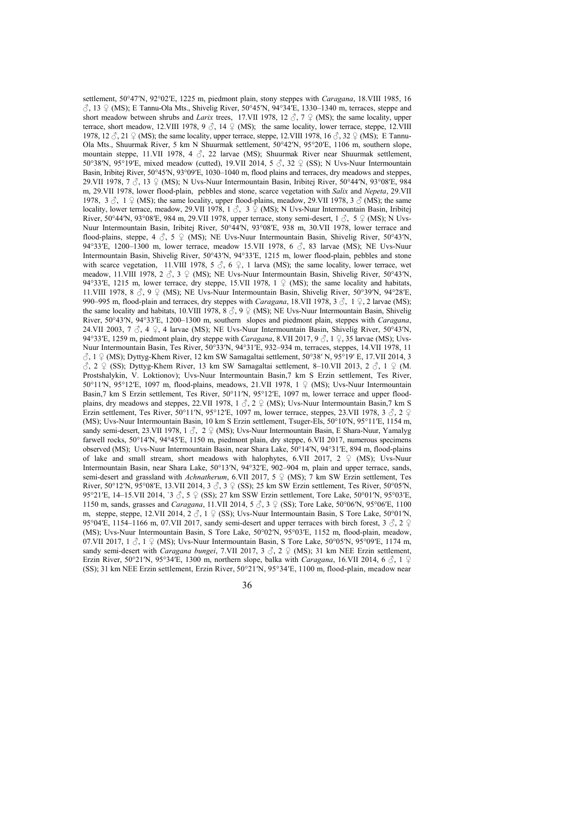settlement, 50°47ʹN, 92°02ʹE, 1225 m, piedmont plain, stony steppes with *Caragana*, 18.VIII 1985, 16  $\circ$ , 13  $\circ$  (MS); E Tannu-Ola Mts., Shivelig River, 50°45′N, 94°34′E, 1330–1340 m, terraces, steppe and short meadow between shrubs and *Larix* trees, 17.VII 1978, 12  $\delta$ , 7  $\circ$  (MS); the same locality, upper terrace, short meadow, 12.VIII 1978, 9  $\circ$ , 14  $\circ$  (MS); the same locality, lower terrace, steppe, 12.VIII 1978, 12  $\Im$ , 21  $\Im$  (MS); the same locality, upper terrace, steppe, 12.VIII 1978, 16  $\Im$ , 32  $\Im$  (MS); E Tannu-Ola Mts., Shuurmak River, 5 km N Shuurmak settlement, 50°42ʹN, 95°20ʹE, 1106 m, southern slope, mountain steppe, 11.VII 1978, 4 ♂, 22 larvae (MS); Shuurmak River near Shuurmak settlement, 50°38′N, 95°19′E, mixed meadow (cutted), 19.VII 2014, 5  $\delta$ , 32  $\circ$  (SS); N Uvs-Nuur Intermountain Basin, Iribitej River, 50°45′N, 93°09′E, 1030–1040 m, flood plains and terraces, dry meadows and steppes, 29.VII 1978, 7  $\Im$ , 13  $\Im$  (MS); N Uvs-Nuur Intermountain Basin, Iribitej River, 50°44′N, 93°08′E, 984 m, 29.VII 1978, lower flood-plain, pebbles and stone, scarce vegetation with *Salix* and *Nepeta*, 29.VII 1978, 3  $\Im$ , 1  $\Im$  (MS); the same locality, upper flood-plains, meadow, 29.VII 1978, 3  $\Im$  (MS); the same locality, lower terrace, meadow, 29.VII 1978, 1  $\Im$ , 3  $\Im$  (MS); N Uvs-Nuur Intermountain Basin, Iribitej River, 50°44′N, 93°08′E, 984 m, 29. VII 1978, upper terrace, stony semi-desert, 1  $\delta$ , 5  $\Omega$  (MS); N Uvs-Nuur Intermountain Basin, Iribitej River, 50°44′N, 93°08′E, 938 m, 30.VII 1978, lower terrace and flood-plains, steppe, 4  $\delta$ , 5  $\circ$  (MS); NE Uvs-Nuur Intermountain Basin, Shivelig River, 50°43′N, 94°33′E, 1200–1300 m, lower terrace, meadow 15.VII 1978, 6  $\beta$ , 83 larvae (MS); NE Uvs-Nuur Intermountain Basin, Shivelig River, 50°43ʹN, 94°33ʹE, 1215 m, lower flood-plain, pebbles and stone with scarce vegetation, 11.VIII 1978, 5  $\beta$ , 6  $\beta$ , 1 larva (MS); the same locality, lower terrace, wet meadow, 11.VIII 1978, 2  $\zeta$ , 3  $\Omega$  (MS); NE Uvs-Nuur Intermountain Basin, Shivelig River, 50°43′N. 94°33′E, 1215 m, lower terrace, dry steppe, 15.VII 1978, 1  $\circ$  (MS); the same locality and habitats, 11.VIII 1978, 8  $\Im$ , 9  $\Im$  (MS); NE Uvs-Nuur Intermountain Basin, Shivelig River, 50°39′N, 94°28′E, 990–995 m, flood-plain and terraces, dry steppes with *Caragana*, 18.VII 1978, 3 ♂, 1 ♀, 2 larvae (MS); the same locality and habitats, 10.VIII 1978, 8  $\Im$ , 9  $\Im$  (MS); NE Uvs-Nuur Intermountain Basin, Shivelig River, 50°43ʹN, 94°33ʹE, 1200–1300 m, southern slopes and piedmont plain, steppes with *Caragana*, 24.VII 2003, 7  $\Im$ , 4  $\Im$ , 4 larvae (MS); NE Uvs-Nuur Intermountain Basin, Shivelig River, 50°43′N, 94°33′E, 1259 m, piedmont plain, dry steppe with *Caragana*, 8.VII 2017, 9 ♂, 1 ♀, 35 larvae (MS); Uvs-Nuur Intermountain Basin, Tes River, 50°33ʹN, 94°31ʹE, 932–934 m, terraces, steppes, 14.VII 1978, 11  $\Im$ , 1  $\Im$  (MS); Dyttyg-Khem River, 12 km SW Samagaltai settlement, 50°38′ N, 95°19′ E, 17.VII 2014, 3  $\Diamond$ , 2  $\Diamond$  (SS); Dyttyg-Khem River, 13 km SW Samagaltai settlement, 8–10.VII 2013, 2  $\Diamond$ , 1  $\Diamond$  (M. Prostshalykin, V. Loktionov); Uvs-Nuur Intermountain Basin,7 km S Erzin settlement, Tes River, 50°11′N, 95°12′E, 1097 m, flood-plains, meadows, 21.VII 1978, 1  $\varphi$  (MS); Uvs-Nuur Intermountain Basin,7 km S Erzin settlement, Tes River, 50°11ʹN, 95°12ʹE, 1097 m, lower terrace and upper floodplains, dry meadows and steppes, 22.VII 1978, 1  $\delta$ , 2  $\circ$  (MS); Uvs-Nuur Intermountain Basin,7 km S Erzin settlement, Tes River, 50°11′N, 95°12′E, 1097 m, lower terrace, steppes, 23.VII 1978, 3  $\delta$ , 2  $\Omega$ (MS); Uvs-Nuur Intermountain Basin, 10 km S Erzin settlement, Tsuger-Els, 50°10ʹN, 95°11ʹE, 1154 m, sandy semi-desert, 23.VII 1978, 1 Å, 2 ♀ (MS); Uvs-Nuur Intermountain Basin, E Shara-Nuur, Yamalyg farwell rocks, 50°14′N, 94°45′E, 1150 m, piedmont plain, dry steppe, 6.VII 2017, numerous specimens observed (MS); Uvs-Nuur Intermountain Basin, near Shara Lake, 50°14ʹN, 94°31ʹE, 894 m, flood-plains of lake and small stream, short meadows with halophytes, 6.VII 2017, 2  $\circ$  (MS); Uvs-Nuur Intermountain Basin, near Shara Lake, 50°13ʹN, 94°32ʹE, 902–904 m, plain and upper terrace, sands, semi-desert and grassland with *Achnatherum*, 6.VII 2017, 5 ♀ (MS); 7 km SW Erzin settlement, Tes River, 50°12′N, 95°08′E, 13.VII 2014, 3  $\Im$ , 3  $\Im$  (SS); 25 km SW Erzin settlement, Tes River, 50°05′N, 95°21′E, 14–15.VII 2014, `3 ♂, 5 ♀ (SS); 27 km SSW Erzin settlement, Tore Lake, 50°01′N, 95°03′E, 1150 m, sands, grasses and *Caragana*, 11.VII 2014, 5 ♂, 3 ♀ (SS); Tore Lake, 50°06ʹN, 95°06ʹE, 1100 m, steppe, steppe, 12.VII 2014, 2  $\Im$ , 1  $\Im$  (SS); Uvs-Nuur Intermountain Basin, S Tore Lake, 50°01′N, 95°04′E, 1154–1166 m, 07. VII 2017, sandy semi-desert and upper terraces with birch forest, 3  $\Im$ , 2  $\Im$ (MS); Uvs-Nuur Intermountain Basin, S Tore Lake, 50°02′N, 95°03′E, 1152 m, flood-plain, meadow, 07.VII 2017,  $1 \text{ A}$ ,  $1 \text{ C}$  (MS); Uvs-Nuur Intermountain Basin, S Tore Lake, 50°05′N, 95°09′E, 1174 m, sandy semi-desert with *Caragana bungei*, 7.VII 2017, 3 ♂, 2 ♀ (MS); 31 km NEE Erzin settlement, Erzin River, 50°21′N, 95°34′E, 1300 m, northern slope, balka with *Caragana*, 16.VII 2014, 6 ♂, 1 ♀ (SS); 31 km NEE Erzin settlement, Erzin River, 50°21ʹN, 95°34ʹE, 1100 m, flood-plain, meadow near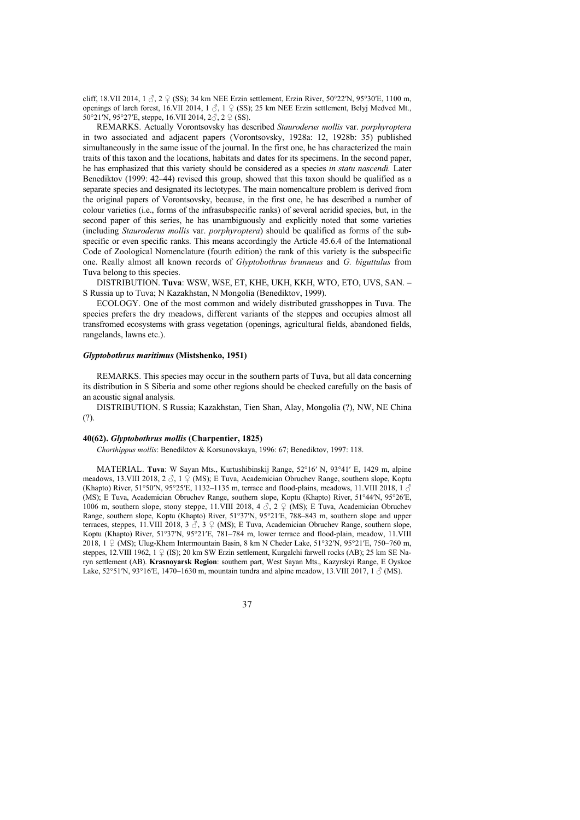cliff, 18.VII 2014, 1  $\beta$ , 2  $\beta$  (SS); 34 km NEE Erzin settlement, Erzin River, 50°22′N, 95°30′E, 1100 m, openings of larch forest, 16.VII 2014, 1  $\Im$ , 1  $\Im$  (SS); 25 km NEE Erzin settlement, Belyj Medved Mt., 50°21′N, 95°27′E, steppe, 16.VII 2014, 2 $\Diamond$ , 2  $\Diamond$  (SS).

REMARKS. Actually Vorontsovsky has described *Stauroderus mollis* var. *porphyroptera* in two associated and adjacent papers (Vorontsovsky, 1928a: 12, 1928b: 35) published simultaneously in the same issue of the journal. In the first one, he has characterized the main traits of this taxon and the locations, habitats and dates for its specimens. In the second paper, he has emphasized that this variety should be considered as a species *in statu nascendi.* Later Benediktov (1999: 42–44) revised this group, showed that this taxon should be qualified as a separate species and designated its lectotypes. The main nomencalture problem is derived from the original papers of Vorontsovsky, because, in the first one, he has described a number of colour varieties (i.e., forms of the infrasubspecific ranks) of several acridid species, but, in the second paper of this series, he has unambiguously and explicitly noted that some varieties (including *Stauroderus mollis* var. *porphyroptera*) should be qualified as forms of the subspecific or even specific ranks. This means accordingly the Article 45.6.4 of the International Code of Zoological Nomenclature (fourth edition) the rank of this variety is the subspecific one. Really almost all known records of *Glyptobothrus brunneus* and *G. biguttulus* from Tuva belong to this species.

DISTRIBUTION. **Tuva**: WSW, WSE, ET, KHE, UKH, KKH, WTO, ETO, UVS, SAN. – S Russia up to Tuva; N Kazakhstan, N Mongolia (Benediktov, 1999).

ECOLOGY. One of the most common and widely distributed grasshoppes in Tuva. The species prefers the dry meadows, different variants of the steppes and occupies almost all transfromed ecosystems with grass vegetation (openings, agricultural fields, abandoned fields, rangelands, lawns etc.).

### *Glyptobothrus maritimus* **(Mistshenko, 1951)**

REMARKS. This species may occur in the southern parts of Tuva, but all data concerning its distribution in S Siberia and some other regions should be checked carefully on the basis of an acoustic signal analysis.

DISTRIBUTION. S Russia; Kazakhstan, Tien Shan, Alay, Mongolia (?), NW, NE China (?).

### **40(62).** *Glyptobothrus mollis* **(Charpentier, 1825)**

*Chorthippus mollis*: Benediktov & Korsunovskaya, 1996: 67; Benediktov, 1997: 118.

MATERIAL. **Tuva**: W Sayan Mts., Kurtushibinskij Range, 52°16ʹ N, 93°41ʹ E, 1429 m, alpine meadows, 13.VIII 2018, 2  $\beta$ , 1  $\Omega$  (MS); E Tuva, Academician Obruchev Range, southern slope, Koptu (Khapto) River, 51°50′N, 95°25′E, 1132–1135 m, terrace and flood-plains, meadows, 11.VIII 2018, 1 $\beta$ (MS); E Tuva, Academician Obruchev Range, southern slope, Koptu (Khapto) River, 51°44ʹN, 95°26ʹE, 1006 m, southern slope, stony steppe, 11.VIII 2018, 4  $\hat{\beta}$ , 2  $\hat{\beta}$  (MS); E Tuva, Academician Obruchev Range, southern slope, Koptu (Khapto) River, 51°37′N, 95°21′E, 788–843 m, southern slope and upper terraces, steppes, 11.VIII 2018, 3  $\hat{\beta}$ , 3  $\hat{\varphi}$  (MS); E Tuva, Academician Obruchev Range, southern slope, Koptu (Khapto) River, 51°37ʹN, 95°21ʹE, 781–784 m, lower terrace and flood-plain, meadow, 11.VIII 2018, 1  $\varphi$  (MS); Ulug-Khem Intermountain Basin, 8 km N Cheder Lake, 51°32′N, 95°21′E, 750–760 m, steppes, 12.VIII 1962,  $1 \nsubseteq$  (IS); 20 km SW Erzin settlement, Kurgalchi farwell rocks (AB); 25 km SE Naryn settlement (AB). **Krasnoyarsk Region**: southern part, West Sayan Mts., Kazyrskyi Range, E Oyskoe Lake, 52°51′N, 93°16′E, 1470–1630 m, mountain tundra and alpine meadow, 13.VIII 2017, 1 $\beta$  (MS).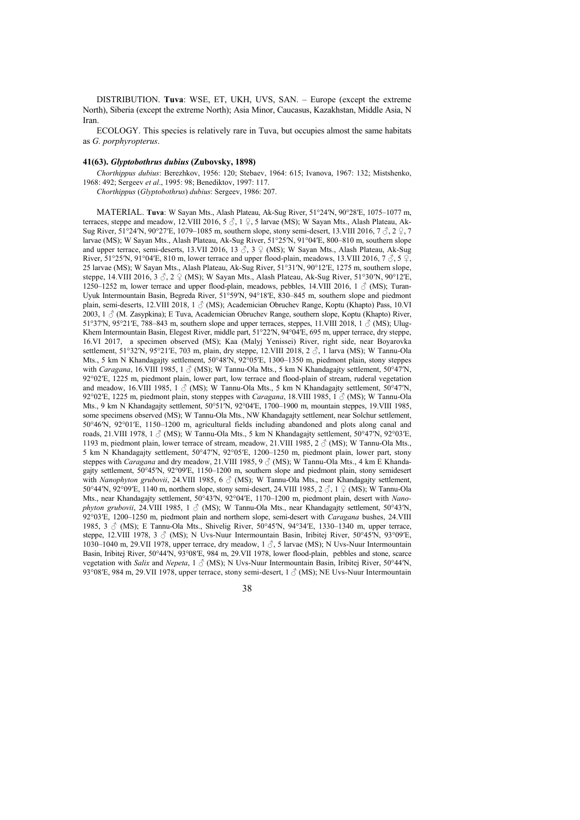DISTRIBUTION. **Tuva**: WSE, ET, UKH, UVS, SAN. – Europe (except the extreme North), Siberia (except the extreme North); Asia Minor, Caucasus, Kazakhstan, Middle Asia, N Iran.

ECOLOGY. This species is relatively rare in Tuva, but occupies almost the same habitats as *G. porphyropterus*.

#### **41(63).** *Glyptobothrus dubius* **(Zubovsky, 1898)**

*Chorthippus dubius*: Berezhkov, 1956: 120; Stebaev, 1964: 615; Ivanova, 1967: 132; Mistshenko, 1968: 492; Sergeev *et al*., 1995: 98; Benediktov, 1997: 117.

*Chorthippus* (*Glyptobothrus*) *dubius*: Sergeev, 1986: 207.

MATERIAL. **Tuva**: W Sayan Mts., Alash Plateau, Ak-Sug River, 51°24ʹN, 90°28ʹE, 1075–1077 m, terraces, steppe and meadow, 12.VIII 2016, 5  $\beta$ , 1  $\Omega$ , 5 larvae (MS); W Sayan Mts., Alash Plateau, Ak-Sug River,  $51^{\circ}24^{\prime}N$ ,  $90^{\circ}27^{\prime}E$ , 1079–1085 m, southern slope, stony semi-desert, 13.VIII 2016, 7  $\odot$ , 2  $\odot$ , 7 larvae (MS); W Sayan Mts., Alash Plateau, Ak-Sug River, 51°25ʹN, 91°04ʹE, 800–810 m, southern slope and upper terrace, semi-deserts, 13.VII 2016, 13 3, 3  $\circ$  (MS); W Sayan Mts., Alash Plateau, Ak-Sug River, 51°25′N, 91°04′E, 810 m, lower terrace and upper flood-plain, meadows, 13.VIII 2016, 7  $\Im$ , 5  $\Im$ , 25 larvae (MS); W Sayan Mts., Alash Plateau, Ak-Sug River, 51°31ʹN, 90°12ʹE, 1275 m, southern slope, steppe, 14.VIII 2016, 3  $\delta$ , 2  $\circ$  (MS); W Sayan Mts., Alash Plateau, Ak-Sug River, 51°30′N, 90°12′E, 1250–1252 m, lower terrace and upper flood-plain, meadows, pebbles, 14.VIII 2016, 1  $\circ$  (MS); Turan-Uyuk Intermountain Basin, Begreda River, 51°59ʹN, 94°18ʹE, 830–845 m, southern slope and piedmont plain, semi-deserts, 12.VIII 2018, 1 ♂ (MS); Academician Obruchev Range, Koptu (Khapto) Pass, 10.VI 2003, 1 ♂ (M. Zasypkina); E Tuva, Academician Obruchev Range, southern slope, Koptu (Khapto) River, 51°37′N, 95°21′E, 788–843 m, southern slope and upper terraces, steppes, 11.VIII 2018, 1  $\mathcal{J}$  (MS); Ulug-Khem Intermountain Basin, Elegest River, middle part, 51°22ʹN, 94°04ʹE, 695 m, upper terrace, dry steppe, 16.VI 2017, a specimen observed (MS); Kaa (Malyj Yenissei) River, right side, near Boyarovka settlement, 51°32′N, 95°21′E, 703 m, plain, dry steppe, 12.VIII 2018, 2 3, 1 larva (MS); W Tannu-Ola Mts., 5 km N Khandagajty settlement, 50°48ʹN, 92°05ʹE, 1300–1350 m, piedmont plain, stony steppes with *Caragana*, 16.VIII 1985, 1  $\beta$  (MS); W Tannu-Ola Mts., 5 km N Khandagajty settlement, 50°47′N. 92°02ʹE, 1225 m, piedmont plain, lower part, low terrace and flood-plain of stream, ruderal vegetation and meadow, 16.VIII 1985,  $1 \text{ } \textcircled{}$  (MS); W Tannu-Ola Mts., 5 km N Khandagajty settlement, 50°47′N, 92°02′E, 1225 m, piedmont plain, stony steppes with *Caragana*, 18.VIII 1985,  $1 \beta$  (MS); W Tannu-Ola Mts., 9 km N Khandagajty settlement, 50°51′N, 92°04′E, 1700–1900 m, mountain steppes, 19.VIII 1985, some specimens observed (MS); W Tannu-Ola Mts., NW Khandagajty settlement, near Solchur settlement, 50°46ʹN, 92°01ʹE, 1150–1200 m, agricultural fields including abandoned and plots along canal and roads, 21.VIII 1978, 1  $\circ$  (MS); W Tannu-Ola Mts., 5 km N Khandagajty settlement, 50°47′N, 92°03′E, 1193 m, piedmont plain, lower terrace of stream, meadow, 21.VIII 1985, 2  $\circ$  (MS); W Tannu-Ola Mts., 5 km N Khandagajty settlement, 50°47ʹN, 92°05ʹE, 1200–1250 m, piedmont plain, lower part, stony steppes with *Caragana* and dry meadow, 21.VIII 1985, 9 ♂ (MS); W Tannu-Ola Mts., 4 km E Khandagajty settlement, 50°45ʹN, 92°09ʹE, 1150–1200 m, southern slope and piedmont plain, stony semidesert with *Nanophyton grubovii*, 24.VIII 1985, 6  $\circ$  (MS); W Tannu-Ola Mts., near Khandagajty settlement, 50°44′N, 92°09′E, 1140 m, northern slope, stony semi-desert, 24.VIII 1985, 2  $\Im$ , 1  $\Im$  (MS); W Tannu-Ola Mts., near Khandagajty settlement, 50°43′N, 92°04′E, 1170–1200 m, piedmont plain, desert with *Nanophyton grubovii*, 24.VIII 1985, 1  $\beta$  (MS); W Tannu-Ola Mts., near Khandagajty settlement, 50°43′N, 92°03′E, 1200–1250 m, piedmont plain and northern slope, semi-desert with *Caragana* bushes, 24.VIII 1985, 3  $\circ$  (MS); E Tannu-Ola Mts., Shivelig River, 50°45′N, 94°34′E, 1330–1340 m, upper terrace, steppe, 12.VIII 1978, 3  $\circ$  (MS); N Uvs-Nuur Intermountain Basin, Iribitej River, 50°45′N, 93°09′E, 1030–1040 m, 29. VII 1978, upper terrace, dry meadow,  $1 \beta$ , 5 larvae (MS); N Uvs-Nuur Intermountain Basin, Iribitej River, 50°44′N, 93°08′E, 984 m, 29.VII 1978, lower flood-plain, pebbles and stone, scarce vegetation with *Salix* and *Nepeta*, 1 ♂ (MS); N Uvs-Nuur Intermountain Basin, Iribitej River, 50°44′N, 93°08′E, 984 m, 29.VII 1978, upper terrace, stony semi-desert,  $1 \text{ } \textcircled{ }$  (MS); NE Uvs-Nuur Intermountain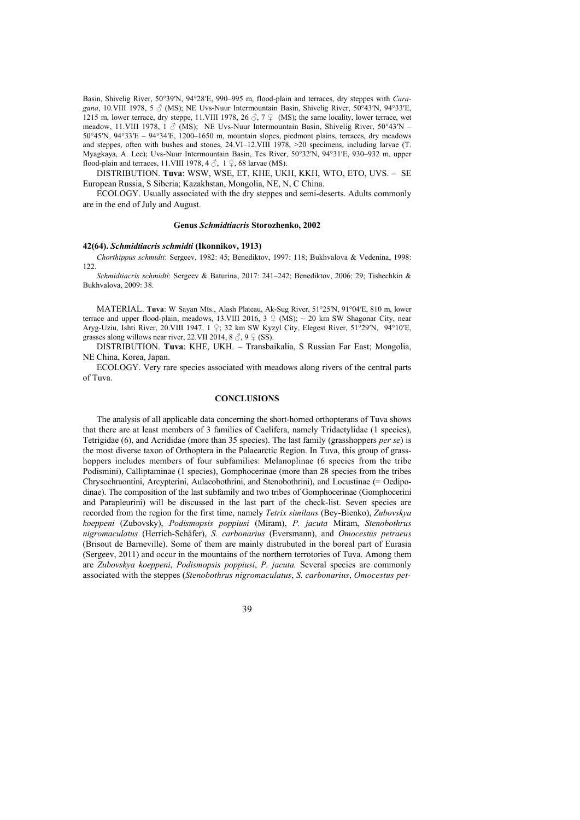Basin, Shivelig River, 50°39′N, 94°28′E, 990–995 m, flood-plain and terraces, dry steppes with *Caragana*, 10.VIII 1978, 5 ♂ (MS); NE Uvs-Nuur Intermountain Basin, Shivelig River, 50°43ʹN, 94°33ʹE, 1215 m, lower terrace, dry steppe, 11.VIII 1978, 26  $\Im$ , 7  $\Im$  (MS); the same locality, lower terrace, wet meadow, 11.VIII 1978, 1  $\circ$  (MS); NE Uvs-Nuur Intermountain Basin, Shivelig River, 50°43′N –  $50^{\circ}45^{\prime}$ N,  $94^{\circ}33^{\prime}E - 94^{\circ}34^{\prime}E$ , 1200–1650 m, mountain slopes, piedmont plains, terraces, dry meadows and steppes, often with bushes and stones, 24.VI–12.VIII 1978, >20 specimens, including larvae (T. Myagkaya, A. Lee); Uvs-Nuur Intermountain Basin, Tes River, 50°32ʹN, 94°31ʹE, 930–932 m, upper flood-plain and terraces, 11.VIII 1978, 4  $\circ$ , 1  $\circ$ , 68 larvae (MS).

DISTRIBUTION. **Tuva**: WSW, WSE, ET, KHE, UKH, KKH, WTO, ETO, UVS. – SE European Russia, S Siberia; Kazakhstan, Mongolia, NE, N, C China.

ECOLOGY. Usually associated with the dry steppes and semi-deserts. Adults commonly are in the end of July and August.

#### **Genus** *Schmidtiacris* **Storozhenko, 2002**

# **42(64).** *Schmidtiacris schmidti* **(Ikonnikov, 1913)**

*Chorthippus schmidti*: Sergeev, 1982: 45; Benediktov, 1997: 118; Bukhvalova & Vedenina, 1998: 122.

*Schmidtiacris schmidti*: Sergeev & Baturina, 2017: 241–242; Benediktov, 2006: 29; Tishechkin & Bukhvalova, 2009: 38.

MATERIAL. **Tuva**: W Sayan Mts., Alash Plateau, Ak-Sug River, 51°25ʹN, 91°04ʹE, 810 m, lower terrace and upper flood-plain, meadows, 13.VIII 2016,  $3 \nsubseteq (MS)$ ; ~ 20 km SW Shagonar City, near Aryg-Uziu, Ishti River, 20.VIII 1947, 1  $\circ$ ; 32 km SW Kyzyl City, Elegest River, 51°29′N, 94°10′E, grasses along willows near river, 22.VII 2014, 8  $\circled{3}$ , 9  $\circled{9}$  (SS).

DISTRIBUTION. **Tuva**: KHE, UKH. – Transbaikalia, S Russian Far East; Mongolia, NE China, Korea, Japan.

ECOLOGY. Very rare species associated with meadows along rivers of the central parts of Tuva.

### **CONCLUSIONS**

The analysis of all applicable data concerning the short-horned orthopterans of Tuva shows that there are at least members of 3 families of Caelifera, namely Tridactylidae (1 species), Tetrigidae (6), and Acrididae (more than 35 species). The last family (grasshoppers *per se*) is the most diverse taxon of Orthoptera in the Palaearctic Region. In Tuva, this group of grasshoppers includes members of four subfamilies: Melanoplinae (6 species from the tribe Podismini), Calliptaminae (1 species), Gomphocerinae (more than 28 species from the tribes Chrysochraontini, Arcypterini, Aulacobothrini, and Stenobothrini), and Locustinae (= Oedipodinae). The composition of the last subfamily and two tribes of Gomphocerinae (Gomphocerini and Parapleurini) will be discussed in the last part of the check-list. Seven species are recorded from the region for the first time, namely *Tetrix similans* (Bey-Bienko), *Zubovskya koeppeni* (Zubovsky), *Podismopsis poppiusi* (Miram), *P. jacuta* Miram, *Stenobothrus nigromaculatus* (Herrich-Schäfer), *S. carbonarius* (Eversmann), and *Omocestus petraeus* (Brisout de Barneville). Some of them are mainly distrubuted in the boreal part of Eurasia (Sergeev, 2011) and occur in the mountains of the northern terrotories of Tuva. Among them are *Zubovskya koeppeni*, *Podismopsis poppiusi*, *P. jacuta.* Several species are commonly associated with the steppes (*Stenobothrus nigromaculatus*, *S. carbonarius*, *Omocestus pet-*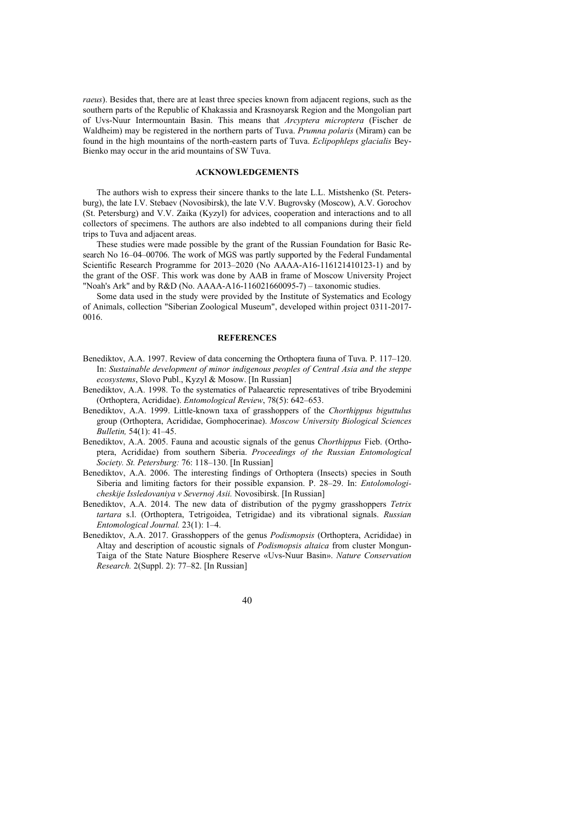*raeus*). Besides that, there are at least three species known from adjacent regions, such as the southern parts of the Republic of Khakassia and Krasnoyarsk Region and the Mongolian part of Uvs-Nuur Intermountain Basin. This means that *Arcyptera microptera* (Fischer de Waldheim) may be registered in the northern parts of Tuva. *Prumna polaris* (Miram) can be found in the high mountains of the north-eastern parts of Tuva. *Eclipophleps glacialis* Bey-Bienko may occur in the arid mountains of SW Tuva.

# **ACKNOWLEDGEMENTS**

The authors wish to express their sincere thanks to the late L.L. Mistshenko (St. Petersburg), the late I.V. Stebaev (Novosibirsk), the late V.V. Bugrovsky (Moscow), A.V. Gorochov (St. Petersburg) and V.V. Zaika (Kyzyl) for advices, cooperation and interactions and to all collectors of specimens. The authors are also indebted to all companions during their field trips to Tuva and adjacent areas.

These studies were made possible by the grant of the Russian Foundation for Basic Research No 16–04–00706. The work of MGS was partly supported by the Federal Fundamental Scientific Research Programme for 2013–2020 (No АААА-А16-116121410123-1) and by the grant of the OSF. This work was done by AAB in frame of Moscow University Project "Noah's Ark" and by  $R&D$  (No. AAAA-A16-116021660095-7) – taxonomic studies.

Some data used in the study were provided by the Institute of Systematics and Ecology of Animals, collection "Siberian Zoological Museum", developed within project 0311-2017- 0016.

#### **REFERENCES**

- Benediktov, A.A. 1997. Review of data concerning the Orthoptera fauna of Tuva. P. 117–120. In: *Sustainable development of minor indigenous peoples of Central Asia and the steppe ecosystems*, Slovo Publ., Kyzyl & Mosow. [In Russian]
- Benediktov, A.A. 1998. To the systematics of Palaearctic representatives of tribe Bryodemini (Orthoptera, Acrididae). *Entomological Review*, 78(5): 642–653.
- Benediktov, A.A. 1999. Little-known taxa of grasshoppers of the *Chorthippus biguttulus* group (Orthoptera, Acrididae, Gomphocerinae). *Moscow University Biological Sciences Bulletin,* 54(1): 41–45.
- Benediktov, A.A. 2005. Fauna and acoustic signals of the genus *Chorthippus* Fieb. (Orthoptera, Acrididae) from southern Siberia. *Proceedings of the Russian Entomological Society. St. Petersburg:* 76: 118–130. [In Russian]
- Benediktov, A.A. 2006. The interesting findings of Orthoptera (Insects) species in South Siberia and limiting factors for their possible expansion. P. 28–29. In: *Entolomologicheskije Issledovaniya v Severnoj Asii.* Novosibirsk. [In Russian]
- Benediktov, А.А. 2014. The new data of distribution of the pygmy grasshoppers *Tetrix tartara* s.l. (Orthoptera, Tetrigoidea, Tetrigidae) and its vibrational signals. *Russian Entomological Journal.* 23(1): 1–4.
- Benediktov, A.A. 2017. Grasshoppers of the genus *Podismopsis* (Orthoptera, Acrididae) in Altay and description of acoustic signals of *Podismopsis altaica* from cluster Mongun-Taiga of the State Nature Biosphere Reserve «Uvs-Nuur Basin». *Nature Conservation Research.* 2(Suppl. 2): 77–82. [In Russian]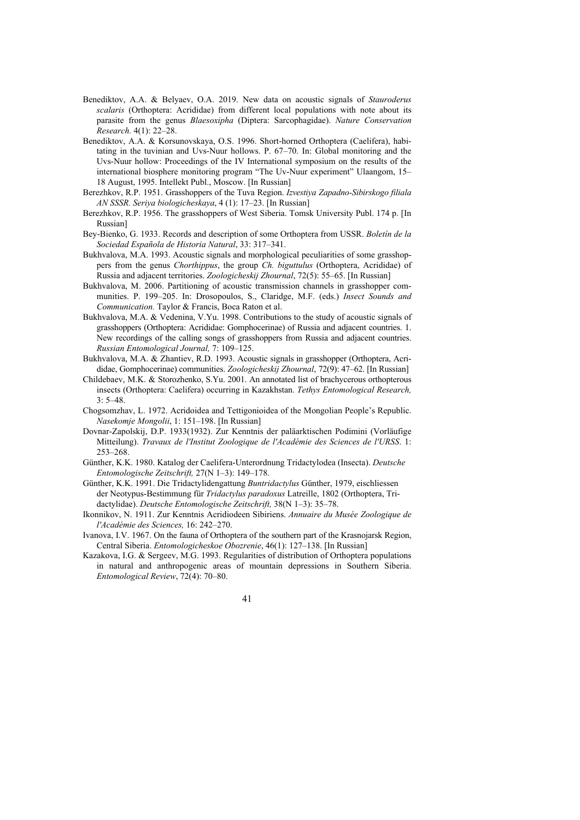- Benediktov, A.A. & Belyaev, O.A. 2019. New data on acoustic signals of *Stauroderus scalaris* (Orthoptera: Acrididae) from different local populations with note about its parasite from the genus *Blaesoxipha* (Diptera: Sarcophagidae). *Nature Conservation Research.* 4(1): 22–28.
- Benediktov, A.A. & Korsunovskaya, O.S. 1996. Short-horned Orthoptera (Caelifera), habitating in the tuvinian and Uvs-Nuur hollows. P. 67–70. In: Global monitoring and the Uvs-Nuur hollow: Proceedings of the IV International symposium on the results of the international biosphere monitoring program "The Uv-Nuur experiment" Ulaangom, 15– 18 August, 1995. Intellekt Publ., Мoscow. [In Russian]
- Berezhkov, R.P. 1951. Grasshoppers of the Tuva Region. *Izvestiya Zapadno-Sibirskogo filiala AN SSSR. Seriya biologicheskaya*, 4 (1): 17–23. [In Russian]
- Berezhkov, R.P. 1956. The grasshoppers of West Siberia. Tomsk University Publ. 174 p. [In Russian]
- Bey-Bienko, G. 1933. Records and description of some Orthoptera from USSR. *Boletín de la Sociedad Española de Historia Natural*, 33: 317–341.
- Bukhvalova, M.A. 1993. Acoustic signals and morphological peculiarities of some grasshoppers from the genus *Chorthippus*, the group *Ch. biguttulus* (Orthoptera, Acrididae) of Russia and adjacent territories. *Zoologicheskij Zhournal*, 72(5): 55–65. [In Russian]
- Bukhvalova, M. 2006. Partitioning of acoustic transmission channels in grasshopper communities. P. 199–205. In: Drosopoulos, S., Claridge, M.F. (eds.) *Insect Sounds and Communication.* Taylor & Francis, Boca Raton et al.
- Bukhvalova, M.A. & Vedenina, V.Yu. 1998. Contributions to the study of acoustic signals of grasshoppers (Orthoptera: Acrididae: Gomphocerinae) of Russia and adjacent countries. 1. New recordings of the calling songs of grasshoppers from Russia and adjacent countries. *Russian Entomological Journal,* 7: 109–125.
- Bukhvalova, M.A. & Zhantiev, R.D. 1993. Acoustic signals in grasshopper (Orthoptera, Acrididae, Gomphocerinae) communities. *Zoologicheskij Zhournal*, 72(9): 47–62. [In Russian]
- Childebaev, M.K. & Storozhenko, S.Yu. 2001. An annotated list of brachycerous orthopterous insects (Orthoptera: Caelifera) occurring in Kazakhstan. *Tethys Entomological Research,* 3: 5–48.
- Chogsomzhav, L. 1972. Acridoidea and Tettigonioidea of the Mongolian People's Republic. *Nasekomje Mongolii*, 1: 151–198. [In Russian]
- Dovnar-Zapolskij, D.P. 1933(1932). Zur Kenntnis der paläarktischen Podimini (Vorläufige Mitteilung). *Travaux de l'Institut Zoologique de l'Académie des Sciences de l'URSS*. 1: 253–268.
- Günther, K.K. 1980. Katalog der Caelifera-Unterordnung Tridactylodea (Insecta). *Deutsche Entomologische Zeitschrift,* 27(N 1–3): 149–178.
- Günther, K.K. 1991. Die Tridactylidengattung *Buntridactylus* Günther, 1979, eischliessen der Neotypus-Bestimmung für *Tridactylus paradoxus* Latreille, 1802 (Orthoptera, Tridactylidae). *Deutsche Entomologische Zeitschrift,* 38(N 1–3): 35–78.
- Ikonnikov, N. 1911. Zur Kenntnis Acridiodeen Sibiriens. *Annuaire du Musée Zoologique de l'Académie des Sciences,* 16: 242–270.
- Ivanova, I.V. 1967. On the fauna of Orthoptera of the southern part of the Krasnojarsk Region, Central Siberia. *Entomologicheskoe Obozrenie*, 46(1): 127–138. [In Russian]
- Kazakova, I.G. & Sergeev, M.G. 1993. Regularities of distribution of Orthoptera populations in natural and anthropogenic areas of mountain depressions in Southern Siberia. *Entomological Review*, 72(4): 70–80.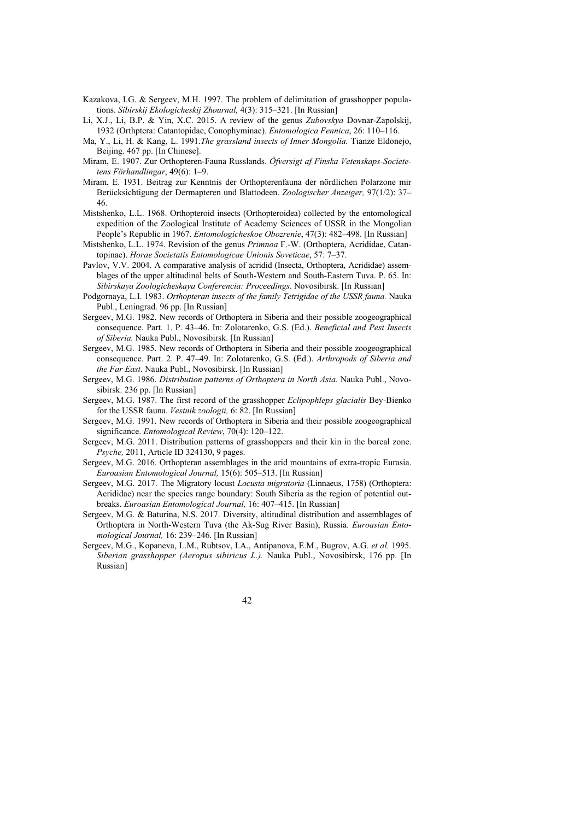- Kazakova, I.G. & Sergeev, M.H. 1997. The problem of delimitation of grasshopper populations. *Sibirskij Ekologicheskij Zhournal,* 4(3): 315–321. [In Russian]
- Li, X.J., Li, B.P. & Yin, X.C. 2015. A review of the genus *Zubovskya* Dovnar-Zapolskij, 1932 (Orthptera: Catantopidae, Conophyminae). *Entomologica Fennica*, 26: 110–116.
- Ma, Y., Li, H. & Kang, L. 1991.*The grassland insects of Inner Mongolia.* Tianze Eldonejo, Beijing. 467 pp. [In Chinese].
- Miram, E. 1907. Zur Orthopteren-Fauna Russlands. *Öfversigt af Finska Vetenskaps-Societetens Förhandlingar*, 49(6): 1–9.
- Miram, E. 1931. Beitrag zur Kenntnis der Orthopterenfauna der nördlichen Polarzone mir Berücksichtigung der Dermapteren und Blattodeen. *Zoologischer Anzeiger,* 97(1/2): 37– 46.
- Mistshenko, L.L. 1968. Orthopteroid insects (Orthopteroidea) collected by the entomological expedition of the Zoological Institute of Academy Sciences of USSR in the Mongolian People's Republic in 1967. *Entomologicheskoe Obozrenie*, 47(3): 482–498. [In Russian]
- Mistshenko, L.L. 1974. Revision of the genus *Primnoa* F.-W. (Orthoptera, Acrididae, Catantopinae). *Horae Societatis Entomologicae Unionis Soveticae*, 57: 7–37.
- Pavlov, V.V. 2004. A comparative analysis of acridid (Insecta, Orthoptera, Acrididae) assemblages of the upper altitudinal belts of South-Western and South-Eastern Tuva. P. 65. In: *Sibirskaya Zoologicheskaya Conferencia: Proceedings*. Novosibirsk. [In Russian]
- Podgornaya, L.I. 1983. *Orthopteran insects of the family Tetrigidae of the USSR fauna.* Nauka Publ., Leningrad. 96 pp. [In Russian]
- Sergeev, M.G. 1982. New records of Orthoptera in Siberia and their possible zoogeographical consequence. Part. 1. P. 43–46. In: Zolotarenko, G.S. (Ed.). *Beneficial and Pest Insects of Siberia.* Nauka Publ., Novosibirsk. [In Russian]
- Sergeev, M.G. 1985. New records of Orthoptera in Siberia and their possible zoogeographical consequence. Part. 2. P. 47–49. In: Zolotarenko, G.S. (Ed.). *Arthropods of Siberia and the Far East*. Nauka Publ., Novosibirsk. [In Russian]
- Sergeev, M.G. 1986. *Distribution patterns of Orthoptera in North Asia.* Nauka Publ., Novosibirsk. 236 pp. [In Russian]
- Sergeev, M.G. 1987. The first record of the grasshopper *Eclipophleps glacialis* Bey-Bienko for the USSR fauna. *Vestnik zoologii,* 6: 82. [In Russian]
- Sergeev, M.G. 1991. New records of Orthoptera in Siberia and their possible zoogeographical significance. *Entomological Review*, 70(4): 120–122.
- Sergeev, M.G. 2011. Distribution patterns of grasshoppers and their kin in the boreal zone. *Psyche,* 2011, Article ID 324130, 9 pages.
- Sergeev, M.G. 2016. Orthopteran assemblages in the arid mountains of extra-tropic Eurasia. *Euroasian Entomological Journal,* 15(6): 505–513. [In Russian]
- Sergeev, M.G. 2017. The Migratory locust *Locusta migratoria* (Linnaeus, 1758) (Orthoptera: Acrididae) near the species range boundary: South Siberia as the region of potential outbreaks. *Euroasian Entomological Journal,* 16: 407–415. [In Russian]
- Sergeev, M.G. & Baturina, N.S. 2017. Diversity, altitudinal distribution and assemblages of Orthoptera in North-Western Tuva (the Ak-Sug River Basin), Russia. *Euroasian Entomological Journal,* 16: 239–246. [In Russian]
- Sergeev, M.G., Kopaneva, L.M., Rubtsov, I.A., Antipanova, E.M., Bugrov, A.G. *et al.* 1995. *Siberian grasshopper (Aeropus sibiricus L.).* Nauka Publ., Novosibirsk, 176 pp. [In Russian]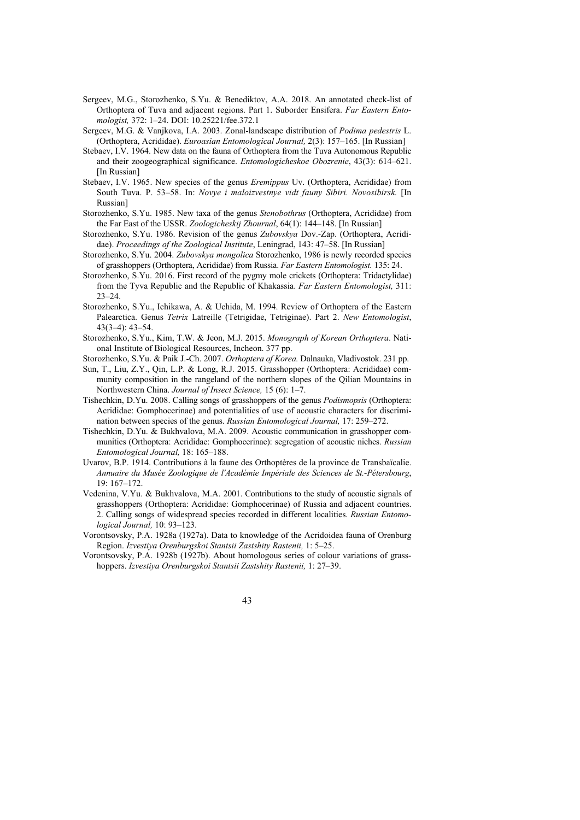- Sergeev, M.G., Storozhenko, S.Yu. & Benediktov, A.A. 2018. An annotated check-list of Orthoptera of Tuva and adjacent regions. Part 1. Suborder Ensifera. *Far Eastern Entomologist,* 372: 1–24. DOI: 10.25221/fee.372.1
- Sergeev, M.G. & Vanjkova, I.A. 2003. Zonal-landscape distribution of *Podima pedestris* L. (Orthoptera, Acrididae). *Euroasian Entomological Journal,* 2(3): 157–165. [In Russian]
- Stebaev, I.V. 1964. New data on the fauna of Orthoptera from the Tuva Autonomous Republic and their zoogeographical significance. *Entomologicheskoe Obozrenie*, 43(3): 614–621. [In Russian]
- Stebaev, I.V. 1965. New species of the genus *Eremippus* Uv. (Orthoptera, Acrididae) from South Tuva. P. 53–58. In: *Novye i maloizvestnye vidt fauny Sibiri. Novosibirsk.* [In Russian]
- Storozhenko, S.Yu. 1985. New taxa of the genus *Stenobothrus* (Orthoptera, Acrididae) from the Far East of the USSR. *Zoologicheskij Zhournal*, 64(1): 144–148. [In Russian]
- Storozhenko, S.Yu. 1986. Revision of the genus *Zubovskya* Dov.-Zap. (Orthoptera, Acrididae). *Proceedings of the Zoological Institute*, Leningrad, 143: 47–58. [In Russian]
- Storozhenko, S.Yu. 2004. *Zubovskya mongolica* Storozhenko, 1986 is newly recorded species of grasshoppers (Orthoptera, Acrididae) from Russia. *Far Eastern Entomologist.* 135: 24.
- Storozhenko, S.Yu. 2016. First record of the pygmy mole crickets (Orthoptera: Tridactylidae) from the Tyva Republic and the Republic of Khakassia. *Far Eastern Entomologist,* 311: 23–24.
- Storozhenko, S.Yu., Ichikawa, A. & Uchida, M. 1994. Review of Orthoptera of the Eastern Palearctica. Genus *Tetrix* Latreille (Tetrigidae, Tetriginae). Part 2. *New Entomologist*, 43(3–4): 43–54.
- Storozhenko, S.Yu., Kim, T.W. & Jeon, M.J. 2015. *Monograph of Korean Orthoptera*. National Institute of Biological Resources, Incheon. 377 pp.
- Storozhenko, S.Yu. & Paik J.-Ch. 2007. *Orthoptera of Korea.* Dalnauka, Vladivostok. 231 pp.
- Sun, T., Liu, Z.Y., Qin, L.P. & Long, R.J. 2015. Grasshopper (Orthoptera: Acrididae) community composition in the rangeland of the northern slopes of the Qilian Mountains in Northwestern China. *Journal of Insect Science,* 15 (6): 1–7.
- Tishechkin, D.Yu. 2008. Calling songs of grasshoppers of the genus *Podismopsis* (Orthoptera: Acrididae: Gomphocerinae) and potentialities of use of acoustic characters for discrimination between species of the genus. *Russian Entomological Journal,* 17: 259–272.
- Tishechkin, D.Yu. & Bukhvalova, M.A. 2009. Acoustic communication in grasshopper communities (Orthoptera: Acrididae: Gomphocerinae): segregation of acoustic niches. *Russian Entomological Journal,* 18: 165–188.
- Uvarov, B.P. 1914. Contributions à la faune des Orthoptères de la province de Transbaïcalie. *Annuaire du Musée Zoologique de l'Académie Impériale des Sciences de St.-Pétersbourg*, 19: 167–172.
- Vedenina, V.Yu. & Bukhvalova, M.A. 2001. Contributions to the study of acoustic signals of grasshoppers (Orthoptera: Acrididae: Gomphocerinae) of Russia and adjacent countries. 2. Calling songs of widespread species recorded in different localities. *Russian Entomological Journal,* 10: 93–123.
- Vorontsovsky, P.A. 1928a (1927a). Data to knowledge of the Acridoidea fauna of Orenburg Region. *Izvestiya Orenburgskoi Stantsii Zastshity Rastenii,* 1: 5–25.
- Vorontsovsky, P.A. 1928b (1927b). About homologous series of colour variations of grasshoppers. *Izvestiya Orenburgskoi Stantsii Zastshity Rastenii,* 1: 27–39.